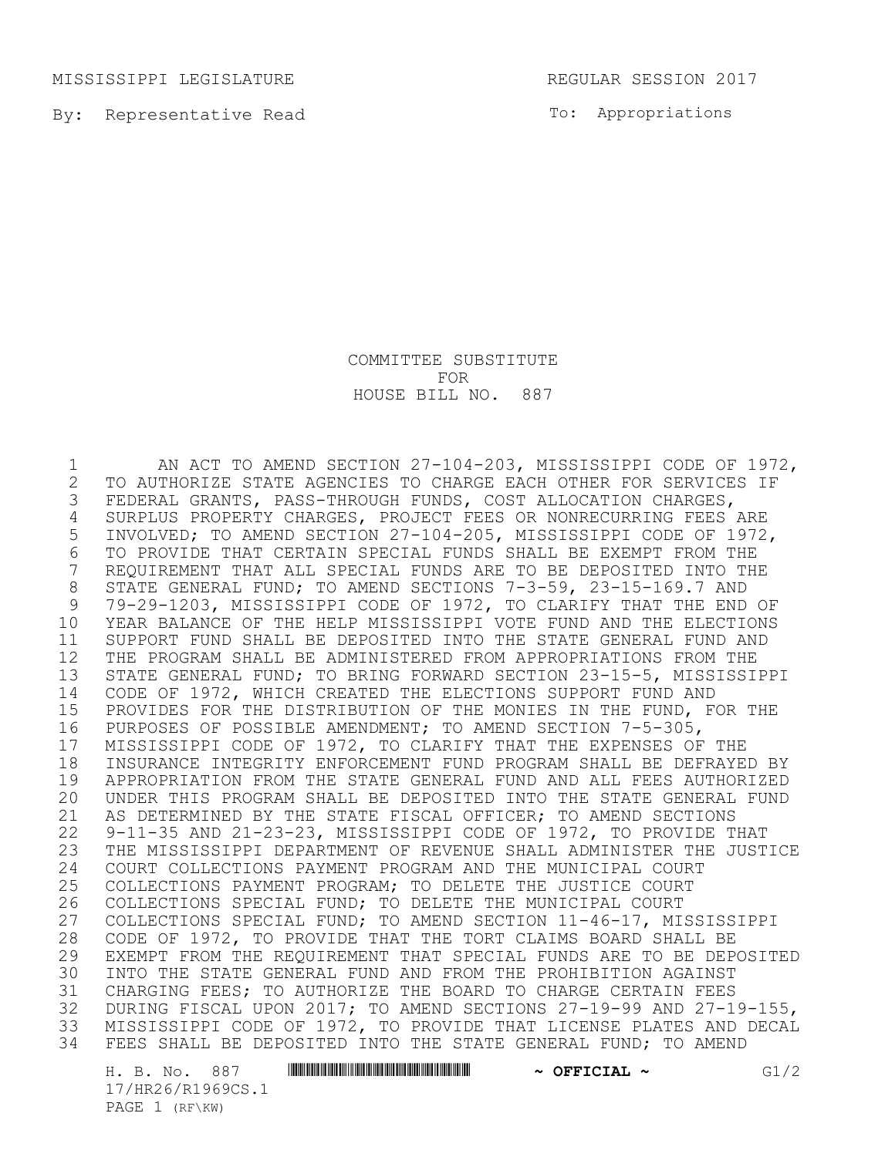MISSISSIPPI LEGISLATURE **REGULAR SESSION 2017** 

By: Representative Read

To: Appropriations

COMMITTEE SUBSTITUTE FOR HOUSE BILL NO. 887

 AN ACT TO AMEND SECTION 27-104-203, MISSISSIPPI CODE OF 1972, 2 TO AUTHORIZE STATE AGENCIES TO CHARGE EACH OTHER FOR SERVICES IF<br>3 FEDERAL GRANTS, PASS-THROUGH FUNDS, COST ALLOCATION CHARGES, FEDERAL GRANTS, PASS-THROUGH FUNDS, COST ALLOCATION CHARGES, SURPLUS PROPERTY CHARGES, PROJECT FEES OR NONRECURRING FEES ARE INVOLVED; TO AMEND SECTION 27-104-205, MISSISSIPPI CODE OF 1972, TO PROVIDE THAT CERTAIN SPECIAL FUNDS SHALL BE EXEMPT FROM THE REQUIREMENT THAT ALL SPECIAL FUNDS ARE TO BE DEPOSITED INTO THE 8 STATE GENERAL FUND; TO AMEND SECTIONS 7-3-59, 23-15-169.7 AND<br>9 79-29-1203, MISSISSIPPI CODE OF 1972, TO CLARIFY THAT THE END 79-29-1203, MISSISSIPPI CODE OF 1972, TO CLARIFY THAT THE END OF YEAR BALANCE OF THE HELP MISSISSIPPI VOTE FUND AND THE ELECTIONS SUPPORT FUND SHALL BE DEPOSITED INTO THE STATE GENERAL FUND AND THE PROGRAM SHALL BE ADMINISTERED FROM APPROPRIATIONS FROM THE STATE GENERAL FUND; TO BRING FORWARD SECTION 23-15-5, MISSISSIPPI CODE OF 1972, WHICH CREATED THE ELECTIONS SUPPORT FUND AND PROVIDES FOR THE DISTRIBUTION OF THE MONIES IN THE FUND, FOR THE PURPOSES OF POSSIBLE AMENDMENT; TO AMEND SECTION 7-5-305, MISSISSIPPI CODE OF 1972, TO CLARIFY THAT THE EXPENSES OF THE 18 INSURANCE INTEGRITY ENFORCEMENT FUND PROGRAM SHALL BE DEFRAYED BY<br>19 APPROPRIATION FROM THE STATE GENERAL FUND AND ALL FEES AUTHORIZED APPROPRIATION FROM THE STATE GENERAL FUND AND ALL FEES AUTHORIZED UNDER THIS PROGRAM SHALL BE DEPOSITED INTO THE STATE GENERAL FUND AS DETERMINED BY THE STATE FISCAL OFFICER; TO AMEND SECTIONS 9-11-35 AND 21-23-23, MISSISSIPPI CODE OF 1972, TO PROVIDE THAT THE MISSISSIPPI DEPARTMENT OF REVENUE SHALL ADMINISTER THE JUSTICE 24 COURT COLLECTIONS PAYMENT PROGRAM AND THE MUNICIPAL COURT<br>25 COLLECTIONS PAYMENT PROGRAM; TO DELETE THE JUSTICE COURT COLLECTIONS PAYMENT PROGRAM; TO DELETE THE JUSTICE COURT COLLECTIONS SPECIAL FUND; TO DELETE THE MUNICIPAL COURT COLLECTIONS SPECIAL FUND; TO AMEND SECTION 11-46-17, MISSISSIPPI CODE OF 1972, TO PROVIDE THAT THE TORT CLAIMS BOARD SHALL BE EXEMPT FROM THE REQUIREMENT THAT SPECIAL FUNDS ARE TO BE DEPOSITED INTO THE STATE GENERAL FUND AND FROM THE PROHIBITION AGAINST CHARGING FEES; TO AUTHORIZE THE BOARD TO CHARGE CERTAIN FEES DURING FISCAL UPON 2017; TO AMEND SECTIONS 27-19-99 AND 27-19-155, MISSISSIPPI CODE OF 1972, TO PROVIDE THAT LICENSE PLATES AND DECAL FEES SHALL BE DEPOSITED INTO THE STATE GENERAL FUND; TO AMEND

H. B. No. 887 \*HR26/R1969CS.1\* **~ OFFICIAL ~** G1/2 17/HR26/R1969CS.1 PAGE 1 (RF\KW)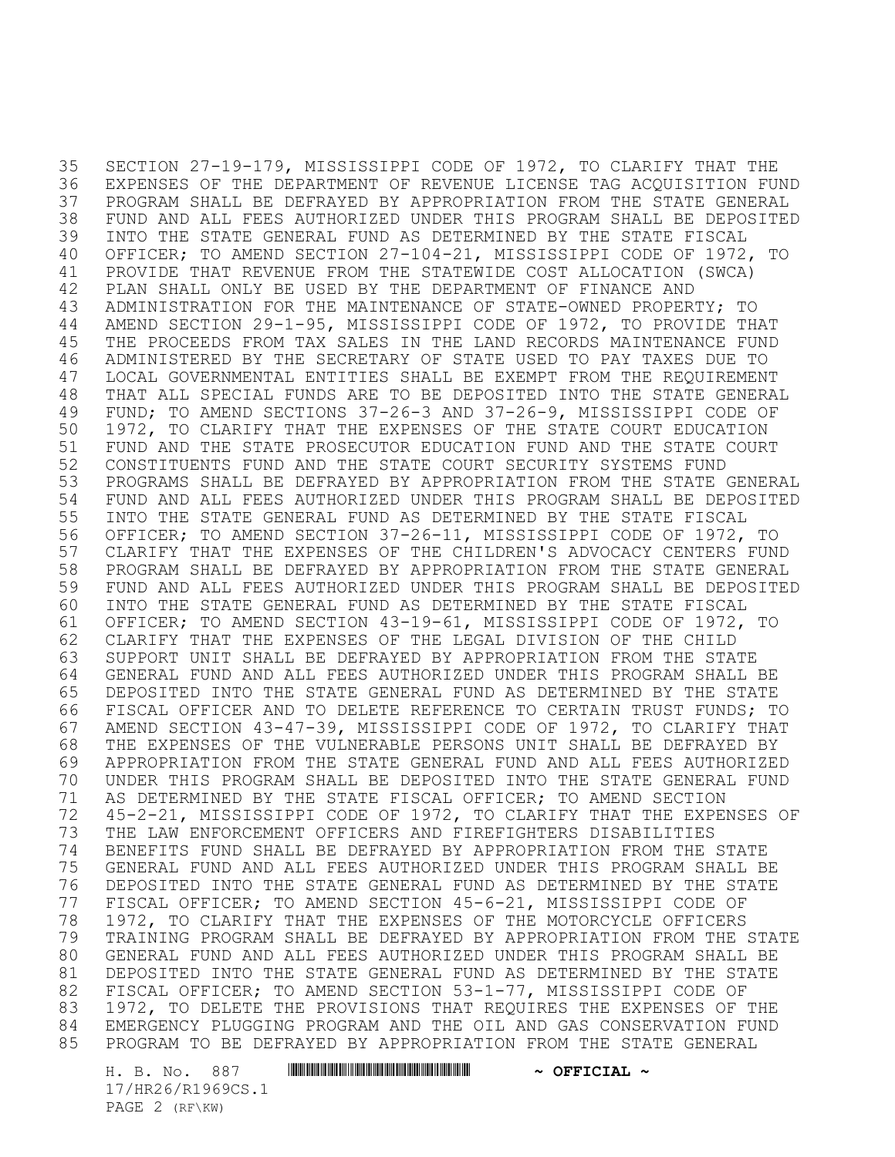SECTION 27-19-179, MISSISSIPPI CODE OF 1972, TO CLARIFY THAT THE EXPENSES OF THE DEPARTMENT OF REVENUE LICENSE TAG ACQUISITION FUND PROGRAM SHALL BE DEFRAYED BY APPROPRIATION FROM THE STATE GENERAL FUND AND ALL FEES AUTHORIZED UNDER THIS PROGRAM SHALL BE DEPOSITED INTO THE STATE GENERAL FUND AS DETERMINED BY THE STATE FISCAL OFFICER; TO AMEND SECTION 27-104-21, MISSISSIPPI CODE OF 1972, TO PROVIDE THAT REVENUE FROM THE STATEWIDE COST ALLOCATION (SWCA) PLAN SHALL ONLY BE USED BY THE DEPARTMENT OF FINANCE AND ADMINISTRATION FOR THE MAINTENANCE OF STATE-OWNED PROPERTY; TO AMEND SECTION 29-1-95, MISSISSIPPI CODE OF 1972, TO PROVIDE THAT THE PROCEEDS FROM TAX SALES IN THE LAND RECORDS MAINTENANCE FUND ADMINISTERED BY THE SECRETARY OF STATE USED TO PAY TAXES DUE TO LOCAL GOVERNMENTAL ENTITIES SHALL BE EXEMPT FROM THE REQUIREMENT THAT ALL SPECIAL FUNDS ARE TO BE DEPOSITED INTO THE STATE GENERAL FUND; TO AMEND SECTIONS 37-26-3 AND 37-26-9, MISSISSIPPI CODE OF 1972, TO CLARIFY THAT THE EXPENSES OF THE STATE COURT EDUCATION FUND AND THE STATE PROSECUTOR EDUCATION FUND AND THE STATE COURT CONSTITUENTS FUND AND THE STATE COURT SECURITY SYSTEMS FUND PROGRAMS SHALL BE DEFRAYED BY APPROPRIATION FROM THE STATE GENERAL FUND AND ALL FEES AUTHORIZED UNDER THIS PROGRAM SHALL BE DEPOSITED INTO THE STATE GENERAL FUND AS DETERMINED BY THE STATE FISCAL OFFICER; TO AMEND SECTION 37-26-11, MISSISSIPPI CODE OF 1972, TO CLARIFY THAT THE EXPENSES OF THE CHILDREN'S ADVOCACY CENTERS FUND PROGRAM SHALL BE DEFRAYED BY APPROPRIATION FROM THE STATE GENERAL FUND AND ALL FEES AUTHORIZED UNDER THIS PROGRAM SHALL BE DEPOSITED INTO THE STATE GENERAL FUND AS DETERMINED BY THE STATE FISCAL OFFICER; TO AMEND SECTION 43-19-61, MISSISSIPPI CODE OF 1972, TO CLARIFY THAT THE EXPENSES OF THE LEGAL DIVISION OF THE CHILD SUPPORT UNIT SHALL BE DEFRAYED BY APPROPRIATION FROM THE STATE GENERAL FUND AND ALL FEES AUTHORIZED UNDER THIS PROGRAM SHALL BE DEPOSITED INTO THE STATE GENERAL FUND AS DETERMINED BY THE STATE FISCAL OFFICER AND TO DELETE REFERENCE TO CERTAIN TRUST FUNDS; TO AMEND SECTION 43-47-39, MISSISSIPPI CODE OF 1972, TO CLARIFY THAT THE EXPENSES OF THE VULNERABLE PERSONS UNIT SHALL BE DEFRAYED BY APPROPRIATION FROM THE STATE GENERAL FUND AND ALL FEES AUTHORIZED UNDER THIS PROGRAM SHALL BE DEPOSITED INTO THE STATE GENERAL FUND AS DETERMINED BY THE STATE FISCAL OFFICER; TO AMEND SECTION 45-2-21, MISSISSIPPI CODE OF 1972, TO CLARIFY THAT THE EXPENSES OF THE LAW ENFORCEMENT OFFICERS AND FIREFIGHTERS DISABILITIES BENEFITS FUND SHALL BE DEFRAYED BY APPROPRIATION FROM THE STATE GENERAL FUND AND ALL FEES AUTHORIZED UNDER THIS PROGRAM SHALL BE DEPOSITED INTO THE STATE GENERAL FUND AS DETERMINED BY THE STATE FISCAL OFFICER; TO AMEND SECTION 45-6-21, MISSISSIPPI CODE OF 1972, TO CLARIFY THAT THE EXPENSES OF THE MOTORCYCLE OFFICERS TRAINING PROGRAM SHALL BE DEFRAYED BY APPROPRIATION FROM THE STATE GENERAL FUND AND ALL FEES AUTHORIZED UNDER THIS PROGRAM SHALL BE DEPOSITED INTO THE STATE GENERAL FUND AS DETERMINED BY THE STATE FISCAL OFFICER; TO AMEND SECTION 53-1-77, MISSISSIPPI CODE OF 1972, TO DELETE THE PROVISIONS THAT REQUIRES THE EXPENSES OF THE EMERGENCY PLUGGING PROGRAM AND THE OIL AND GAS CONSERVATION FUND PROGRAM TO BE DEFRAYED BY APPROPRIATION FROM THE STATE GENERAL

H. B. No. 887 \*HR26/R1969CS.1\* **~ OFFICIAL ~** 17/HR26/R1969CS.1 PAGE 2 (RF\KW)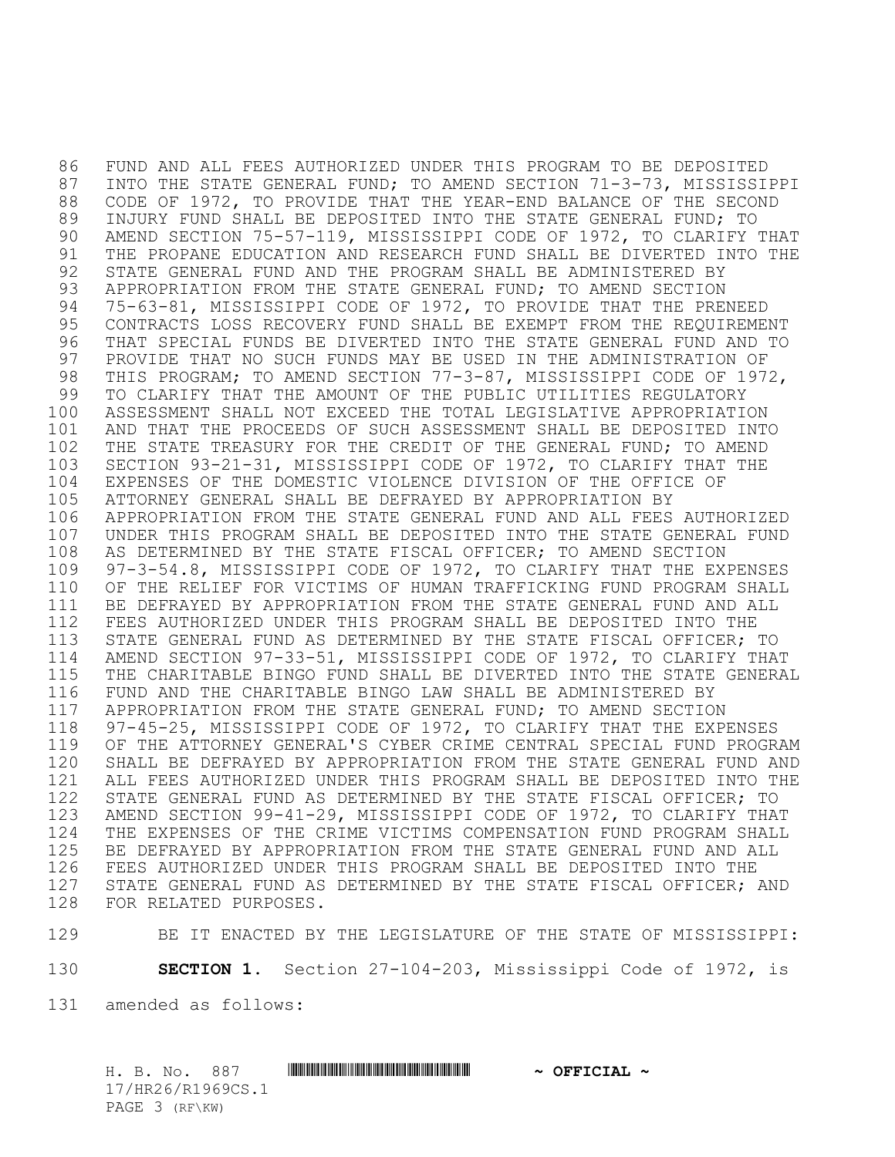FUND AND ALL FEES AUTHORIZED UNDER THIS PROGRAM TO BE DEPOSITED INTO THE STATE GENERAL FUND; TO AMEND SECTION 71-3-73, MISSISSIPPI CODE OF 1972, TO PROVIDE THAT THE YEAR-END BALANCE OF THE SECOND INJURY FUND SHALL BE DEPOSITED INTO THE STATE GENERAL FUND; TO AMEND SECTION 75-57-119, MISSISSIPPI CODE OF 1972, TO CLARIFY THAT THE PROPANE EDUCATION AND RESEARCH FUND SHALL BE DIVERTED INTO THE STATE GENERAL FUND AND THE PROGRAM SHALL BE ADMINISTERED BY APPROPRIATION FROM THE STATE GENERAL FUND; TO AMEND SECTION 75-63-81, MISSISSIPPI CODE OF 1972, TO PROVIDE THAT THE PRENEED CONTRACTS LOSS RECOVERY FUND SHALL BE EXEMPT FROM THE REQUIREMENT THAT SPECIAL FUNDS BE DIVERTED INTO THE STATE GENERAL FUND AND TO PROVIDE THAT NO SUCH FUNDS MAY BE USED IN THE ADMINISTRATION OF THIS PROGRAM; TO AMEND SECTION 77-3-87, MISSISSIPPI CODE OF 1972, TO CLARIFY THAT THE AMOUNT OF THE PUBLIC UTILITIES REGULATORY ASSESSMENT SHALL NOT EXCEED THE TOTAL LEGISLATIVE APPROPRIATION AND THAT THE PROCEEDS OF SUCH ASSESSMENT SHALL BE DEPOSITED INTO THE STATE TREASURY FOR THE CREDIT OF THE GENERAL FUND; TO AMEND SECTION 93-21-31, MISSISSIPPI CODE OF 1972, TO CLARIFY THAT THE EXPENSES OF THE DOMESTIC VIOLENCE DIVISION OF THE OFFICE OF ATTORNEY GENERAL SHALL BE DEFRAYED BY APPROPRIATION BY APPROPRIATION FROM THE STATE GENERAL FUND AND ALL FEES AUTHORIZED UNDER THIS PROGRAM SHALL BE DEPOSITED INTO THE STATE GENERAL FUND AS DETERMINED BY THE STATE FISCAL OFFICER; TO AMEND SECTION 97-3-54.8, MISSISSIPPI CODE OF 1972, TO CLARIFY THAT THE EXPENSES OF THE RELIEF FOR VICTIMS OF HUMAN TRAFFICKING FUND PROGRAM SHALL BE DEFRAYED BY APPROPRIATION FROM THE STATE GENERAL FUND AND ALL FEES AUTHORIZED UNDER THIS PROGRAM SHALL BE DEPOSITED INTO THE STATE GENERAL FUND AS DETERMINED BY THE STATE FISCAL OFFICER; TO AMEND SECTION 97-33-51, MISSISSIPPI CODE OF 1972, TO CLARIFY THAT THE CHARITABLE BINGO FUND SHALL BE DIVERTED INTO THE STATE GENERAL FUND AND THE CHARITABLE BINGO LAW SHALL BE ADMINISTERED BY APPROPRIATION FROM THE STATE GENERAL FUND; TO AMEND SECTION 97-45-25, MISSISSIPPI CODE OF 1972, TO CLARIFY THAT THE EXPENSES OF THE ATTORNEY GENERAL'S CYBER CRIME CENTRAL SPECIAL FUND PROGRAM SHALL BE DEFRAYED BY APPROPRIATION FROM THE STATE GENERAL FUND AND ALL FEES AUTHORIZED UNDER THIS PROGRAM SHALL BE DEPOSITED INTO THE STATE GENERAL FUND AS DETERMINED BY THE STATE FISCAL OFFICER; TO AMEND SECTION 99-41-29, MISSISSIPPI CODE OF 1972, TO CLARIFY THAT THE EXPENSES OF THE CRIME VICTIMS COMPENSATION FUND PROGRAM SHALL BE DEFRAYED BY APPROPRIATION FROM THE STATE GENERAL FUND AND ALL FEES AUTHORIZED UNDER THIS PROGRAM SHALL BE DEPOSITED INTO THE STATE GENERAL FUND AS DETERMINED BY THE STATE FISCAL OFFICER; AND FOR RELATED PURPOSES.

BE IT ENACTED BY THE LEGISLATURE OF THE STATE OF MISSISSIPPI:

**SECTION 1.** Section 27-104-203, Mississippi Code of 1972, is

amended as follows:

H. B. No. 887 \*HR26/R1969CS.1\* **~ OFFICIAL ~** 17/HR26/R1969CS.1 PAGE 3 (RF\KW)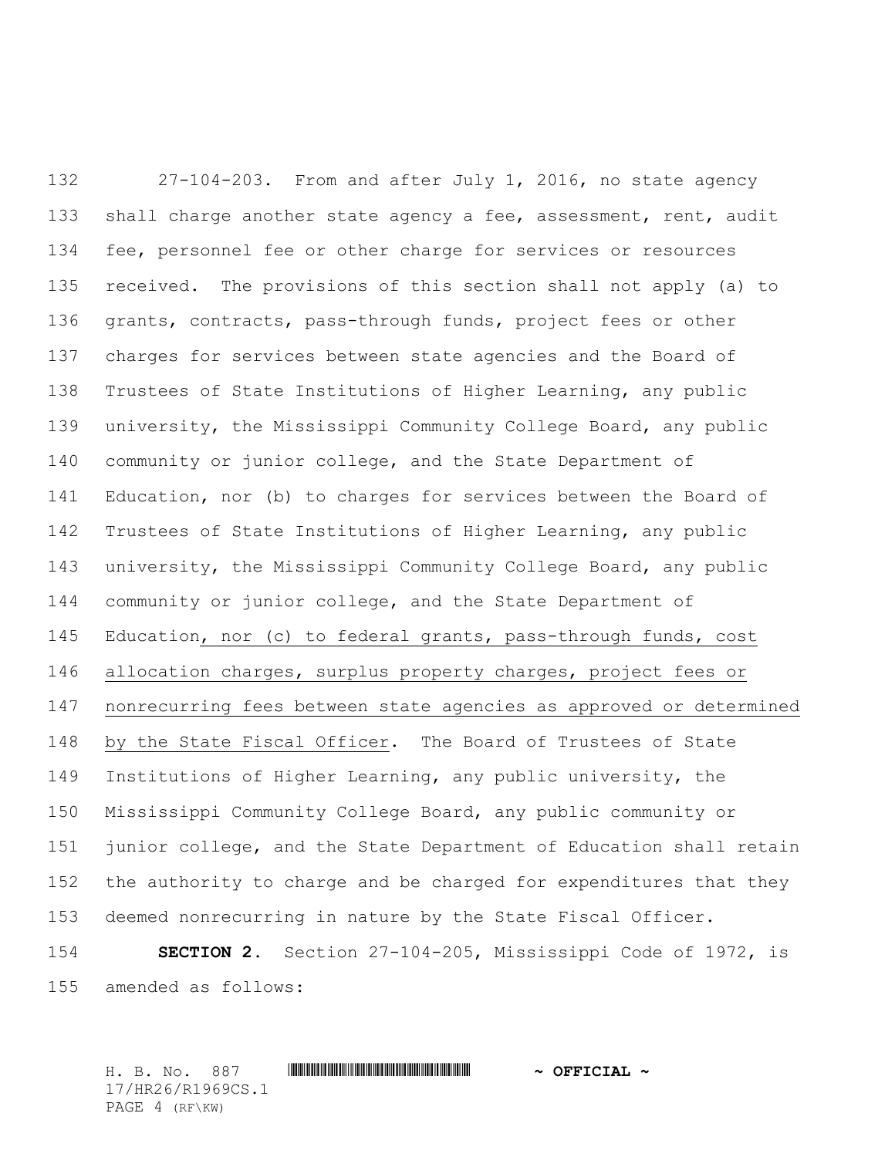27-104-203. From and after July 1, 2016, no state agency 133 shall charge another state agency a fee, assessment, rent, audit fee, personnel fee or other charge for services or resources received. The provisions of this section shall not apply (a) to grants, contracts, pass-through funds, project fees or other charges for services between state agencies and the Board of Trustees of State Institutions of Higher Learning, any public university, the Mississippi Community College Board, any public community or junior college, and the State Department of Education, nor (b) to charges for services between the Board of Trustees of State Institutions of Higher Learning, any public university, the Mississippi Community College Board, any public community or junior college, and the State Department of Education, nor (c) to federal grants, pass-through funds, cost allocation charges, surplus property charges, project fees or nonrecurring fees between state agencies as approved or determined by the State Fiscal Officer. The Board of Trustees of State Institutions of Higher Learning, any public university, the Mississippi Community College Board, any public community or junior college, and the State Department of Education shall retain the authority to charge and be charged for expenditures that they deemed nonrecurring in nature by the State Fiscal Officer.

 **SECTION 2.** Section 27-104-205, Mississippi Code of 1972, is amended as follows:

H. B. No. 887 \*HR26/R1969CS.1\* **~ OFFICIAL ~** 17/HR26/R1969CS.1 PAGE 4 (RF\KW)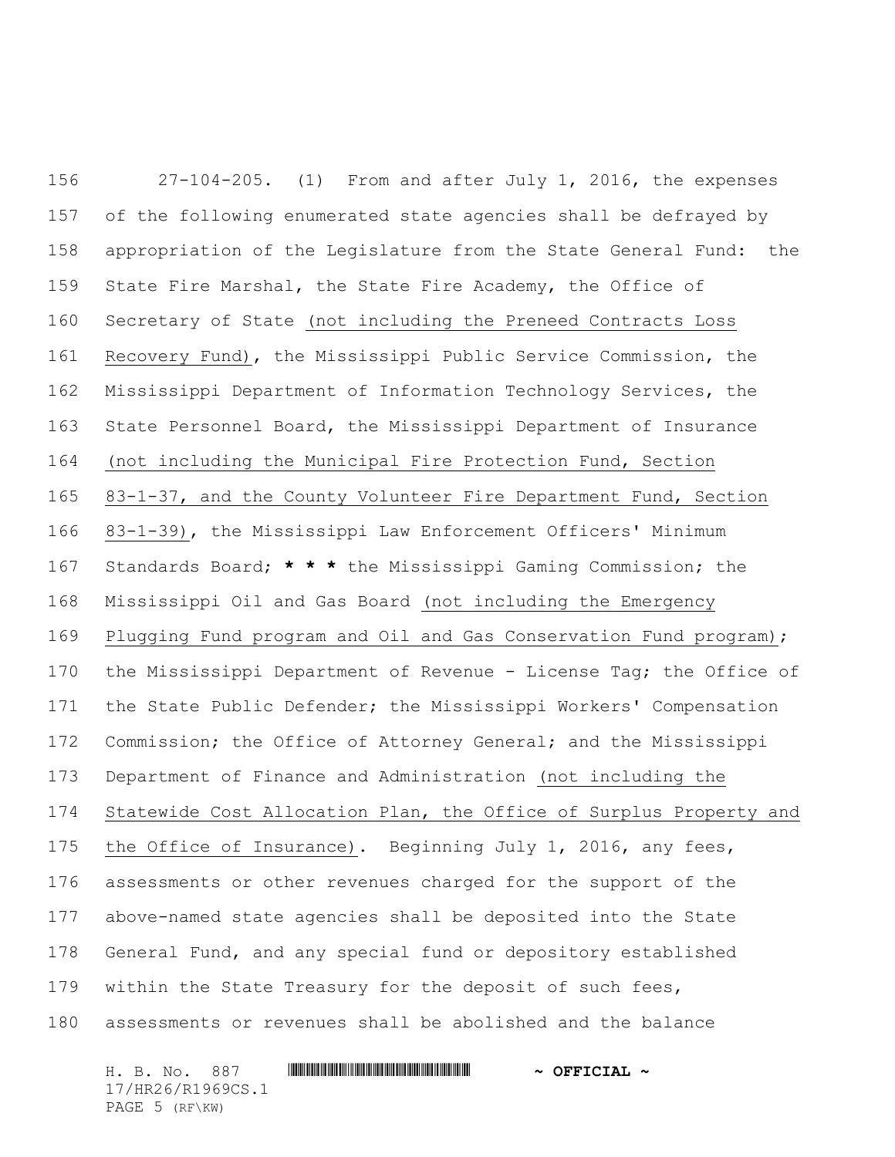27-104-205. (1) From and after July 1, 2016, the expenses of the following enumerated state agencies shall be defrayed by appropriation of the Legislature from the State General Fund: the State Fire Marshal, the State Fire Academy, the Office of Secretary of State (not including the Preneed Contracts Loss Recovery Fund), the Mississippi Public Service Commission, the Mississippi Department of Information Technology Services, the State Personnel Board, the Mississippi Department of Insurance (not including the Municipal Fire Protection Fund, Section 83-1-37, and the County Volunteer Fire Department Fund, Section 83-1-39), the Mississippi Law Enforcement Officers' Minimum Standards Board; **\* \* \*** the Mississippi Gaming Commission; the Mississippi Oil and Gas Board (not including the Emergency Plugging Fund program and Oil and Gas Conservation Fund program); 170 the Mississippi Department of Revenue - License Tag; the Office of the State Public Defender; the Mississippi Workers' Compensation Commission; the Office of Attorney General; and the Mississippi Department of Finance and Administration (not including the Statewide Cost Allocation Plan, the Office of Surplus Property and the Office of Insurance). Beginning July 1, 2016, any fees, assessments or other revenues charged for the support of the above-named state agencies shall be deposited into the State General Fund, and any special fund or depository established within the State Treasury for the deposit of such fees, assessments or revenues shall be abolished and the balance

H. B. No. 887 \*HR26/R1969CS.1\* **~ OFFICIAL ~** 17/HR26/R1969CS.1 PAGE 5 (RF\KW)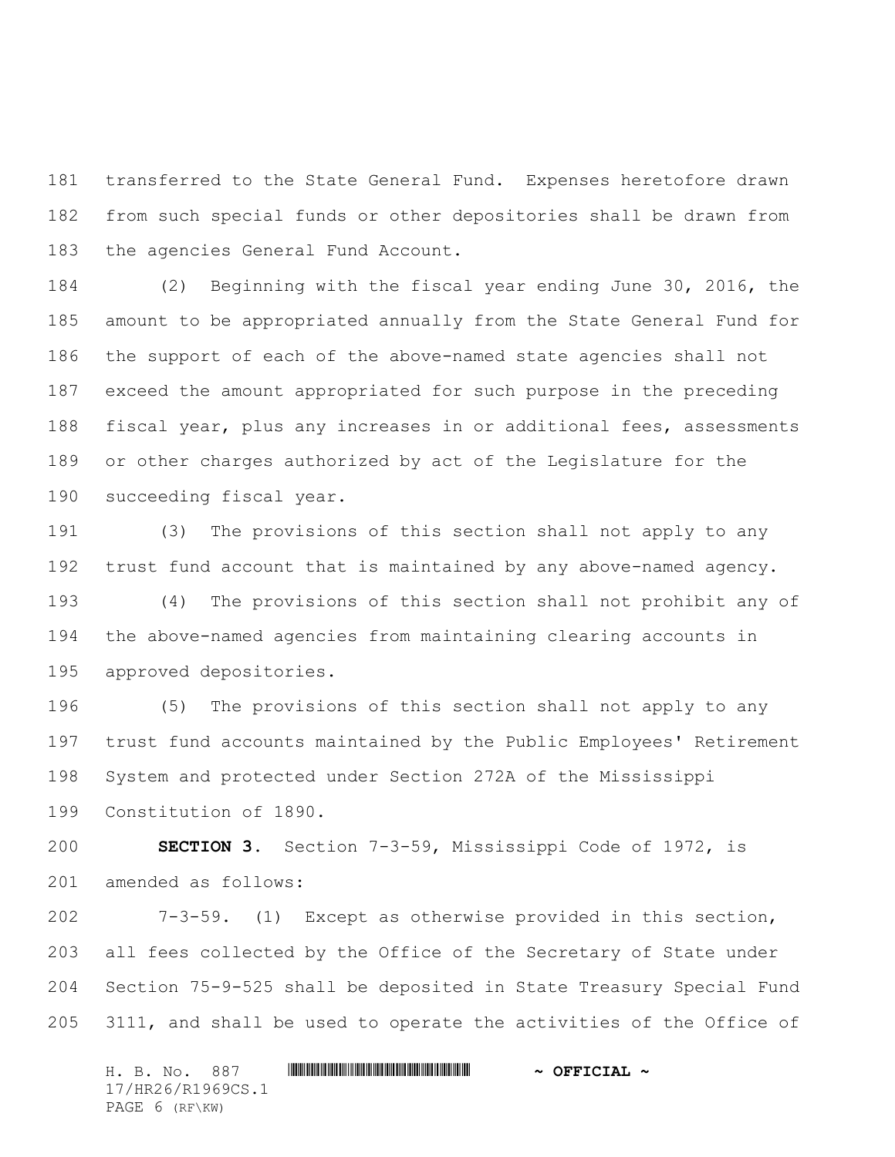transferred to the State General Fund. Expenses heretofore drawn from such special funds or other depositories shall be drawn from the agencies General Fund Account.

 (2) Beginning with the fiscal year ending June 30, 2016, the amount to be appropriated annually from the State General Fund for the support of each of the above-named state agencies shall not exceed the amount appropriated for such purpose in the preceding fiscal year, plus any increases in or additional fees, assessments or other charges authorized by act of the Legislature for the succeeding fiscal year.

 (3) The provisions of this section shall not apply to any trust fund account that is maintained by any above-named agency. (4) The provisions of this section shall not prohibit any of the above-named agencies from maintaining clearing accounts in approved depositories.

 (5) The provisions of this section shall not apply to any trust fund accounts maintained by the Public Employees' Retirement System and protected under Section 272A of the Mississippi Constitution of 1890.

 **SECTION 3.** Section 7-3-59, Mississippi Code of 1972, is amended as follows:

 7-3-59. (1) Except as otherwise provided in this section, all fees collected by the Office of the Secretary of State under Section 75-9-525 shall be deposited in State Treasury Special Fund 3111, and shall be used to operate the activities of the Office of

H. B. No. 887 \*HR26/R1969CS.1\* **~ OFFICIAL ~** 17/HR26/R1969CS.1 PAGE 6 (RF\KW)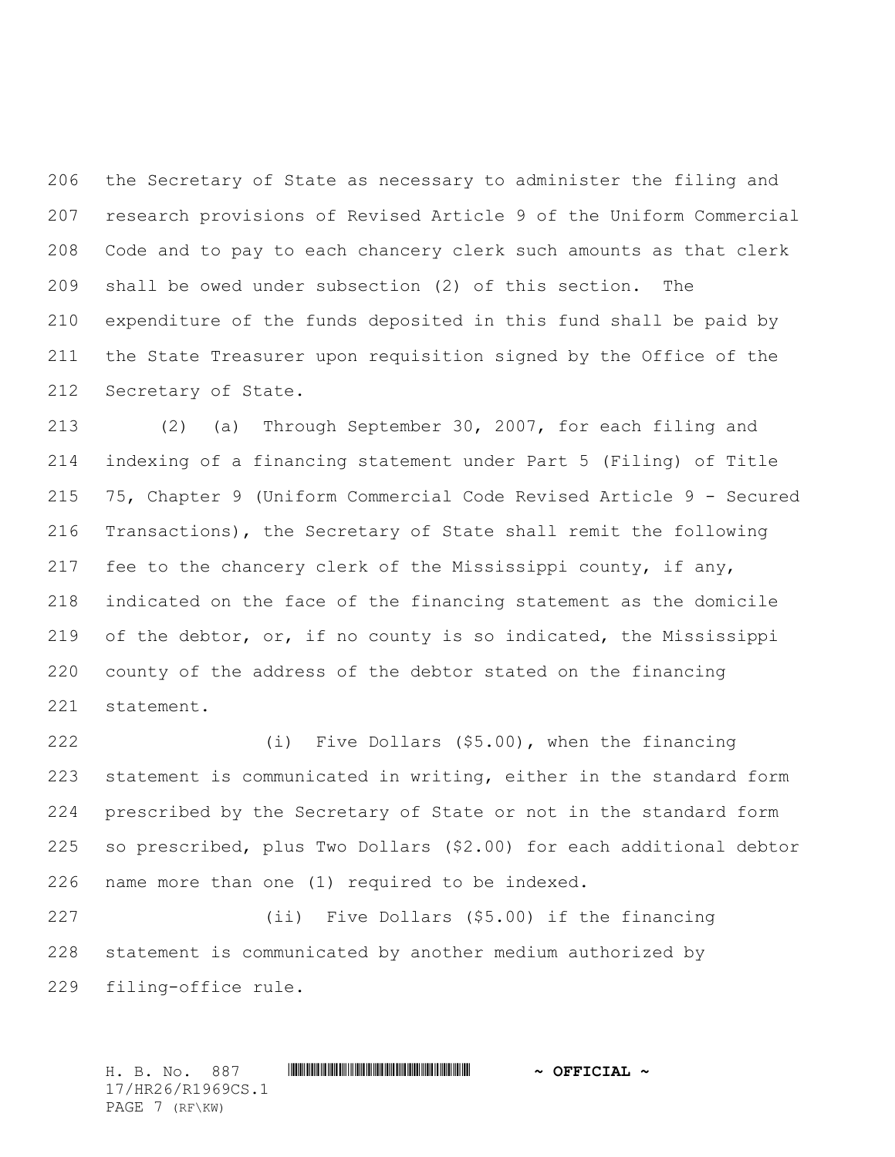the Secretary of State as necessary to administer the filing and research provisions of Revised Article 9 of the Uniform Commercial Code and to pay to each chancery clerk such amounts as that clerk shall be owed under subsection (2) of this section. The expenditure of the funds deposited in this fund shall be paid by the State Treasurer upon requisition signed by the Office of the Secretary of State.

 (2) (a) Through September 30, 2007, for each filing and indexing of a financing statement under Part 5 (Filing) of Title 75, Chapter 9 (Uniform Commercial Code Revised Article 9 - Secured Transactions), the Secretary of State shall remit the following fee to the chancery clerk of the Mississippi county, if any, indicated on the face of the financing statement as the domicile of the debtor, or, if no county is so indicated, the Mississippi county of the address of the debtor stated on the financing statement.

 (i) Five Dollars (\$5.00), when the financing statement is communicated in writing, either in the standard form prescribed by the Secretary of State or not in the standard form so prescribed, plus Two Dollars (\$2.00) for each additional debtor name more than one (1) required to be indexed.

 (ii) Five Dollars (\$5.00) if the financing statement is communicated by another medium authorized by filing-office rule.

H. B. No. 887 \*HR26/R1969CS.1\* **~ OFFICIAL ~** 17/HR26/R1969CS.1 PAGE 7 (RF\KW)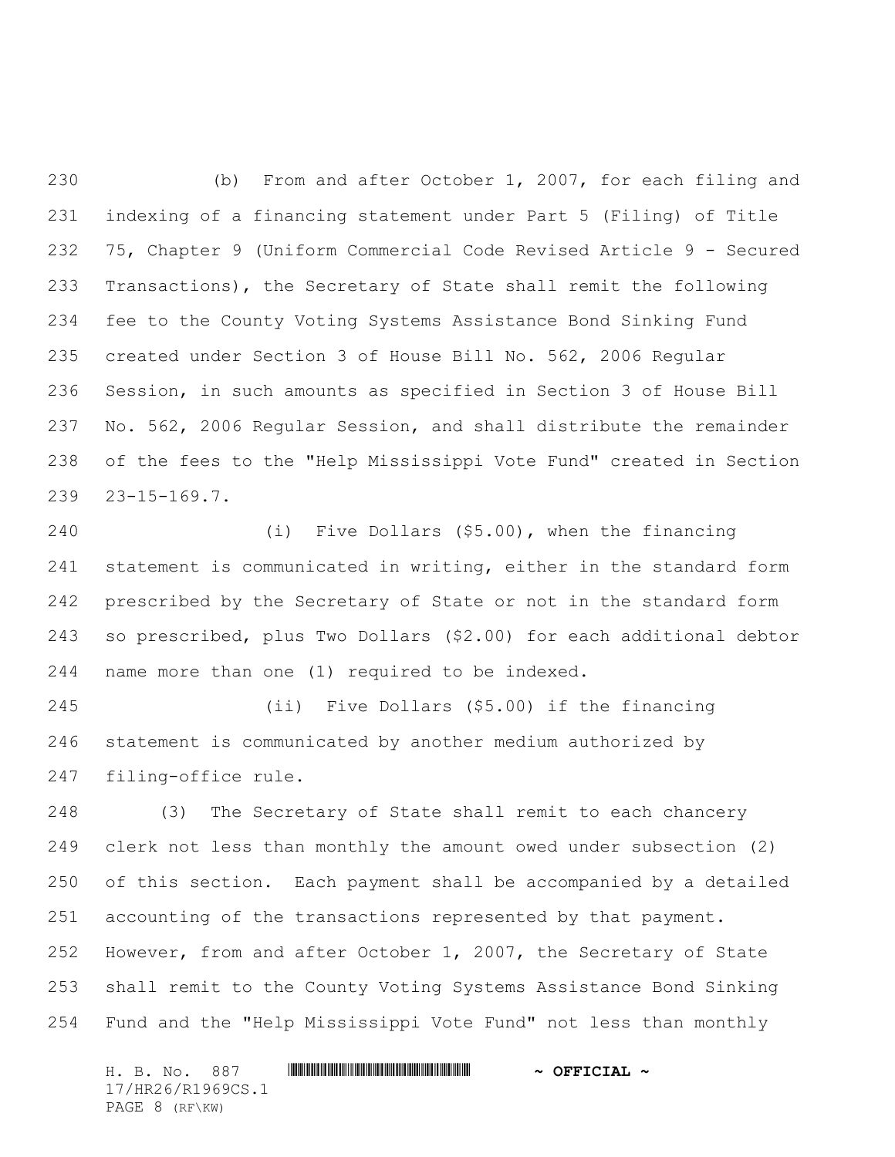(b) From and after October 1, 2007, for each filing and indexing of a financing statement under Part 5 (Filing) of Title 75, Chapter 9 (Uniform Commercial Code Revised Article 9 - Secured Transactions), the Secretary of State shall remit the following fee to the County Voting Systems Assistance Bond Sinking Fund created under Section 3 of House Bill No. 562, 2006 Regular Session, in such amounts as specified in Section 3 of House Bill No. 562, 2006 Regular Session, and shall distribute the remainder of the fees to the "Help Mississippi Vote Fund" created in Section 23-15-169.7.

 (i) Five Dollars (\$5.00), when the financing statement is communicated in writing, either in the standard form prescribed by the Secretary of State or not in the standard form so prescribed, plus Two Dollars (\$2.00) for each additional debtor name more than one (1) required to be indexed.

 (ii) Five Dollars (\$5.00) if the financing statement is communicated by another medium authorized by filing-office rule.

 (3) The Secretary of State shall remit to each chancery clerk not less than monthly the amount owed under subsection (2) of this section. Each payment shall be accompanied by a detailed accounting of the transactions represented by that payment. However, from and after October 1, 2007, the Secretary of State shall remit to the County Voting Systems Assistance Bond Sinking Fund and the "Help Mississippi Vote Fund" not less than monthly

H. B. No. 887 \*HR26/R1969CS.1\* **~ OFFICIAL ~** 17/HR26/R1969CS.1 PAGE 8 (RF\KW)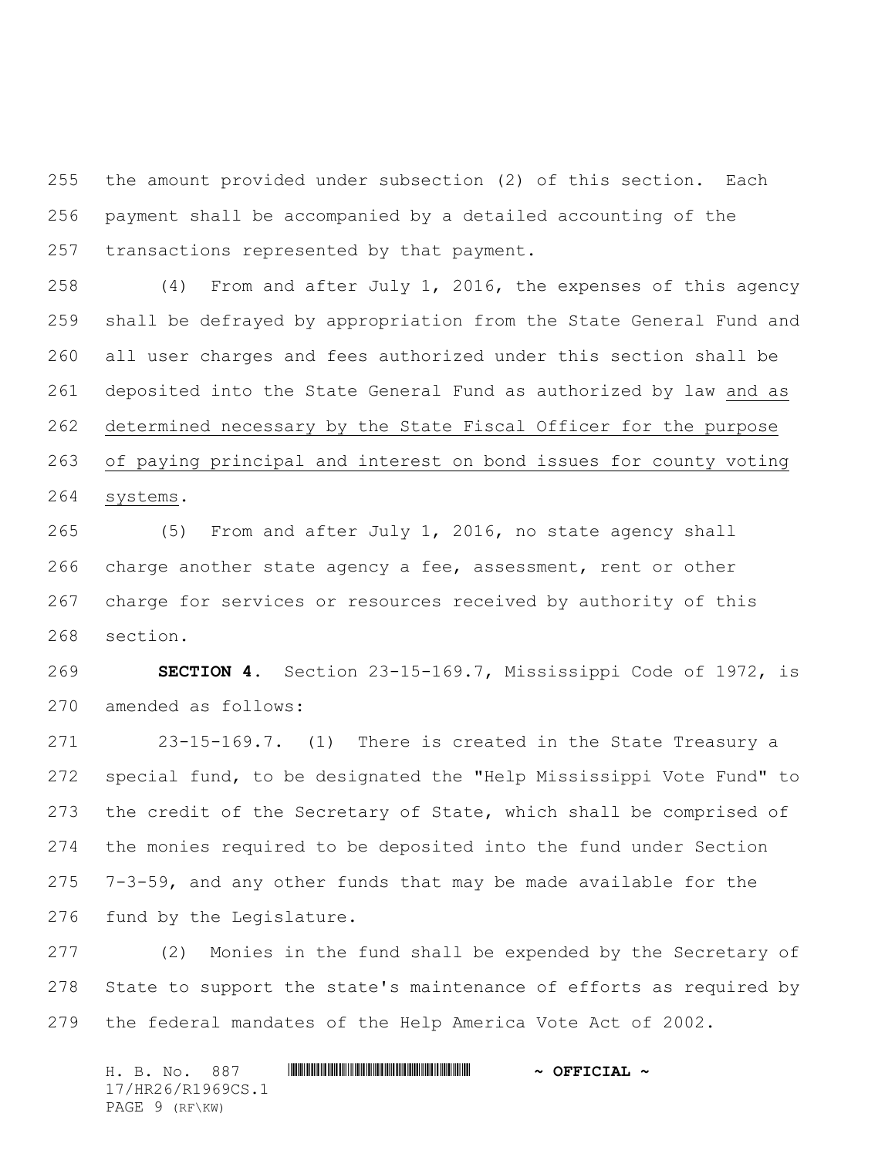the amount provided under subsection (2) of this section. Each payment shall be accompanied by a detailed accounting of the transactions represented by that payment.

 (4) From and after July 1, 2016, the expenses of this agency shall be defrayed by appropriation from the State General Fund and all user charges and fees authorized under this section shall be deposited into the State General Fund as authorized by law and as determined necessary by the State Fiscal Officer for the purpose of paying principal and interest on bond issues for county voting systems.

 (5) From and after July 1, 2016, no state agency shall charge another state agency a fee, assessment, rent or other charge for services or resources received by authority of this section.

 **SECTION 4.** Section 23-15-169.7, Mississippi Code of 1972, is amended as follows:

 23-15-169.7. (1) There is created in the State Treasury a special fund, to be designated the "Help Mississippi Vote Fund" to 273 the credit of the Secretary of State, which shall be comprised of the monies required to be deposited into the fund under Section 7-3-59, and any other funds that may be made available for the fund by the Legislature.

 (2) Monies in the fund shall be expended by the Secretary of State to support the state's maintenance of efforts as required by the federal mandates of the Help America Vote Act of 2002.

H. B. No. 887 \*HR26/R1969CS.1\* **~ OFFICIAL ~** 17/HR26/R1969CS.1 PAGE 9 (RF\KW)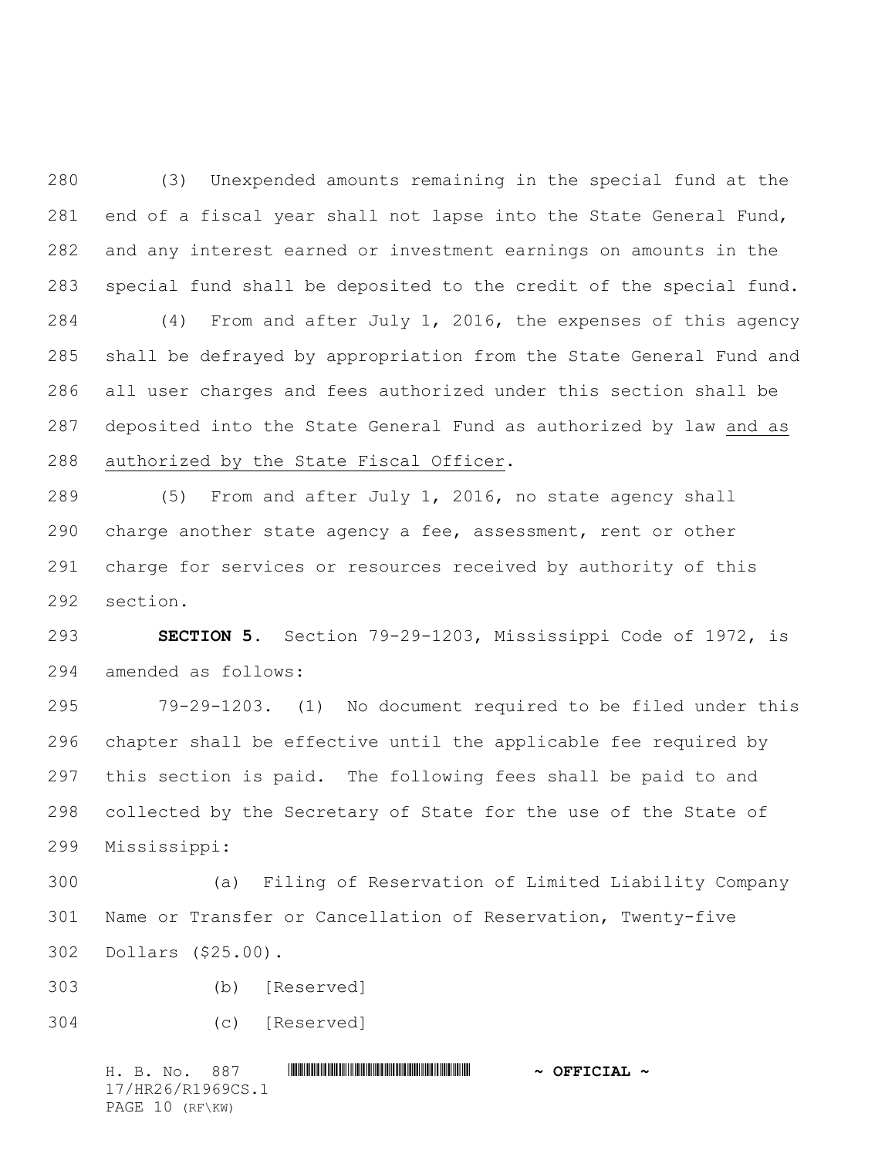(3) Unexpended amounts remaining in the special fund at the end of a fiscal year shall not lapse into the State General Fund, and any interest earned or investment earnings on amounts in the special fund shall be deposited to the credit of the special fund. (4) From and after July 1, 2016, the expenses of this agency shall be defrayed by appropriation from the State General Fund and all user charges and fees authorized under this section shall be deposited into the State General Fund as authorized by law and as authorized by the State Fiscal Officer.

 (5) From and after July 1, 2016, no state agency shall charge another state agency a fee, assessment, rent or other charge for services or resources received by authority of this section.

 **SECTION 5.** Section 79-29-1203, Mississippi Code of 1972, is amended as follows:

 79-29-1203. (1) No document required to be filed under this chapter shall be effective until the applicable fee required by this section is paid. The following fees shall be paid to and collected by the Secretary of State for the use of the State of Mississippi:

 (a) Filing of Reservation of Limited Liability Company Name or Transfer or Cancellation of Reservation, Twenty-five Dollars (\$25.00).

(b) [Reserved]

```
304 (c) [Reserved]
```
H. B. No. 887 \*HR26/R1969CS.1\* **~ OFFICIAL ~** 17/HR26/R1969CS.1 PAGE 10 (RF\KW)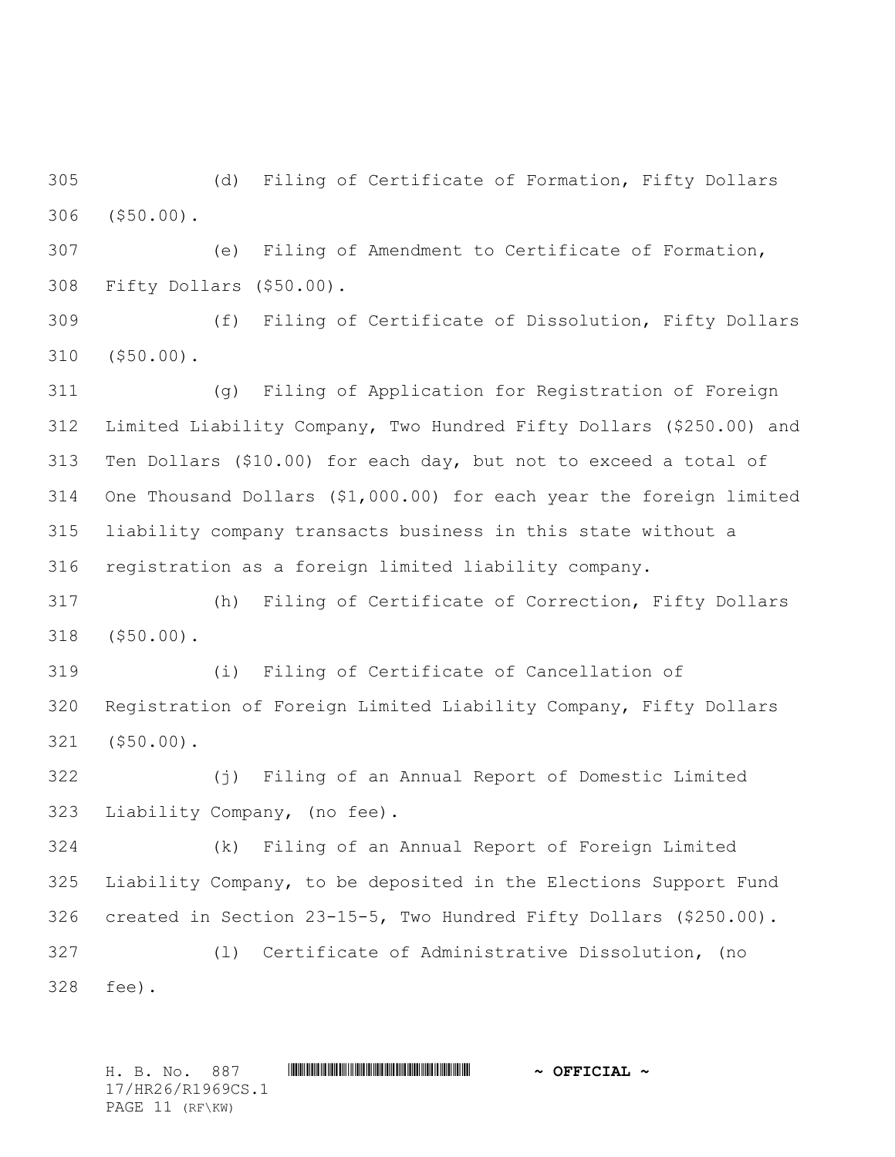(d) Filing of Certificate of Formation, Fifty Dollars (\$50.00).

 (e) Filing of Amendment to Certificate of Formation, Fifty Dollars (\$50.00).

 (f) Filing of Certificate of Dissolution, Fifty Dollars (\$50.00).

 (g) Filing of Application for Registration of Foreign Limited Liability Company, Two Hundred Fifty Dollars (\$250.00) and Ten Dollars (\$10.00) for each day, but not to exceed a total of One Thousand Dollars (\$1,000.00) for each year the foreign limited liability company transacts business in this state without a registration as a foreign limited liability company.

 (h) Filing of Certificate of Correction, Fifty Dollars (\$50.00).

 (i) Filing of Certificate of Cancellation of Registration of Foreign Limited Liability Company, Fifty Dollars (\$50.00).

 (j) Filing of an Annual Report of Domestic Limited Liability Company, (no fee).

 (k) Filing of an Annual Report of Foreign Limited Liability Company, to be deposited in the Elections Support Fund created in Section 23-15-5, Two Hundred Fifty Dollars (\$250.00).

 (l) Certificate of Administrative Dissolution, (no fee).

H. B. No. 887 \*HR26/R1969CS.1\* **~ OFFICIAL ~** 17/HR26/R1969CS.1 PAGE 11 (RF\KW)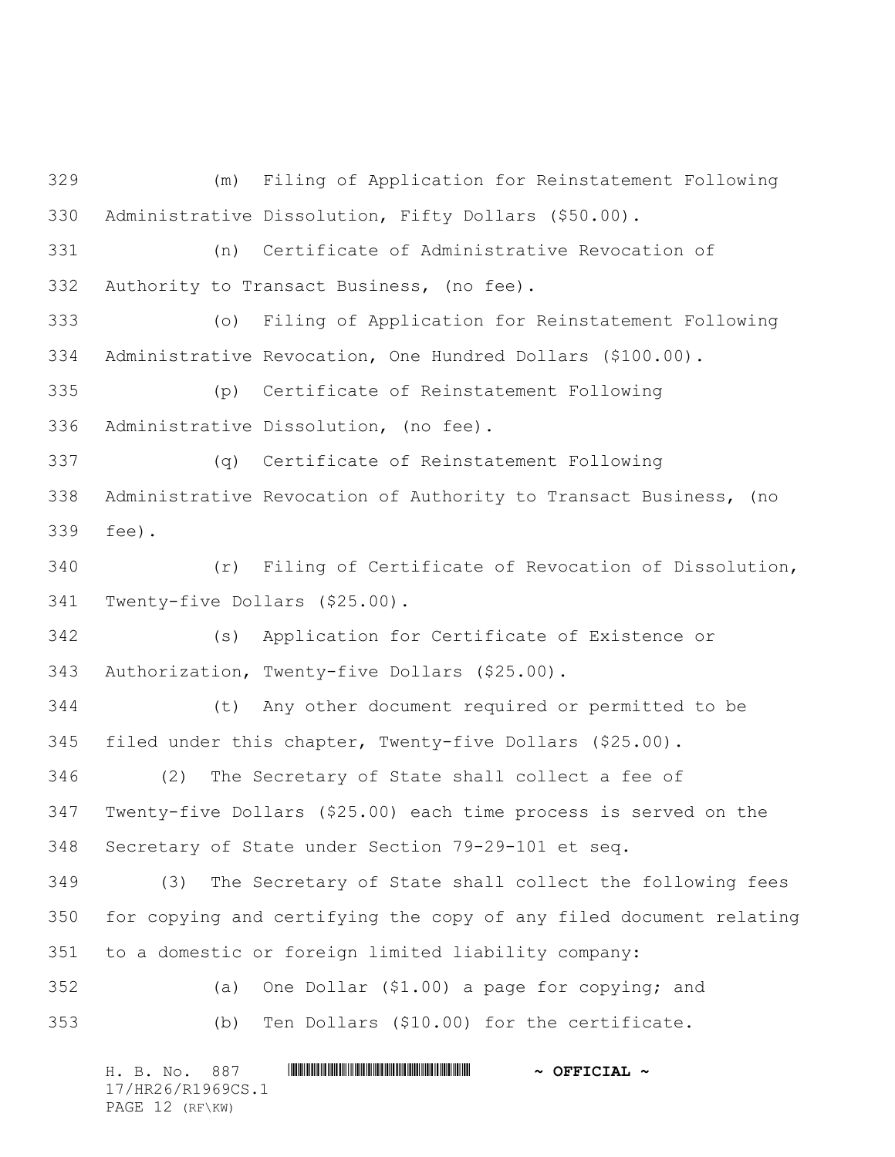(m) Filing of Application for Reinstatement Following Administrative Dissolution, Fifty Dollars (\$50.00). (n) Certificate of Administrative Revocation of Authority to Transact Business, (no fee). (o) Filing of Application for Reinstatement Following Administrative Revocation, One Hundred Dollars (\$100.00). (p) Certificate of Reinstatement Following Administrative Dissolution, (no fee). (q) Certificate of Reinstatement Following Administrative Revocation of Authority to Transact Business, (no fee). (r) Filing of Certificate of Revocation of Dissolution, Twenty-five Dollars (\$25.00). (s) Application for Certificate of Existence or Authorization, Twenty-five Dollars (\$25.00). (t) Any other document required or permitted to be filed under this chapter, Twenty-five Dollars (\$25.00). (2) The Secretary of State shall collect a fee of Twenty-five Dollars (\$25.00) each time process is served on the Secretary of State under Section 79-29-101 et seq. (3) The Secretary of State shall collect the following fees for copying and certifying the copy of any filed document relating to a domestic or foreign limited liability company: (a) One Dollar (\$1.00) a page for copying; and (b) Ten Dollars (\$10.00) for the certificate.

H. B. No. 887 \*HR26/R1969CS.1\* **~ OFFICIAL ~** 17/HR26/R1969CS.1 PAGE 12 (RF\KW)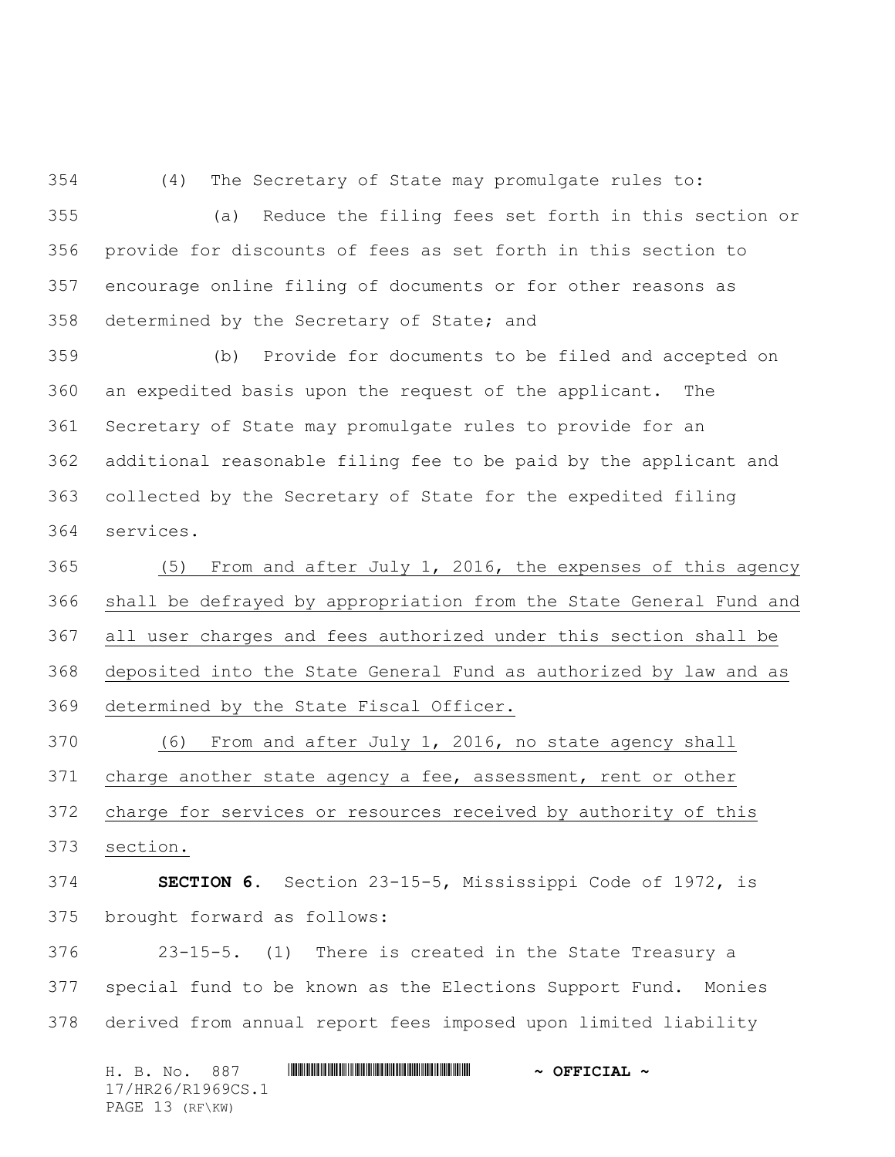(4) The Secretary of State may promulgate rules to:

 (a) Reduce the filing fees set forth in this section or provide for discounts of fees as set forth in this section to encourage online filing of documents or for other reasons as determined by the Secretary of State; and

 (b) Provide for documents to be filed and accepted on an expedited basis upon the request of the applicant. The Secretary of State may promulgate rules to provide for an additional reasonable filing fee to be paid by the applicant and collected by the Secretary of State for the expedited filing services.

 (5) From and after July 1, 2016, the expenses of this agency shall be defrayed by appropriation from the State General Fund and all user charges and fees authorized under this section shall be deposited into the State General Fund as authorized by law and as determined by the State Fiscal Officer.

 (6) From and after July 1, 2016, no state agency shall charge another state agency a fee, assessment, rent or other charge for services or resources received by authority of this section.

 **SECTION 6.** Section 23-15-5, Mississippi Code of 1972, is brought forward as follows:

 23-15-5. (1) There is created in the State Treasury a special fund to be known as the Elections Support Fund. Monies derived from annual report fees imposed upon limited liability

H. B. No. 887 \*HR26/R1969CS.1\* **~ OFFICIAL ~** 17/HR26/R1969CS.1 PAGE 13 (RF\KW)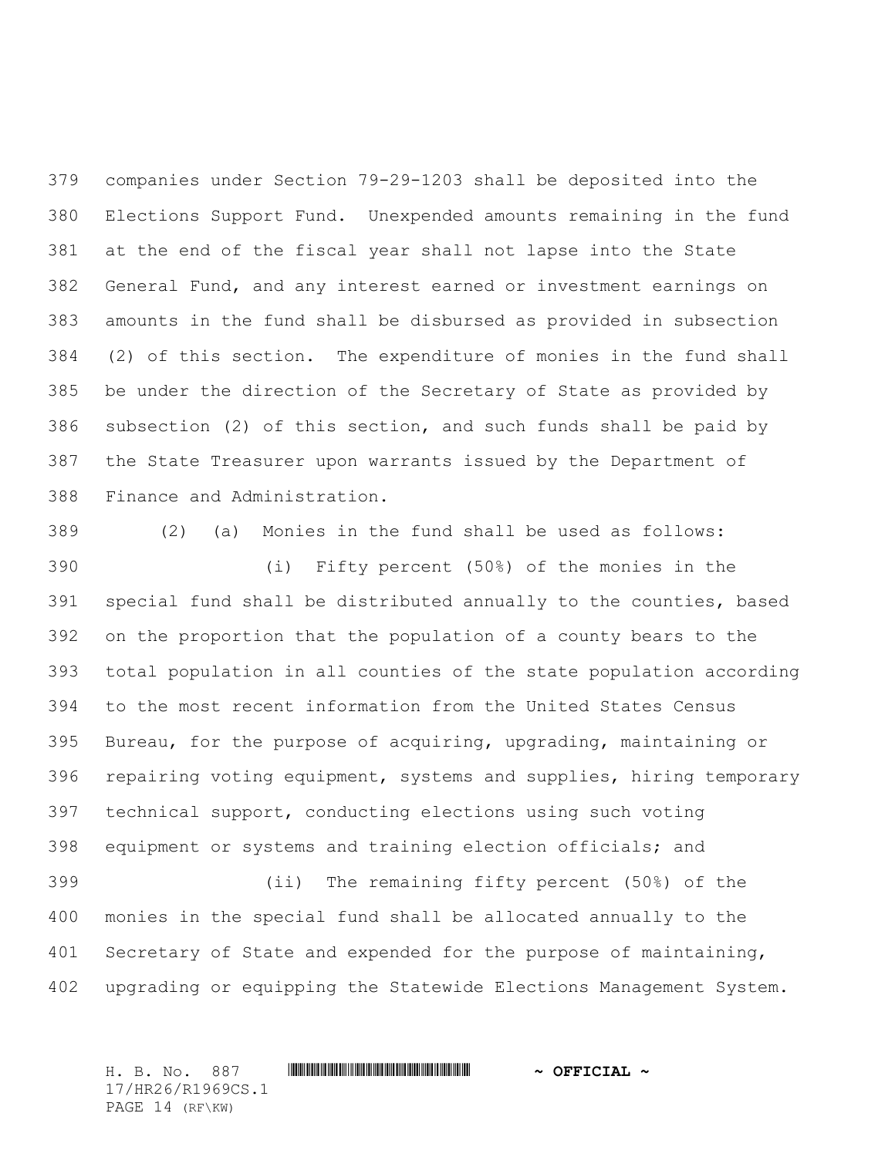companies under Section 79-29-1203 shall be deposited into the Elections Support Fund. Unexpended amounts remaining in the fund at the end of the fiscal year shall not lapse into the State General Fund, and any interest earned or investment earnings on amounts in the fund shall be disbursed as provided in subsection (2) of this section. The expenditure of monies in the fund shall be under the direction of the Secretary of State as provided by subsection (2) of this section, and such funds shall be paid by the State Treasurer upon warrants issued by the Department of Finance and Administration.

 (2) (a) Monies in the fund shall be used as follows: (i) Fifty percent (50%) of the monies in the special fund shall be distributed annually to the counties, based on the proportion that the population of a county bears to the total population in all counties of the state population according to the most recent information from the United States Census Bureau, for the purpose of acquiring, upgrading, maintaining or repairing voting equipment, systems and supplies, hiring temporary technical support, conducting elections using such voting equipment or systems and training election officials; and (ii) The remaining fifty percent (50%) of the monies in the special fund shall be allocated annually to the 401 Secretary of State and expended for the purpose of maintaining, upgrading or equipping the Statewide Elections Management System.

H. B. No. 887 \*HR26/R1969CS.1\* **~ OFFICIAL ~** 17/HR26/R1969CS.1 PAGE 14 (RF\KW)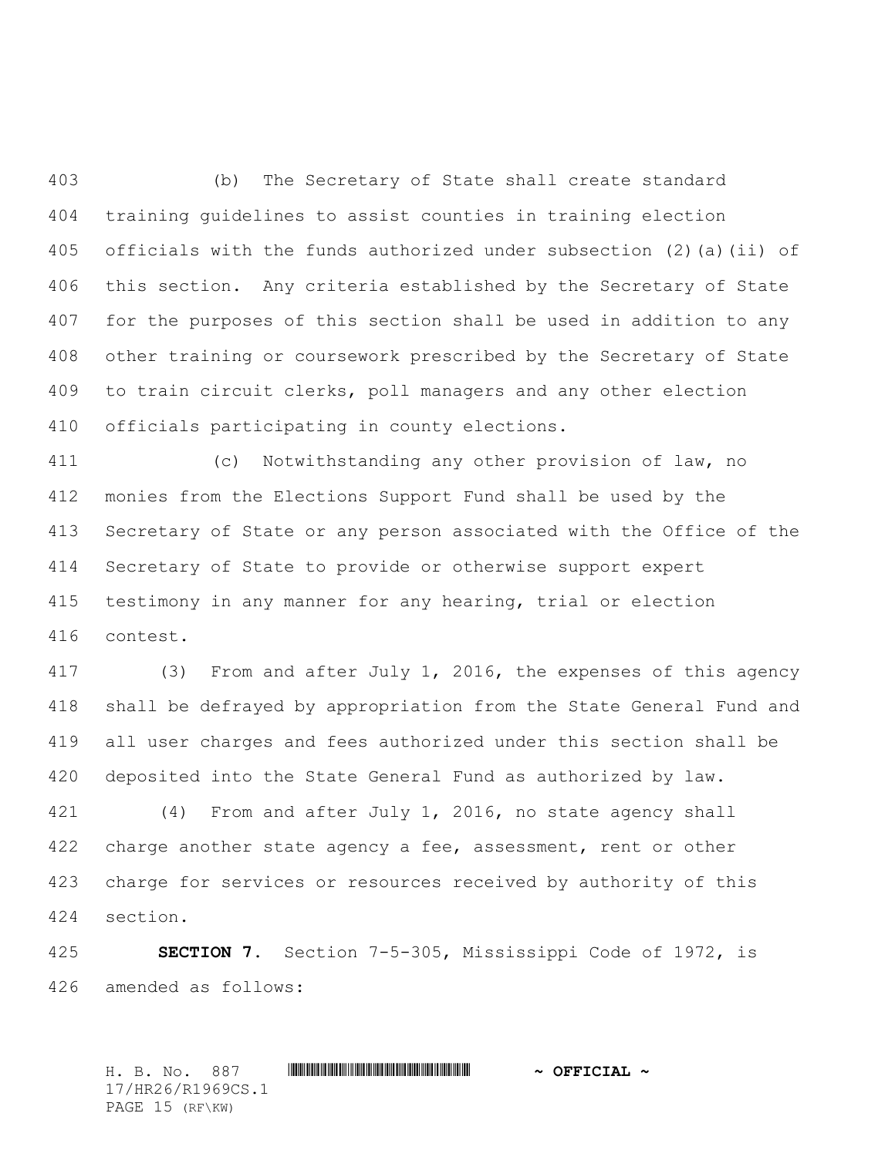(b) The Secretary of State shall create standard training guidelines to assist counties in training election officials with the funds authorized under subsection (2)(a)(ii) of this section. Any criteria established by the Secretary of State for the purposes of this section shall be used in addition to any other training or coursework prescribed by the Secretary of State to train circuit clerks, poll managers and any other election officials participating in county elections.

 (c) Notwithstanding any other provision of law, no monies from the Elections Support Fund shall be used by the Secretary of State or any person associated with the Office of the Secretary of State to provide or otherwise support expert testimony in any manner for any hearing, trial or election contest.

 (3) From and after July 1, 2016, the expenses of this agency shall be defrayed by appropriation from the State General Fund and all user charges and fees authorized under this section shall be deposited into the State General Fund as authorized by law.

 (4) From and after July 1, 2016, no state agency shall 422 charge another state agency a fee, assessment, rent or other charge for services or resources received by authority of this section.

 **SECTION 7.** Section 7-5-305, Mississippi Code of 1972, is amended as follows:

H. B. No. 887 \*HR26/R1969CS.1\* **~ OFFICIAL ~** 17/HR26/R1969CS.1 PAGE 15 (RF\KW)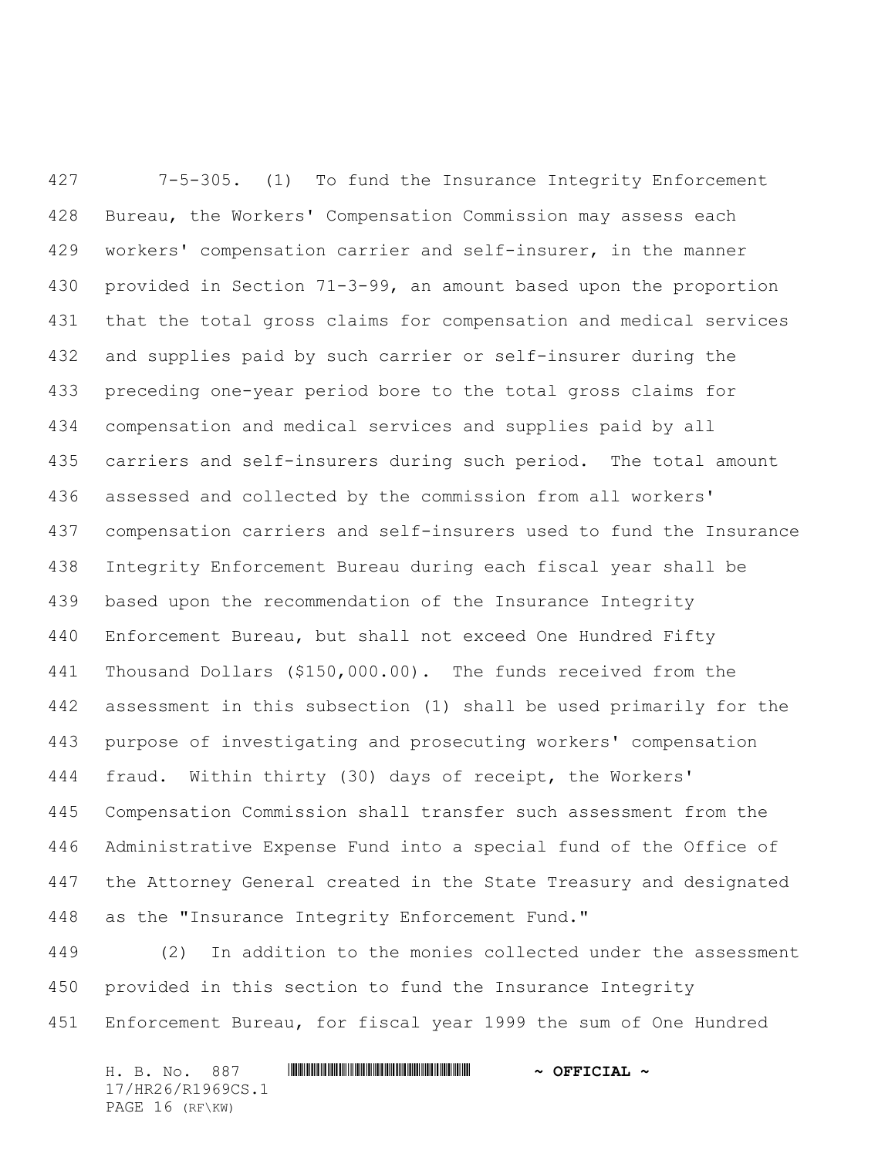7-5-305. (1) To fund the Insurance Integrity Enforcement Bureau, the Workers' Compensation Commission may assess each workers' compensation carrier and self-insurer, in the manner provided in Section 71-3-99, an amount based upon the proportion that the total gross claims for compensation and medical services and supplies paid by such carrier or self-insurer during the preceding one-year period bore to the total gross claims for compensation and medical services and supplies paid by all carriers and self-insurers during such period. The total amount assessed and collected by the commission from all workers' compensation carriers and self-insurers used to fund the Insurance Integrity Enforcement Bureau during each fiscal year shall be based upon the recommendation of the Insurance Integrity Enforcement Bureau, but shall not exceed One Hundred Fifty Thousand Dollars (\$150,000.00). The funds received from the assessment in this subsection (1) shall be used primarily for the purpose of investigating and prosecuting workers' compensation fraud. Within thirty (30) days of receipt, the Workers' Compensation Commission shall transfer such assessment from the Administrative Expense Fund into a special fund of the Office of the Attorney General created in the State Treasury and designated as the "Insurance Integrity Enforcement Fund."

 (2) In addition to the monies collected under the assessment provided in this section to fund the Insurance Integrity Enforcement Bureau, for fiscal year 1999 the sum of One Hundred

H. B. No. 887 \*HR26/R1969CS.1\* **~ OFFICIAL ~** 17/HR26/R1969CS.1 PAGE 16 (RF\KW)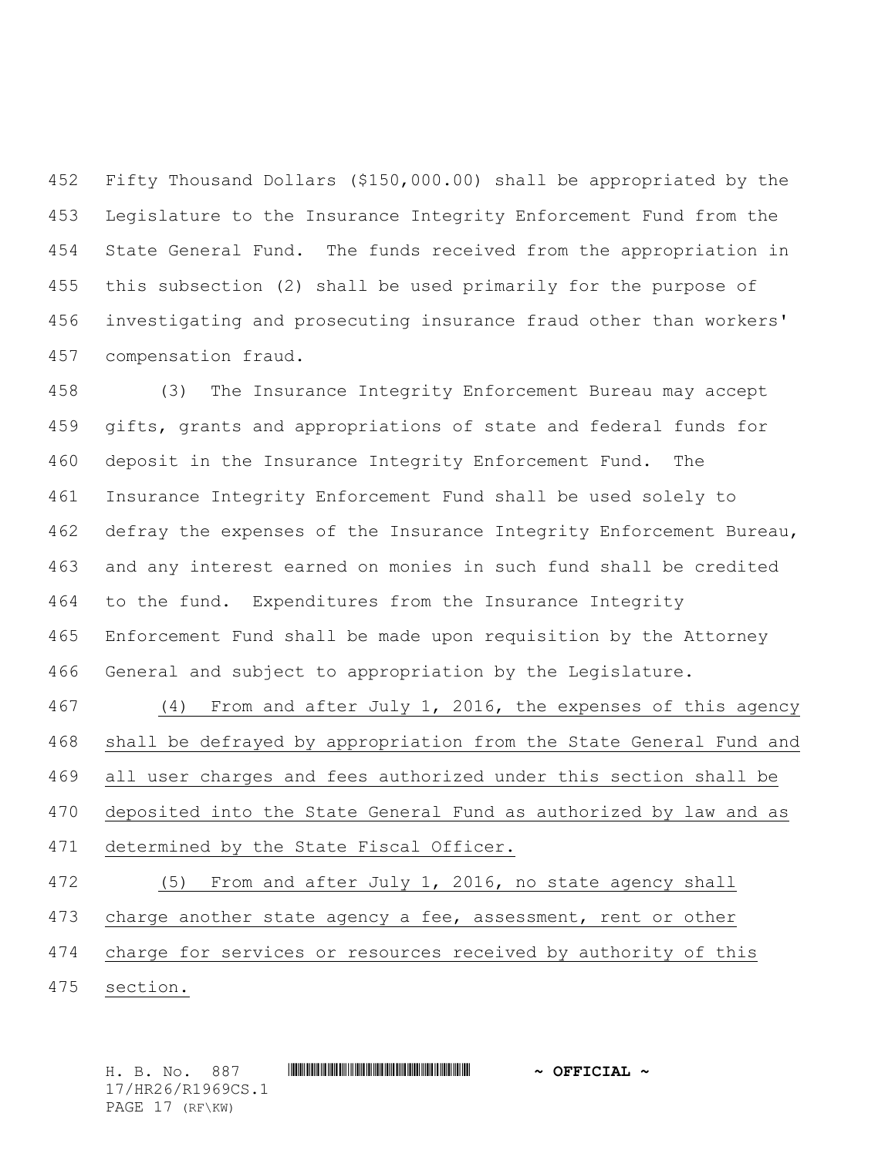Fifty Thousand Dollars (\$150,000.00) shall be appropriated by the Legislature to the Insurance Integrity Enforcement Fund from the State General Fund. The funds received from the appropriation in this subsection (2) shall be used primarily for the purpose of investigating and prosecuting insurance fraud other than workers' compensation fraud.

 (3) The Insurance Integrity Enforcement Bureau may accept gifts, grants and appropriations of state and federal funds for deposit in the Insurance Integrity Enforcement Fund. The Insurance Integrity Enforcement Fund shall be used solely to defray the expenses of the Insurance Integrity Enforcement Bureau, and any interest earned on monies in such fund shall be credited to the fund. Expenditures from the Insurance Integrity Enforcement Fund shall be made upon requisition by the Attorney General and subject to appropriation by the Legislature.

 (4) From and after July 1, 2016, the expenses of this agency shall be defrayed by appropriation from the State General Fund and all user charges and fees authorized under this section shall be deposited into the State General Fund as authorized by law and as determined by the State Fiscal Officer.

 (5) From and after July 1, 2016, no state agency shall 473 charge another state agency a fee, assessment, rent or other charge for services or resources received by authority of this section.

H. B. No. 887 \*HR26/R1969CS.1\* **~ OFFICIAL ~** 17/HR26/R1969CS.1 PAGE 17 (RF\KW)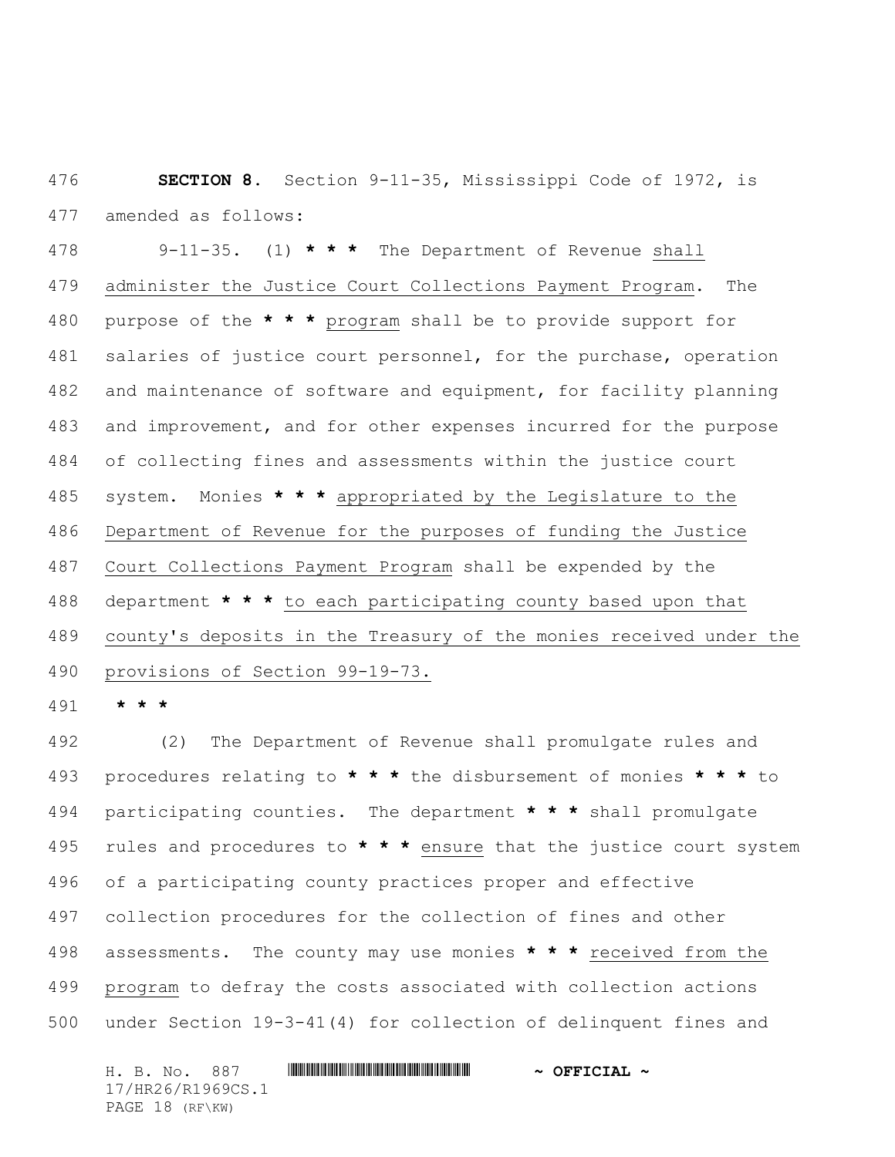**SECTION 8.** Section 9-11-35, Mississippi Code of 1972, is amended as follows:

 9-11-35. (1) **\* \* \*** The Department of Revenue shall administer the Justice Court Collections Payment Program. The purpose of the **\* \* \*** program shall be to provide support for 481 salaries of justice court personnel, for the purchase, operation 482 and maintenance of software and equipment, for facility planning and improvement, and for other expenses incurred for the purpose of collecting fines and assessments within the justice court system. Monies **\* \* \*** appropriated by the Legislature to the Department of Revenue for the purposes of funding the Justice Court Collections Payment Program shall be expended by the department **\* \* \*** to each participating county based upon that county's deposits in the Treasury of the monies received under the provisions of Section 99-19-73.

**\* \* \***

 (2) The Department of Revenue shall promulgate rules and procedures relating to **\* \* \*** the disbursement of monies **\* \* \*** to participating counties. The department **\* \* \*** shall promulgate rules and procedures to **\* \* \*** ensure that the justice court system of a participating county practices proper and effective collection procedures for the collection of fines and other assessments. The county may use monies **\* \* \*** received from the program to defray the costs associated with collection actions under Section 19-3-41(4) for collection of delinquent fines and

H. B. No. 887 \*HR26/R1969CS.1\* **~ OFFICIAL ~** 17/HR26/R1969CS.1 PAGE 18 (RF\KW)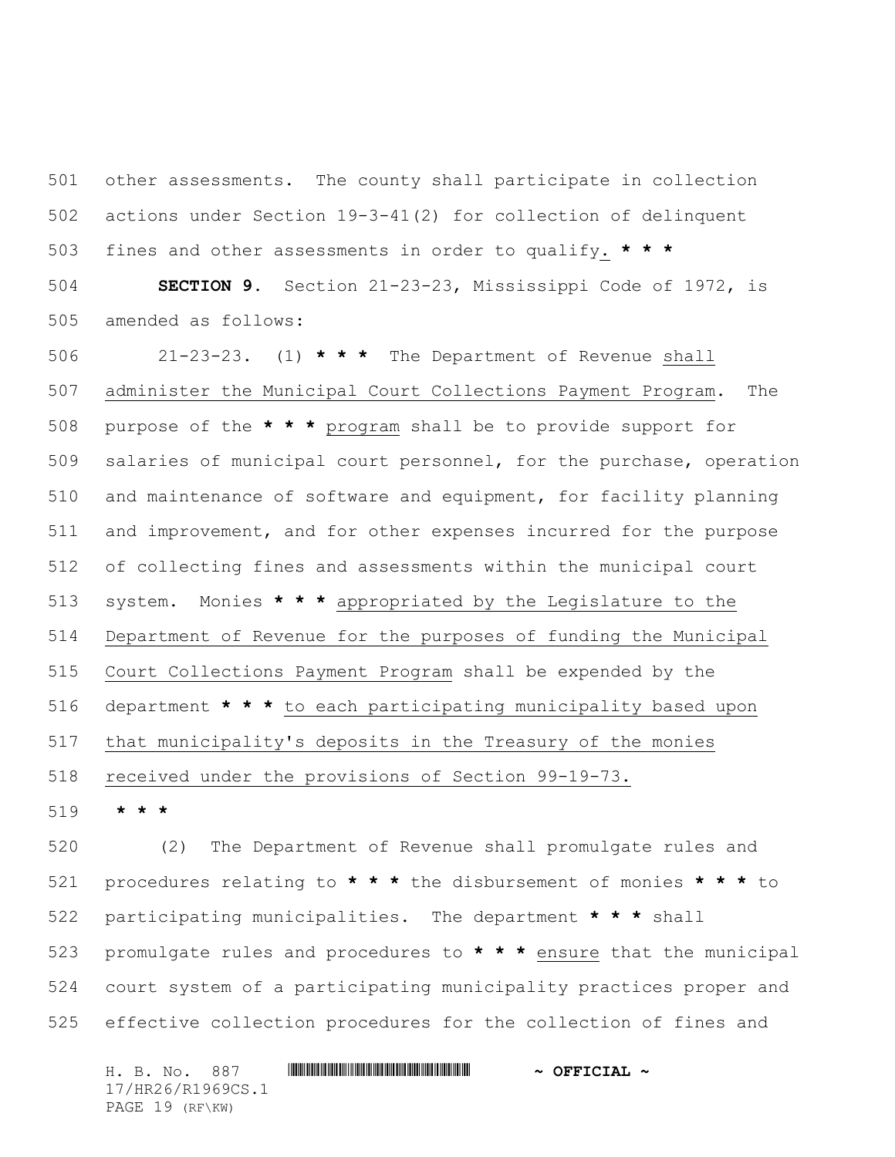other assessments. The county shall participate in collection actions under Section 19-3-41(2) for collection of delinquent fines and other assessments in order to qualify. **\* \* \***

 **SECTION 9.** Section 21-23-23, Mississippi Code of 1972, is amended as follows:

 21-23-23. (1) **\* \* \*** The Department of Revenue shall administer the Municipal Court Collections Payment Program. The purpose of the **\* \* \*** program shall be to provide support for salaries of municipal court personnel, for the purchase, operation and maintenance of software and equipment, for facility planning and improvement, and for other expenses incurred for the purpose of collecting fines and assessments within the municipal court system. Monies **\* \* \*** appropriated by the Legislature to the Department of Revenue for the purposes of funding the Municipal Court Collections Payment Program shall be expended by the department **\* \* \*** to each participating municipality based upon that municipality's deposits in the Treasury of the monies received under the provisions of Section 99-19-73.

**\* \* \***

 (2) The Department of Revenue shall promulgate rules and procedures relating to **\* \* \*** the disbursement of monies **\* \* \*** to participating municipalities. The department **\* \* \*** shall promulgate rules and procedures to **\* \* \*** ensure that the municipal court system of a participating municipality practices proper and effective collection procedures for the collection of fines and

H. B. No. 887 \*HR26/R1969CS.1\* **~ OFFICIAL ~** 17/HR26/R1969CS.1 PAGE 19 (RF\KW)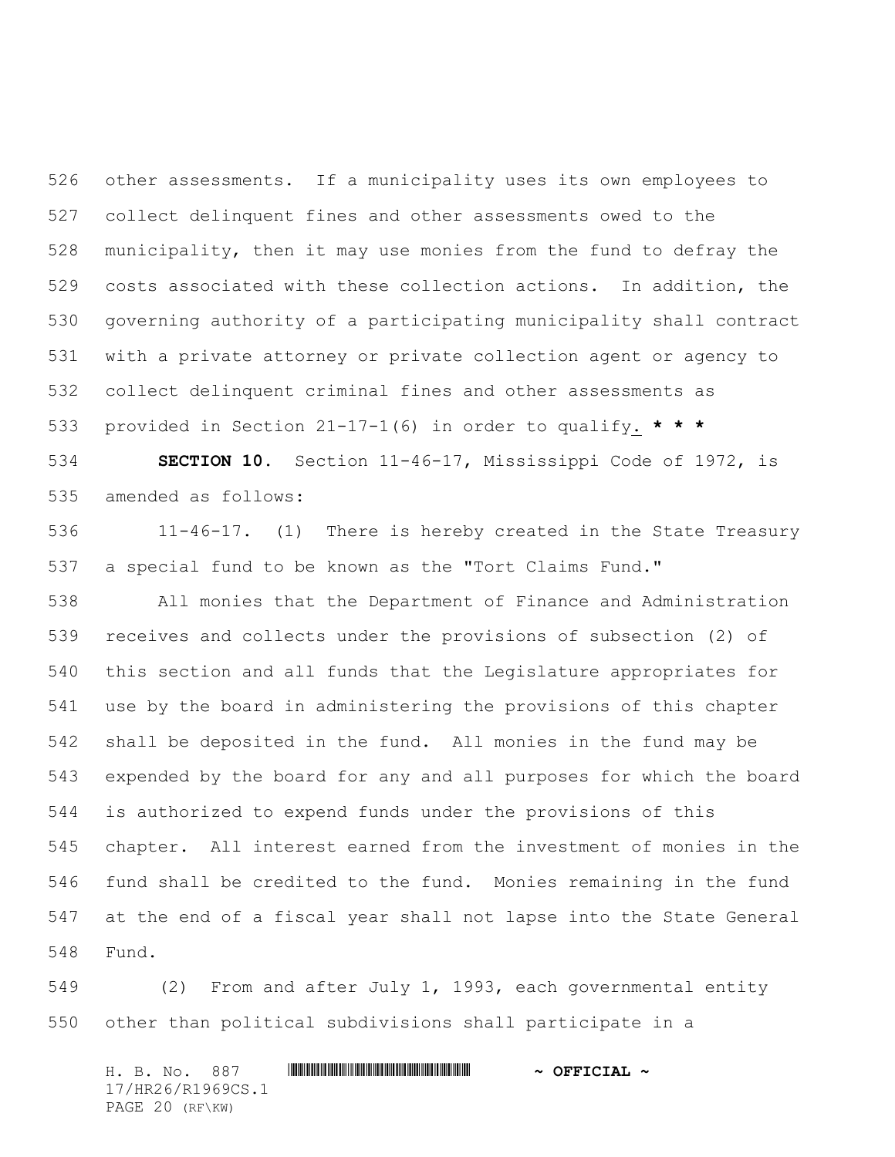other assessments. If a municipality uses its own employees to collect delinquent fines and other assessments owed to the municipality, then it may use monies from the fund to defray the costs associated with these collection actions. In addition, the governing authority of a participating municipality shall contract with a private attorney or private collection agent or agency to collect delinquent criminal fines and other assessments as provided in Section 21-17-1(6) in order to qualify. **\* \* \***

 **SECTION 10.** Section 11-46-17, Mississippi Code of 1972, is amended as follows:

 11-46-17. (1) There is hereby created in the State Treasury a special fund to be known as the "Tort Claims Fund."

 All monies that the Department of Finance and Administration receives and collects under the provisions of subsection (2) of this section and all funds that the Legislature appropriates for use by the board in administering the provisions of this chapter shall be deposited in the fund. All monies in the fund may be expended by the board for any and all purposes for which the board is authorized to expend funds under the provisions of this chapter. All interest earned from the investment of monies in the fund shall be credited to the fund. Monies remaining in the fund at the end of a fiscal year shall not lapse into the State General Fund.

 (2) From and after July 1, 1993, each governmental entity other than political subdivisions shall participate in a

H. B. No. 887 \*HR26/R1969CS.1\* **~ OFFICIAL ~** 17/HR26/R1969CS.1 PAGE 20 (RF\KW)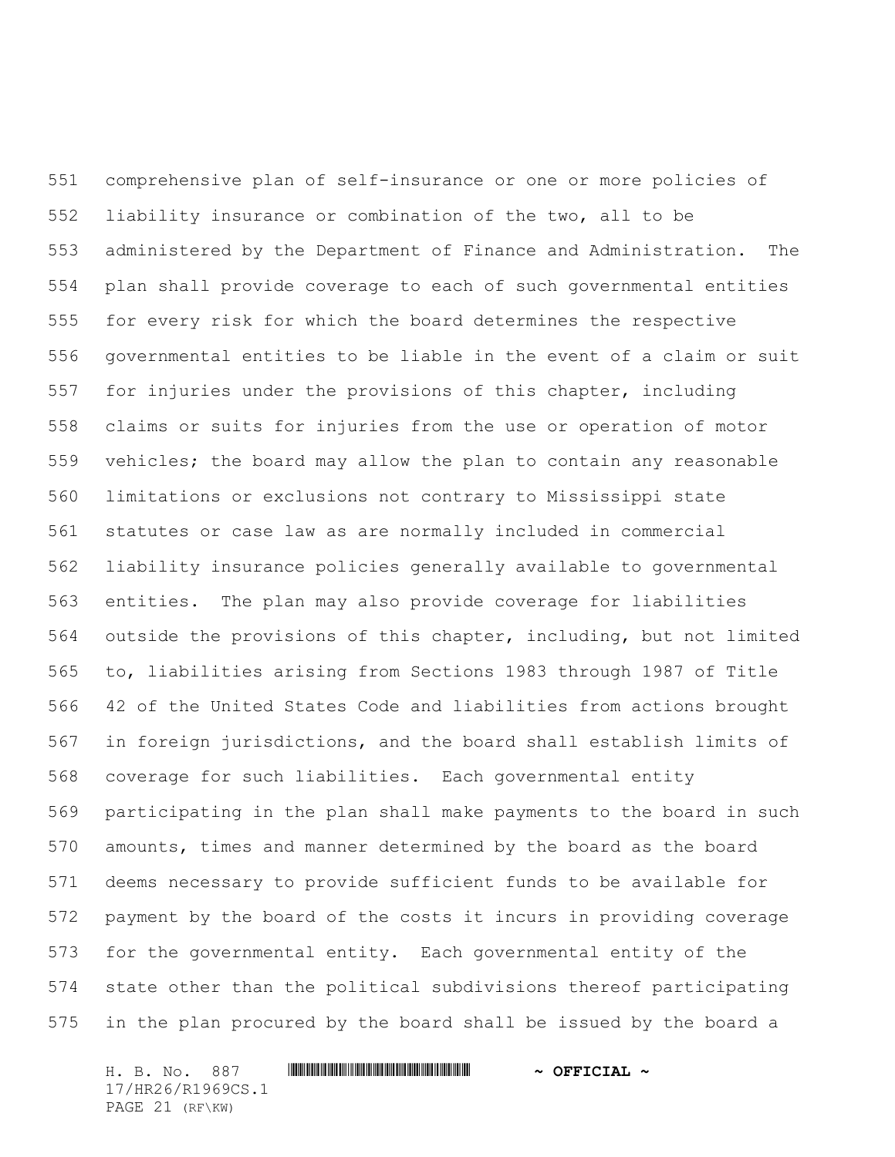comprehensive plan of self-insurance or one or more policies of liability insurance or combination of the two, all to be administered by the Department of Finance and Administration. The plan shall provide coverage to each of such governmental entities for every risk for which the board determines the respective governmental entities to be liable in the event of a claim or suit for injuries under the provisions of this chapter, including claims or suits for injuries from the use or operation of motor vehicles; the board may allow the plan to contain any reasonable limitations or exclusions not contrary to Mississippi state statutes or case law as are normally included in commercial liability insurance policies generally available to governmental entities. The plan may also provide coverage for liabilities outside the provisions of this chapter, including, but not limited to, liabilities arising from Sections 1983 through 1987 of Title 42 of the United States Code and liabilities from actions brought in foreign jurisdictions, and the board shall establish limits of coverage for such liabilities. Each governmental entity participating in the plan shall make payments to the board in such amounts, times and manner determined by the board as the board deems necessary to provide sufficient funds to be available for payment by the board of the costs it incurs in providing coverage for the governmental entity. Each governmental entity of the state other than the political subdivisions thereof participating in the plan procured by the board shall be issued by the board a

H. B. No. 887 \*HR26/R1969CS.1\* **~ OFFICIAL ~** 17/HR26/R1969CS.1 PAGE 21 (RF\KW)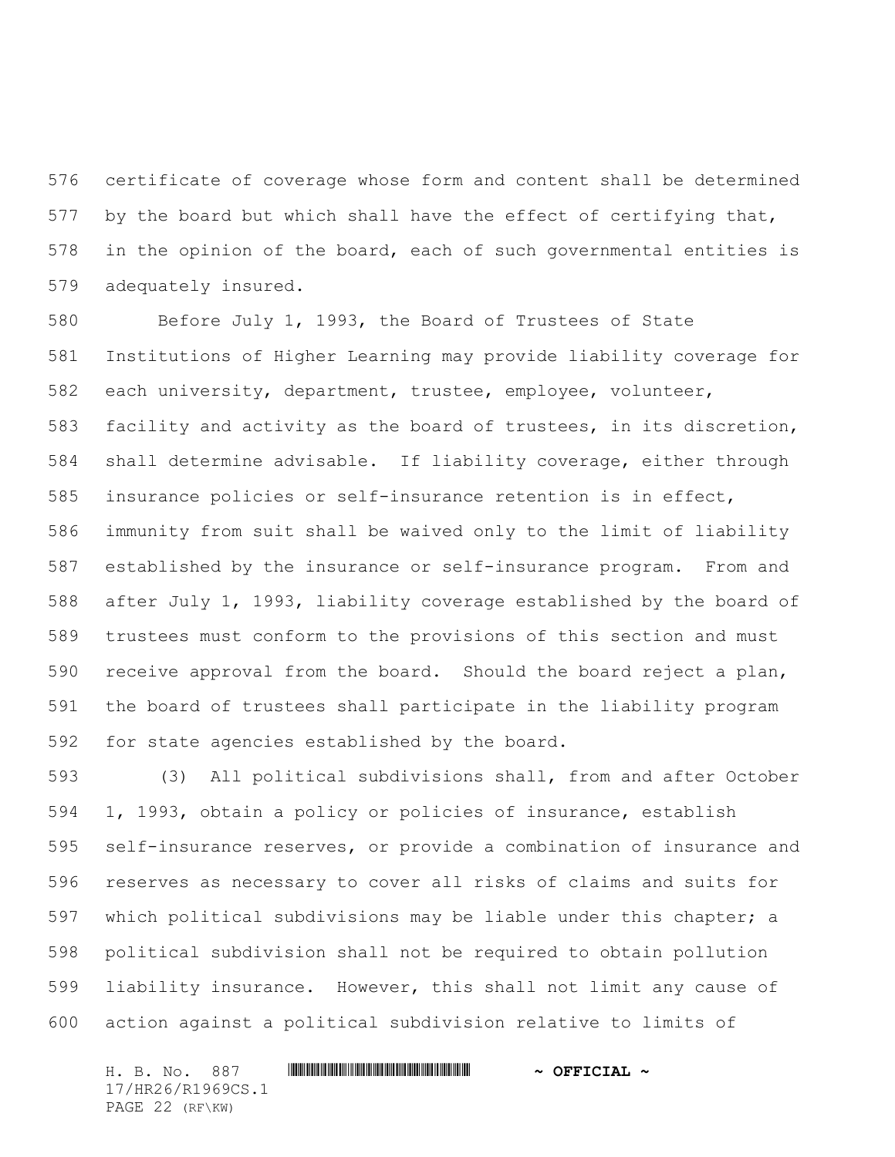certificate of coverage whose form and content shall be determined 577 by the board but which shall have the effect of certifying that, in the opinion of the board, each of such governmental entities is adequately insured.

 Before July 1, 1993, the Board of Trustees of State Institutions of Higher Learning may provide liability coverage for each university, department, trustee, employee, volunteer, facility and activity as the board of trustees, in its discretion, shall determine advisable. If liability coverage, either through insurance policies or self-insurance retention is in effect, immunity from suit shall be waived only to the limit of liability established by the insurance or self-insurance program. From and after July 1, 1993, liability coverage established by the board of trustees must conform to the provisions of this section and must receive approval from the board. Should the board reject a plan, the board of trustees shall participate in the liability program for state agencies established by the board.

 (3) All political subdivisions shall, from and after October 1, 1993, obtain a policy or policies of insurance, establish self-insurance reserves, or provide a combination of insurance and reserves as necessary to cover all risks of claims and suits for which political subdivisions may be liable under this chapter; a political subdivision shall not be required to obtain pollution liability insurance. However, this shall not limit any cause of action against a political subdivision relative to limits of

H. B. No. 887 \*HR26/R1969CS.1\* **~ OFFICIAL ~** 17/HR26/R1969CS.1 PAGE 22 (RF\KW)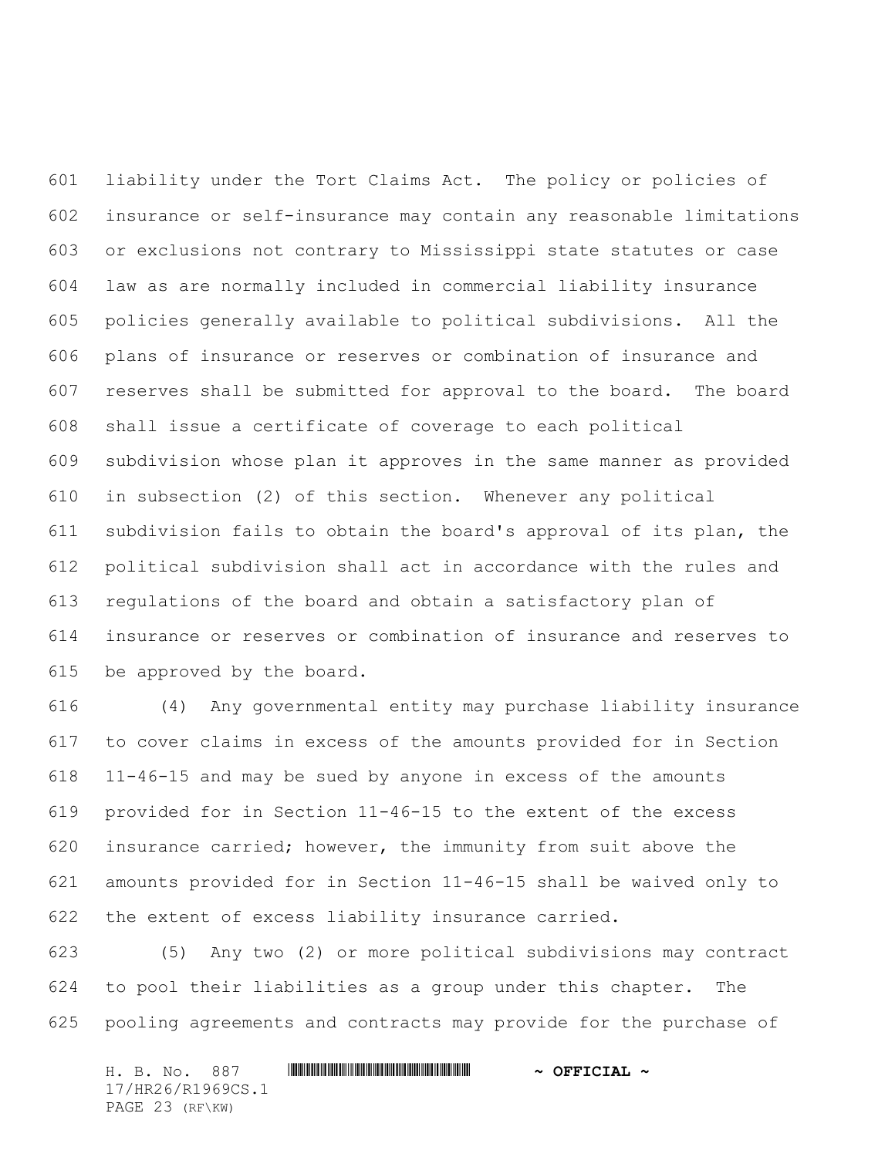liability under the Tort Claims Act. The policy or policies of insurance or self-insurance may contain any reasonable limitations or exclusions not contrary to Mississippi state statutes or case law as are normally included in commercial liability insurance policies generally available to political subdivisions. All the plans of insurance or reserves or combination of insurance and reserves shall be submitted for approval to the board. The board shall issue a certificate of coverage to each political subdivision whose plan it approves in the same manner as provided in subsection (2) of this section. Whenever any political subdivision fails to obtain the board's approval of its plan, the political subdivision shall act in accordance with the rules and regulations of the board and obtain a satisfactory plan of insurance or reserves or combination of insurance and reserves to be approved by the board.

 (4) Any governmental entity may purchase liability insurance to cover claims in excess of the amounts provided for in Section 11-46-15 and may be sued by anyone in excess of the amounts provided for in Section 11-46-15 to the extent of the excess insurance carried; however, the immunity from suit above the amounts provided for in Section 11-46-15 shall be waived only to the extent of excess liability insurance carried.

 (5) Any two (2) or more political subdivisions may contract to pool their liabilities as a group under this chapter. The pooling agreements and contracts may provide for the purchase of

H. B. No. 887 \*HR26/R1969CS.1\* **~ OFFICIAL ~** 17/HR26/R1969CS.1 PAGE 23 (RF\KW)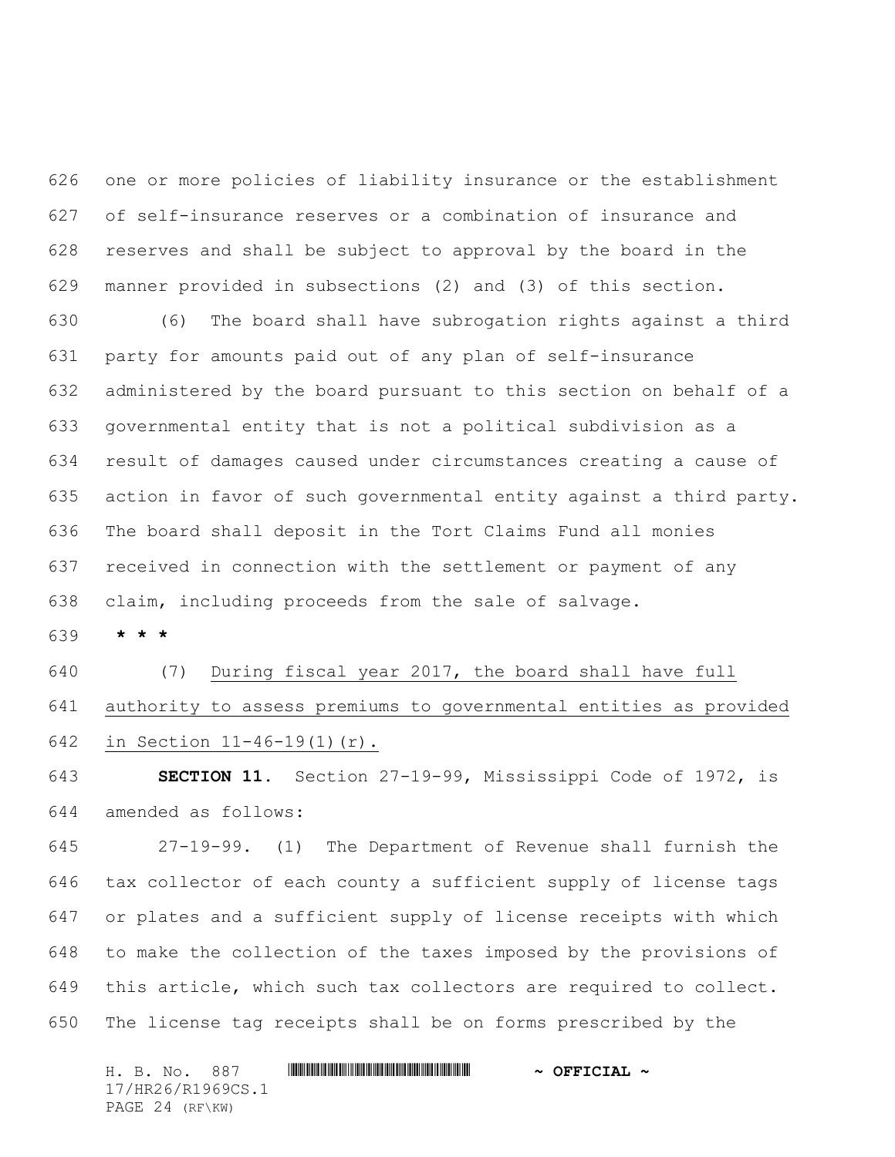one or more policies of liability insurance or the establishment of self-insurance reserves or a combination of insurance and reserves and shall be subject to approval by the board in the manner provided in subsections (2) and (3) of this section.

 (6) The board shall have subrogation rights against a third party for amounts paid out of any plan of self-insurance administered by the board pursuant to this section on behalf of a governmental entity that is not a political subdivision as a result of damages caused under circumstances creating a cause of action in favor of such governmental entity against a third party. The board shall deposit in the Tort Claims Fund all monies received in connection with the settlement or payment of any claim, including proceeds from the sale of salvage.

**\* \* \***

 (7) During fiscal year 2017, the board shall have full authority to assess premiums to governmental entities as provided in Section 11-46-19(1)(r).

 **SECTION 11.** Section 27-19-99, Mississippi Code of 1972, is amended as follows:

 27-19-99. (1) The Department of Revenue shall furnish the tax collector of each county a sufficient supply of license tags or plates and a sufficient supply of license receipts with which to make the collection of the taxes imposed by the provisions of this article, which such tax collectors are required to collect. The license tag receipts shall be on forms prescribed by the

H. B. No. 887 \*HR26/R1969CS.1\* **~ OFFICIAL ~** 17/HR26/R1969CS.1 PAGE 24 (RF\KW)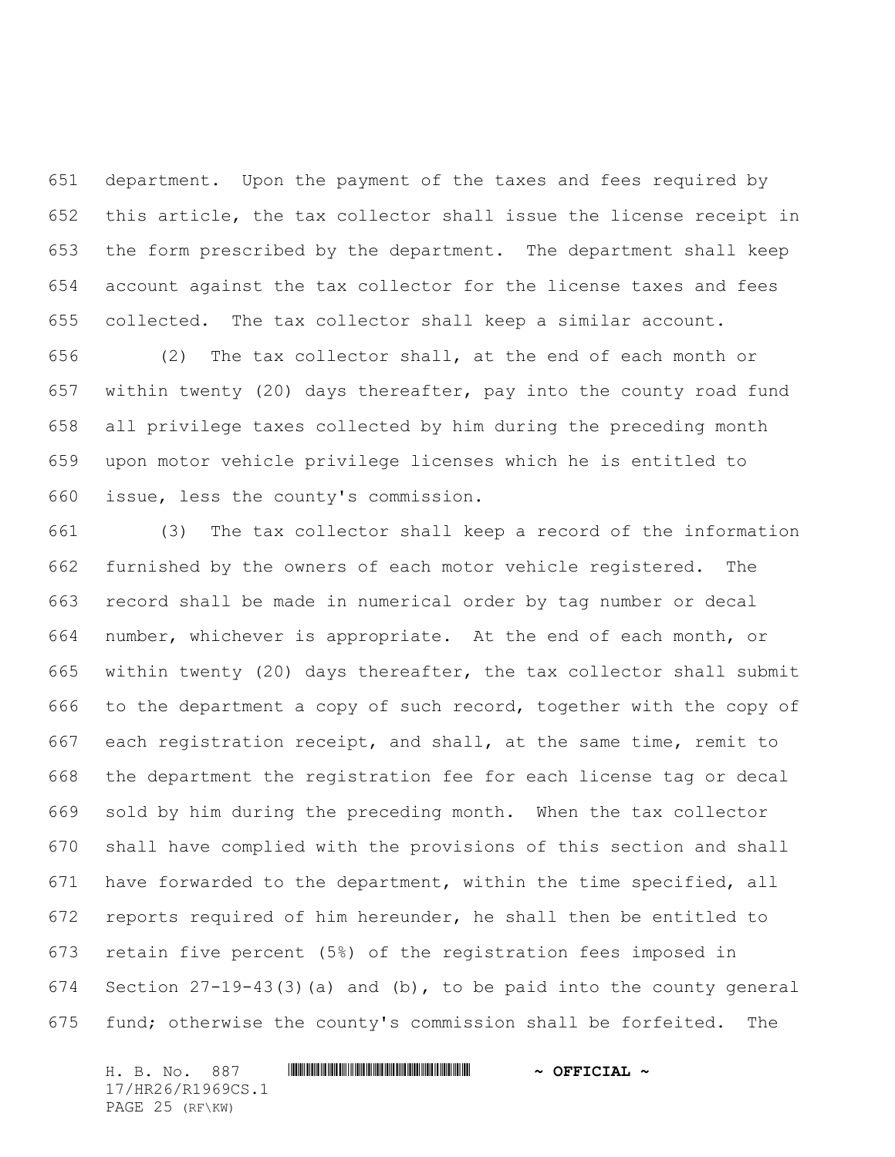department. Upon the payment of the taxes and fees required by this article, the tax collector shall issue the license receipt in the form prescribed by the department. The department shall keep account against the tax collector for the license taxes and fees collected. The tax collector shall keep a similar account.

 (2) The tax collector shall, at the end of each month or within twenty (20) days thereafter, pay into the county road fund all privilege taxes collected by him during the preceding month upon motor vehicle privilege licenses which he is entitled to issue, less the county's commission.

 (3) The tax collector shall keep a record of the information furnished by the owners of each motor vehicle registered. The record shall be made in numerical order by tag number or decal number, whichever is appropriate. At the end of each month, or within twenty (20) days thereafter, the tax collector shall submit to the department a copy of such record, together with the copy of each registration receipt, and shall, at the same time, remit to the department the registration fee for each license tag or decal sold by him during the preceding month. When the tax collector shall have complied with the provisions of this section and shall have forwarded to the department, within the time specified, all reports required of him hereunder, he shall then be entitled to retain five percent (5%) of the registration fees imposed in Section 27-19-43(3)(a) and (b), to be paid into the county general fund; otherwise the county's commission shall be forfeited. The

H. B. No. 887 \*HR26/R1969CS.1\* **~ OFFICIAL ~** 17/HR26/R1969CS.1 PAGE 25 (RF\KW)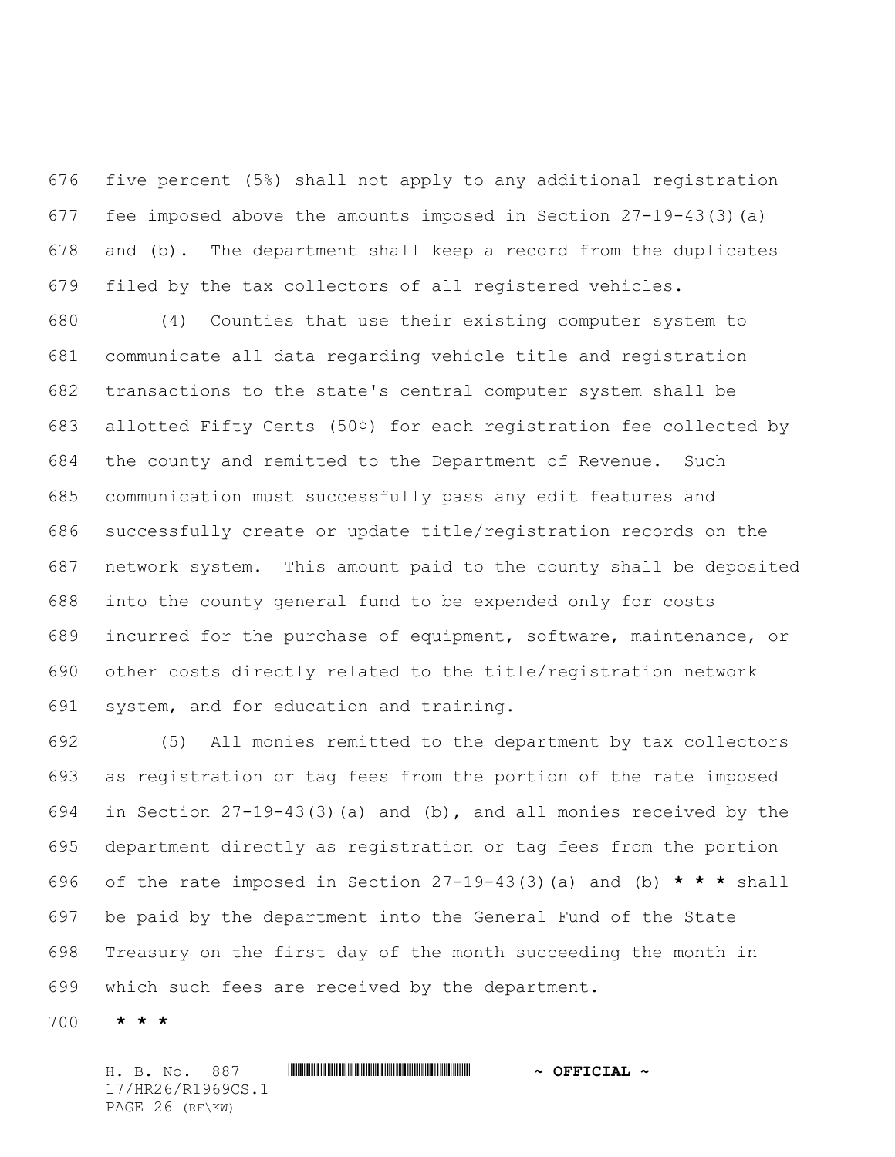five percent (5%) shall not apply to any additional registration fee imposed above the amounts imposed in Section 27-19-43(3)(a) and (b). The department shall keep a record from the duplicates filed by the tax collectors of all registered vehicles.

 (4) Counties that use their existing computer system to communicate all data regarding vehicle title and registration transactions to the state's central computer system shall be allotted Fifty Cents (50¢) for each registration fee collected by the county and remitted to the Department of Revenue. Such communication must successfully pass any edit features and successfully create or update title/registration records on the network system. This amount paid to the county shall be deposited into the county general fund to be expended only for costs incurred for the purchase of equipment, software, maintenance, or other costs directly related to the title/registration network system, and for education and training.

 (5) All monies remitted to the department by tax collectors as registration or tag fees from the portion of the rate imposed in Section 27-19-43(3)(a) and (b), and all monies received by the department directly as registration or tag fees from the portion of the rate imposed in Section 27-19-43(3)(a) and (b) **\* \* \*** shall be paid by the department into the General Fund of the State Treasury on the first day of the month succeeding the month in which such fees are received by the department.

**\* \* \***

H. B. No. 887 \*HR26/R1969CS.1\* **~ OFFICIAL ~** 17/HR26/R1969CS.1 PAGE 26 (RF\KW)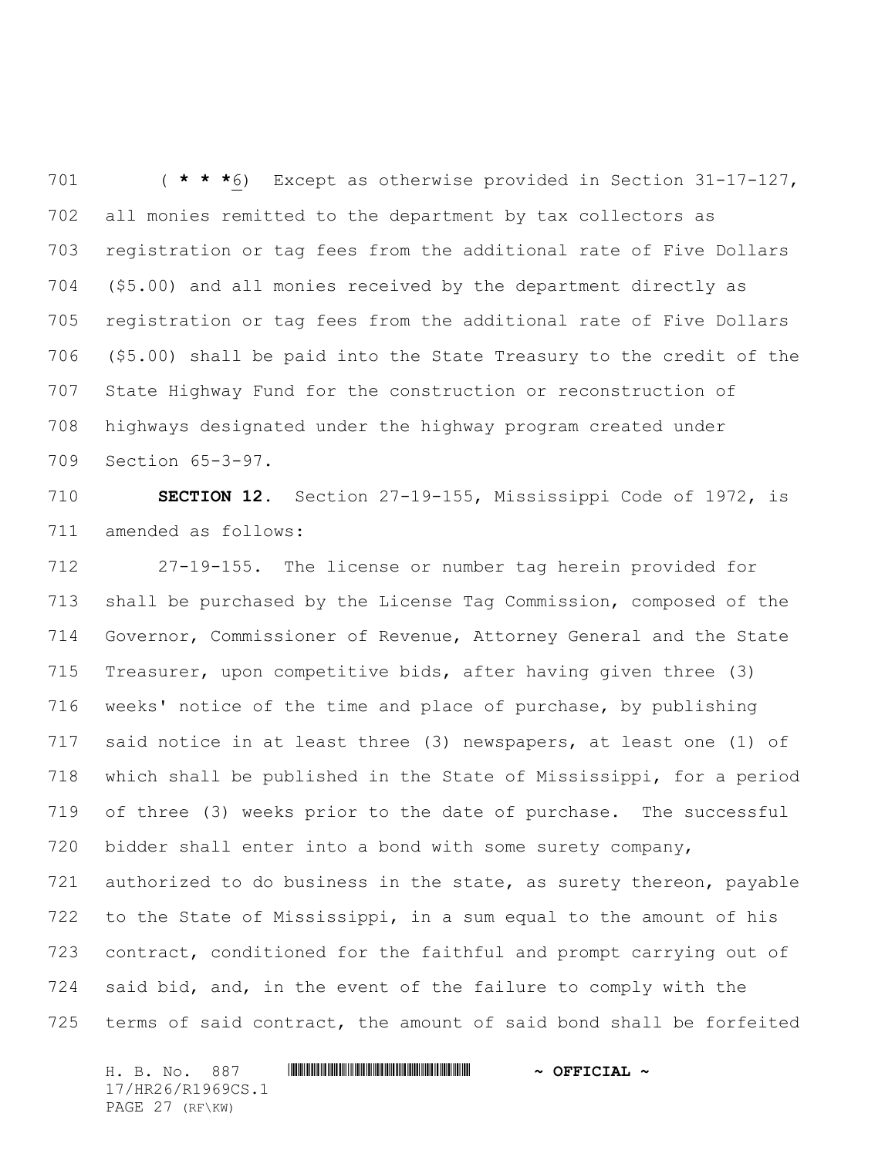( **\* \* \***6) Except as otherwise provided in Section 31-17-127, all monies remitted to the department by tax collectors as registration or tag fees from the additional rate of Five Dollars (\$5.00) and all monies received by the department directly as registration or tag fees from the additional rate of Five Dollars (\$5.00) shall be paid into the State Treasury to the credit of the State Highway Fund for the construction or reconstruction of highways designated under the highway program created under Section 65-3-97.

 **SECTION 12.** Section 27-19-155, Mississippi Code of 1972, is amended as follows:

 27-19-155. The license or number tag herein provided for shall be purchased by the License Tag Commission, composed of the Governor, Commissioner of Revenue, Attorney General and the State Treasurer, upon competitive bids, after having given three (3) weeks' notice of the time and place of purchase, by publishing said notice in at least three (3) newspapers, at least one (1) of which shall be published in the State of Mississippi, for a period of three (3) weeks prior to the date of purchase. The successful bidder shall enter into a bond with some surety company, authorized to do business in the state, as surety thereon, payable to the State of Mississippi, in a sum equal to the amount of his contract, conditioned for the faithful and prompt carrying out of said bid, and, in the event of the failure to comply with the terms of said contract, the amount of said bond shall be forfeited

H. B. No. 887 \*HR26/R1969CS.1\* **~ OFFICIAL ~** 17/HR26/R1969CS.1 PAGE 27 (RF\KW)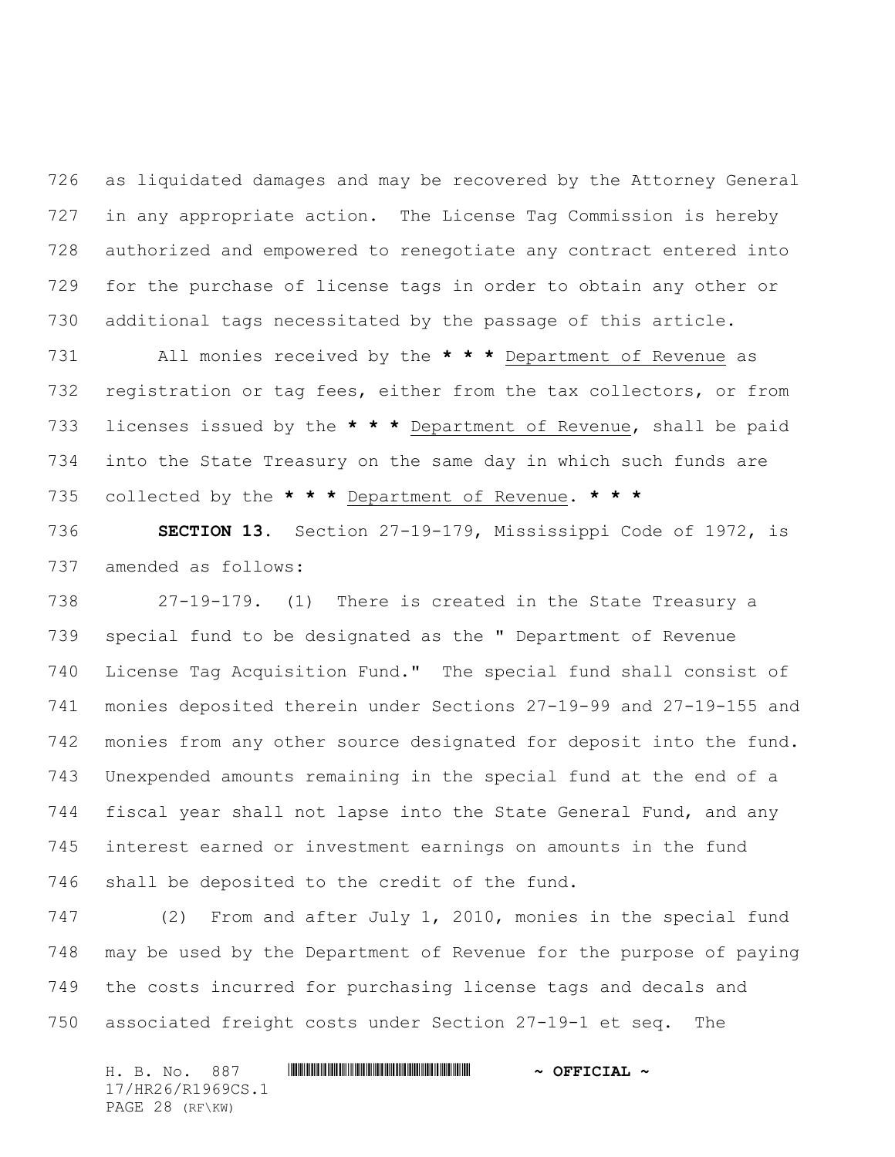as liquidated damages and may be recovered by the Attorney General in any appropriate action. The License Tag Commission is hereby authorized and empowered to renegotiate any contract entered into for the purchase of license tags in order to obtain any other or additional tags necessitated by the passage of this article.

 All monies received by the **\* \* \*** Department of Revenue as registration or tag fees, either from the tax collectors, or from licenses issued by the **\* \* \*** Department of Revenue, shall be paid into the State Treasury on the same day in which such funds are collected by the **\* \* \*** Department of Revenue. **\* \* \***

 **SECTION 13.** Section 27-19-179, Mississippi Code of 1972, is amended as follows:

 27-19-179. (1) There is created in the State Treasury a special fund to be designated as the " Department of Revenue License Tag Acquisition Fund." The special fund shall consist of monies deposited therein under Sections 27-19-99 and 27-19-155 and monies from any other source designated for deposit into the fund. Unexpended amounts remaining in the special fund at the end of a fiscal year shall not lapse into the State General Fund, and any interest earned or investment earnings on amounts in the fund shall be deposited to the credit of the fund.

 (2) From and after July 1, 2010, monies in the special fund may be used by the Department of Revenue for the purpose of paying the costs incurred for purchasing license tags and decals and associated freight costs under Section 27-19-1 et seq. The

H. B. No. 887 \*HR26/R1969CS.1\* **~ OFFICIAL ~** 17/HR26/R1969CS.1 PAGE 28 (RF\KW)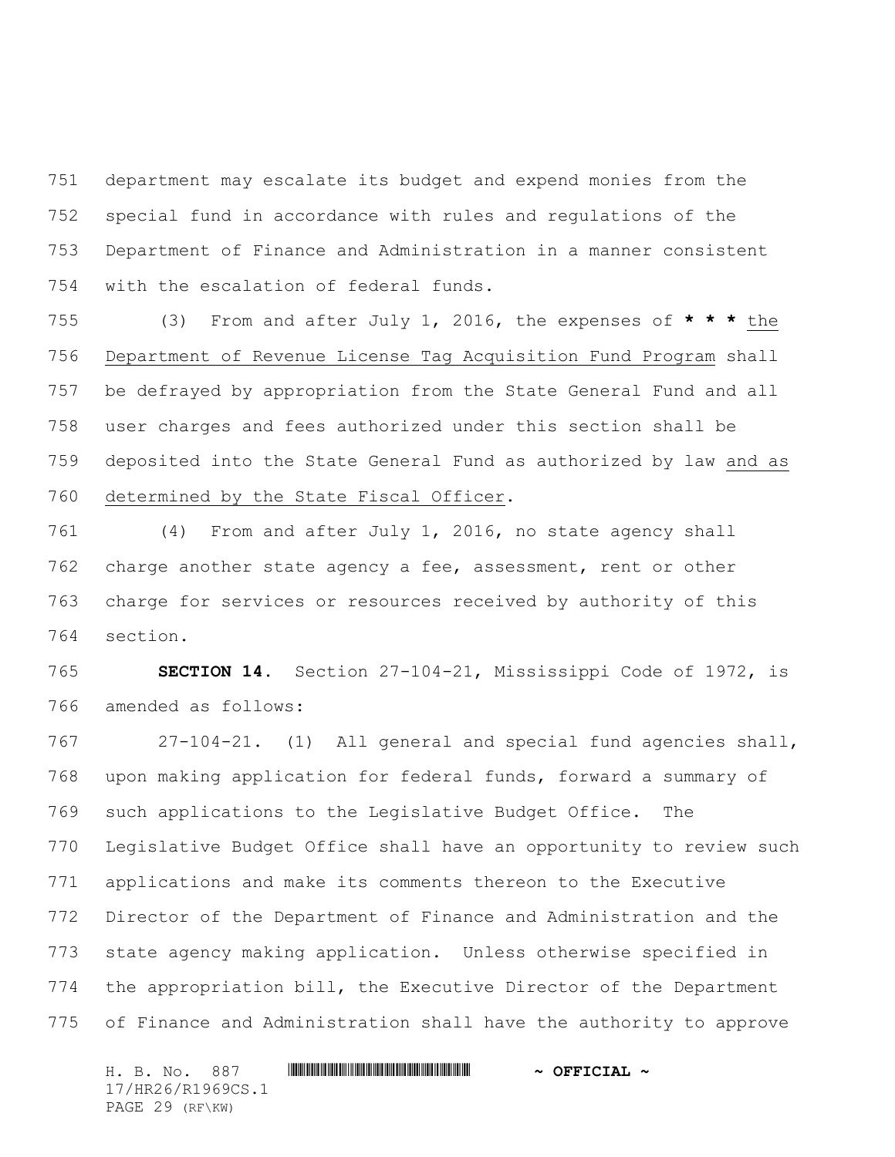department may escalate its budget and expend monies from the special fund in accordance with rules and regulations of the Department of Finance and Administration in a manner consistent with the escalation of federal funds.

 (3) From and after July 1, 2016, the expenses of **\* \* \*** the Department of Revenue License Tag Acquisition Fund Program shall be defrayed by appropriation from the State General Fund and all user charges and fees authorized under this section shall be deposited into the State General Fund as authorized by law and as determined by the State Fiscal Officer.

 (4) From and after July 1, 2016, no state agency shall charge another state agency a fee, assessment, rent or other charge for services or resources received by authority of this section.

 **SECTION 14.** Section 27-104-21, Mississippi Code of 1972, is amended as follows:

 27-104-21. (1) All general and special fund agencies shall, upon making application for federal funds, forward a summary of such applications to the Legislative Budget Office. The Legislative Budget Office shall have an opportunity to review such applications and make its comments thereon to the Executive Director of the Department of Finance and Administration and the state agency making application. Unless otherwise specified in the appropriation bill, the Executive Director of the Department of Finance and Administration shall have the authority to approve

H. B. No. 887 \*HR26/R1969CS.1\* **~ OFFICIAL ~** 17/HR26/R1969CS.1 PAGE 29 (RF\KW)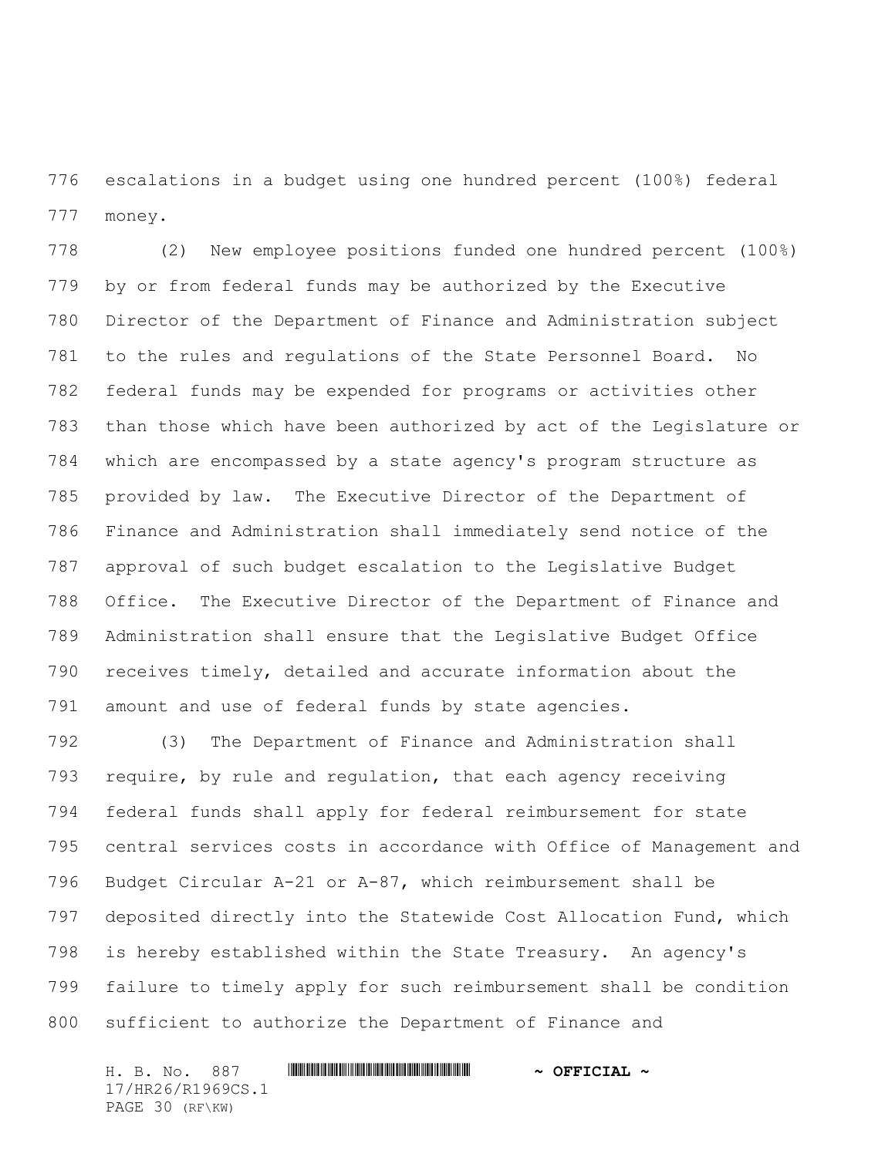escalations in a budget using one hundred percent (100%) federal money.

 (2) New employee positions funded one hundred percent (100%) by or from federal funds may be authorized by the Executive Director of the Department of Finance and Administration subject to the rules and regulations of the State Personnel Board. No federal funds may be expended for programs or activities other than those which have been authorized by act of the Legislature or which are encompassed by a state agency's program structure as provided by law. The Executive Director of the Department of Finance and Administration shall immediately send notice of the approval of such budget escalation to the Legislative Budget Office. The Executive Director of the Department of Finance and Administration shall ensure that the Legislative Budget Office receives timely, detailed and accurate information about the amount and use of federal funds by state agencies.

 (3) The Department of Finance and Administration shall require, by rule and regulation, that each agency receiving federal funds shall apply for federal reimbursement for state central services costs in accordance with Office of Management and Budget Circular A-21 or A-87, which reimbursement shall be deposited directly into the Statewide Cost Allocation Fund, which is hereby established within the State Treasury. An agency's failure to timely apply for such reimbursement shall be condition sufficient to authorize the Department of Finance and

H. B. No. 887 \*HR26/R1969CS.1\* **~ OFFICIAL ~** 17/HR26/R1969CS.1 PAGE 30 (RF\KW)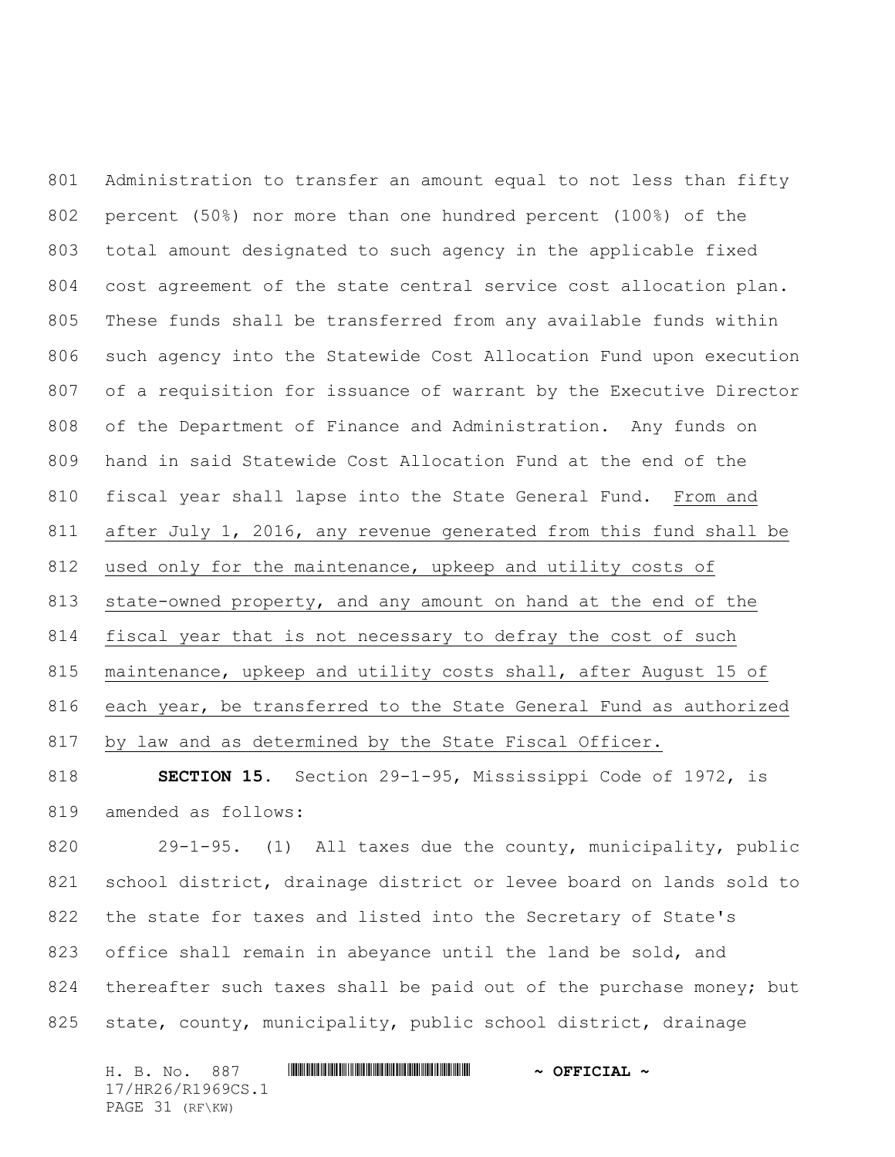Administration to transfer an amount equal to not less than fifty percent (50%) nor more than one hundred percent (100%) of the total amount designated to such agency in the applicable fixed cost agreement of the state central service cost allocation plan. These funds shall be transferred from any available funds within such agency into the Statewide Cost Allocation Fund upon execution of a requisition for issuance of warrant by the Executive Director of the Department of Finance and Administration. Any funds on hand in said Statewide Cost Allocation Fund at the end of the fiscal year shall lapse into the State General Fund. From and after July 1, 2016, any revenue generated from this fund shall be used only for the maintenance, upkeep and utility costs of state-owned property, and any amount on hand at the end of the fiscal year that is not necessary to defray the cost of such maintenance, upkeep and utility costs shall, after August 15 of each year, be transferred to the State General Fund as authorized by law and as determined by the State Fiscal Officer.

 **SECTION 15.** Section 29-1-95, Mississippi Code of 1972, is amended as follows:

 29-1-95. (1) All taxes due the county, municipality, public school district, drainage district or levee board on lands sold to the state for taxes and listed into the Secretary of State's office shall remain in abeyance until the land be sold, and 824 thereafter such taxes shall be paid out of the purchase money; but state, county, municipality, public school district, drainage

H. B. No. 887 \*HR26/R1969CS.1\* **~ OFFICIAL ~** 17/HR26/R1969CS.1 PAGE 31 (RF\KW)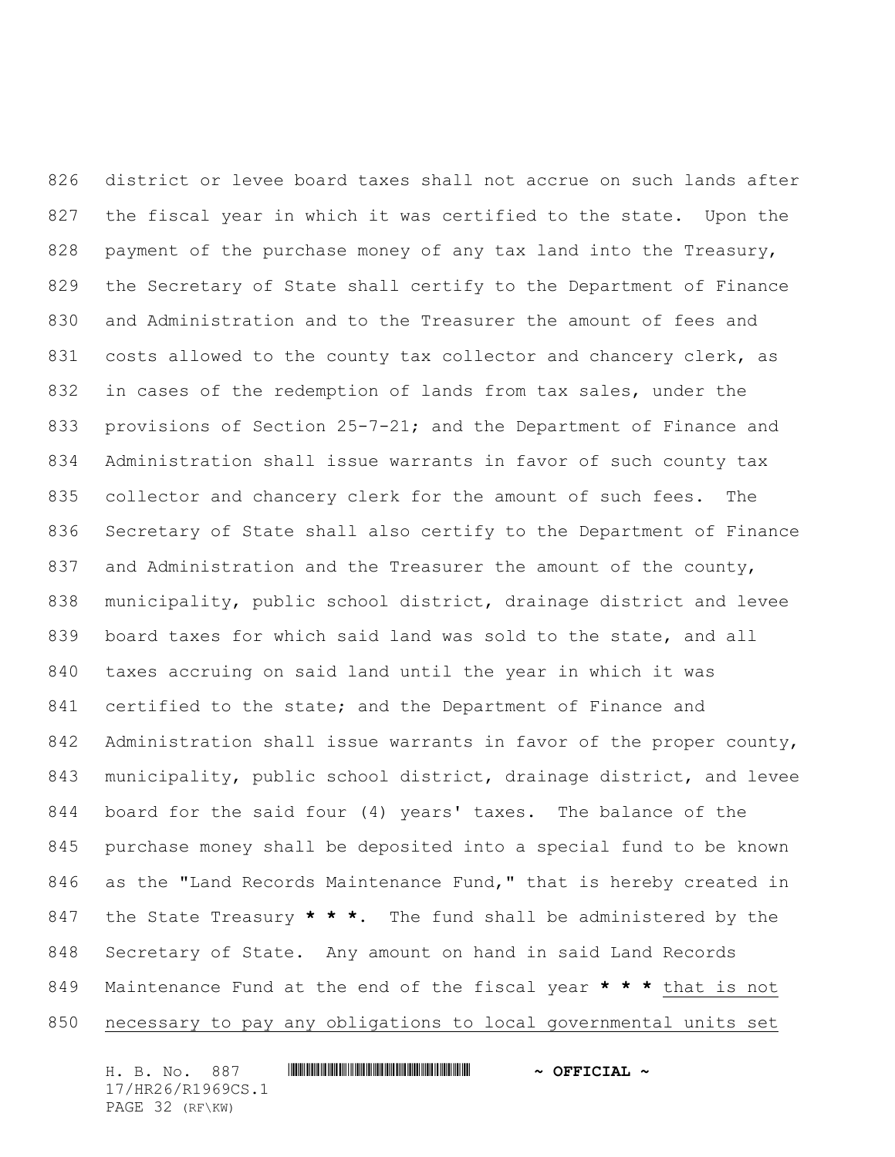district or levee board taxes shall not accrue on such lands after the fiscal year in which it was certified to the state. Upon the payment of the purchase money of any tax land into the Treasury, the Secretary of State shall certify to the Department of Finance and Administration and to the Treasurer the amount of fees and 831 costs allowed to the county tax collector and chancery clerk, as in cases of the redemption of lands from tax sales, under the 833 provisions of Section 25-7-21; and the Department of Finance and Administration shall issue warrants in favor of such county tax collector and chancery clerk for the amount of such fees. The Secretary of State shall also certify to the Department of Finance 837 and Administration and the Treasurer the amount of the county, municipality, public school district, drainage district and levee board taxes for which said land was sold to the state, and all taxes accruing on said land until the year in which it was 841 certified to the state; and the Department of Finance and 842 Administration shall issue warrants in favor of the proper county, municipality, public school district, drainage district, and levee board for the said four (4) years' taxes. The balance of the purchase money shall be deposited into a special fund to be known as the "Land Records Maintenance Fund," that is hereby created in the State Treasury **\* \* \***. The fund shall be administered by the Secretary of State. Any amount on hand in said Land Records Maintenance Fund at the end of the fiscal year **\* \* \*** that is not necessary to pay any obligations to local governmental units set

H. B. No. 887 \*HR26/R1969CS.1\* **~ OFFICIAL ~** 17/HR26/R1969CS.1 PAGE 32 (RF\KW)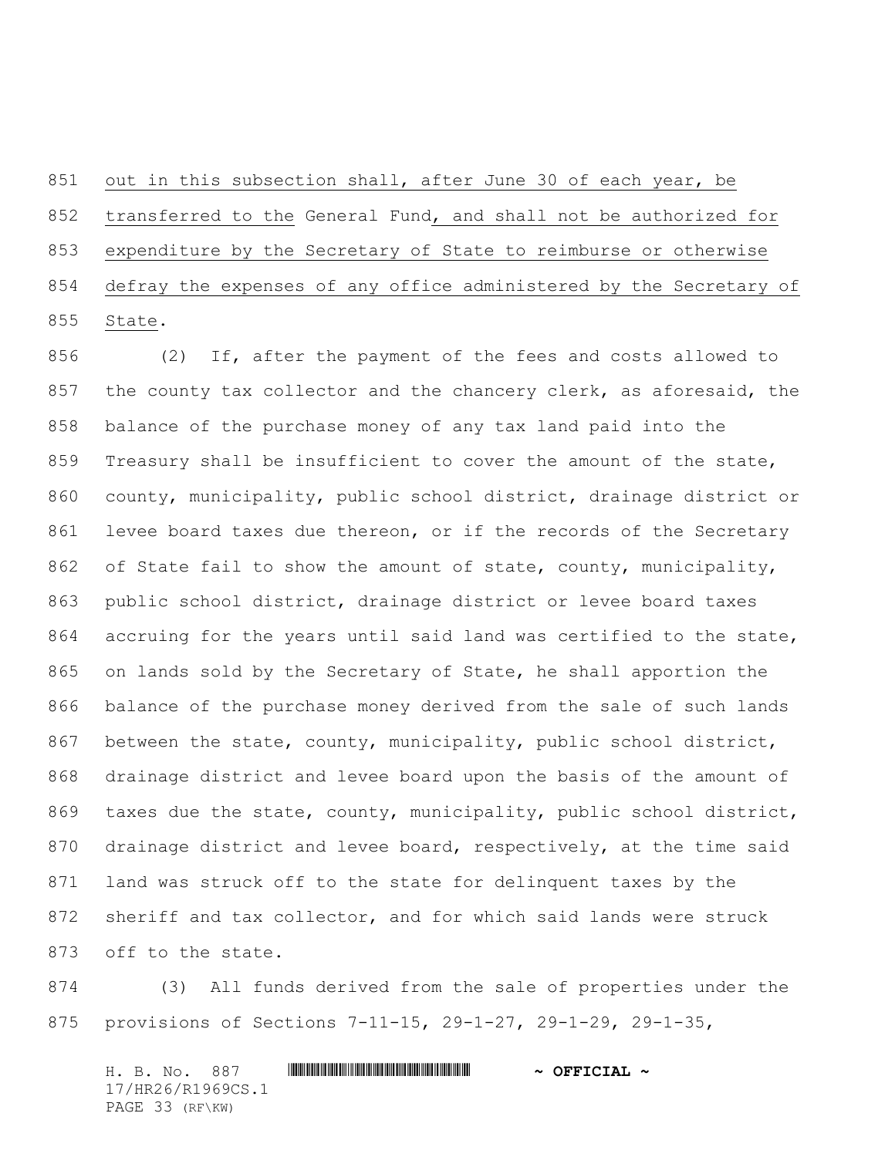out in this subsection shall, after June 30 of each year, be transferred to the General Fund, and shall not be authorized for expenditure by the Secretary of State to reimburse or otherwise defray the expenses of any office administered by the Secretary of State.

 (2) If, after the payment of the fees and costs allowed to the county tax collector and the chancery clerk, as aforesaid, the balance of the purchase money of any tax land paid into the Treasury shall be insufficient to cover the amount of the state, county, municipality, public school district, drainage district or levee board taxes due thereon, or if the records of the Secretary 862 of State fail to show the amount of state, county, municipality, public school district, drainage district or levee board taxes 864 accruing for the years until said land was certified to the state, on lands sold by the Secretary of State, he shall apportion the balance of the purchase money derived from the sale of such lands 867 between the state, county, municipality, public school district, drainage district and levee board upon the basis of the amount of taxes due the state, county, municipality, public school district, drainage district and levee board, respectively, at the time said land was struck off to the state for delinquent taxes by the sheriff and tax collector, and for which said lands were struck off to the state.

 (3) All funds derived from the sale of properties under the provisions of Sections 7-11-15, 29-1-27, 29-1-29, 29-1-35,

H. B. No. 887 \*HR26/R1969CS.1\* **~ OFFICIAL ~** 17/HR26/R1969CS.1 PAGE 33 (RF\KW)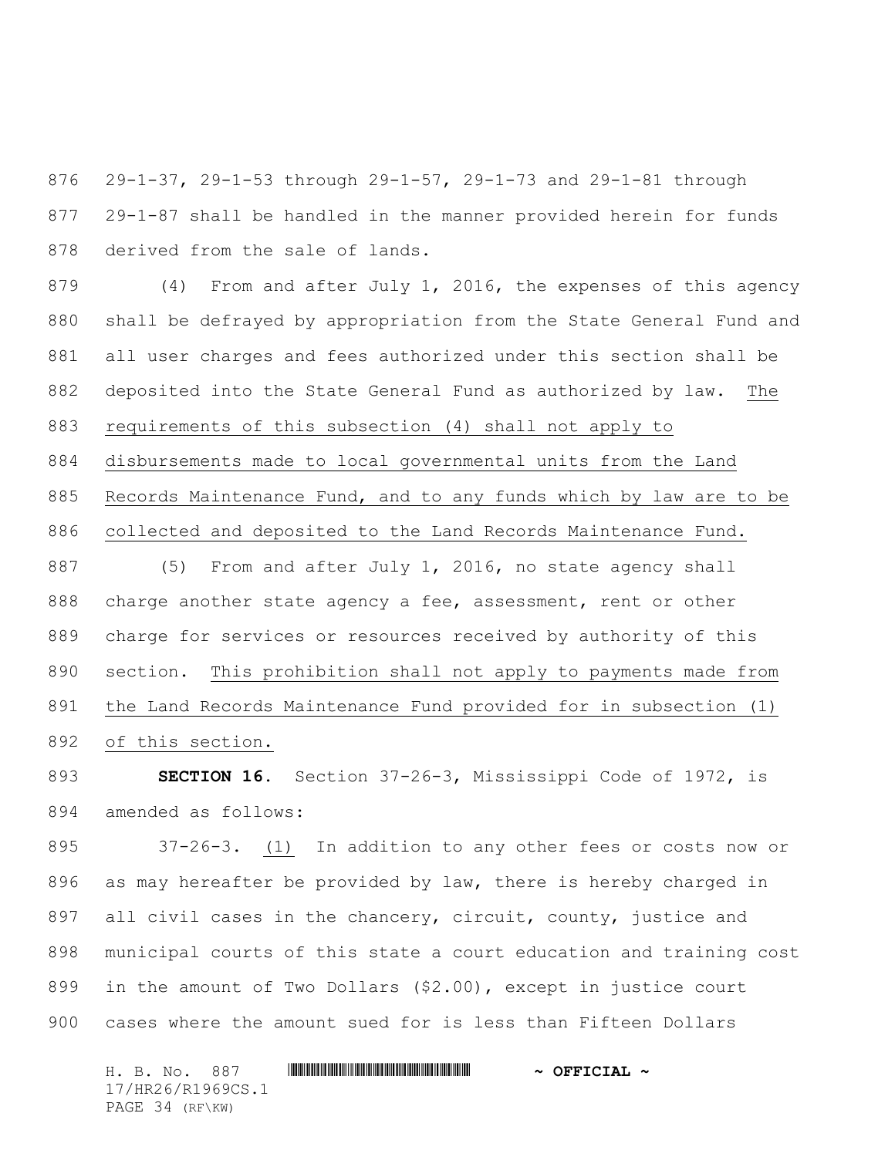29-1-37, 29-1-53 through 29-1-57, 29-1-73 and 29-1-81 through 29-1-87 shall be handled in the manner provided herein for funds derived from the sale of lands.

 (4) From and after July 1, 2016, the expenses of this agency shall be defrayed by appropriation from the State General Fund and all user charges and fees authorized under this section shall be deposited into the State General Fund as authorized by law. The requirements of this subsection (4) shall not apply to disbursements made to local governmental units from the Land Records Maintenance Fund, and to any funds which by law are to be collected and deposited to the Land Records Maintenance Fund.

 (5) From and after July 1, 2016, no state agency shall 888 charge another state agency a fee, assessment, rent or other charge for services or resources received by authority of this section. This prohibition shall not apply to payments made from the Land Records Maintenance Fund provided for in subsection (1) of this section.

 **SECTION 16.** Section 37-26-3, Mississippi Code of 1972, is amended as follows:

 37-26-3. (1) In addition to any other fees or costs now or as may hereafter be provided by law, there is hereby charged in all civil cases in the chancery, circuit, county, justice and municipal courts of this state a court education and training cost in the amount of Two Dollars (\$2.00), except in justice court cases where the amount sued for is less than Fifteen Dollars

H. B. No. 887 \*HR26/R1969CS.1\* **~ OFFICIAL ~** 17/HR26/R1969CS.1 PAGE 34 (RF\KW)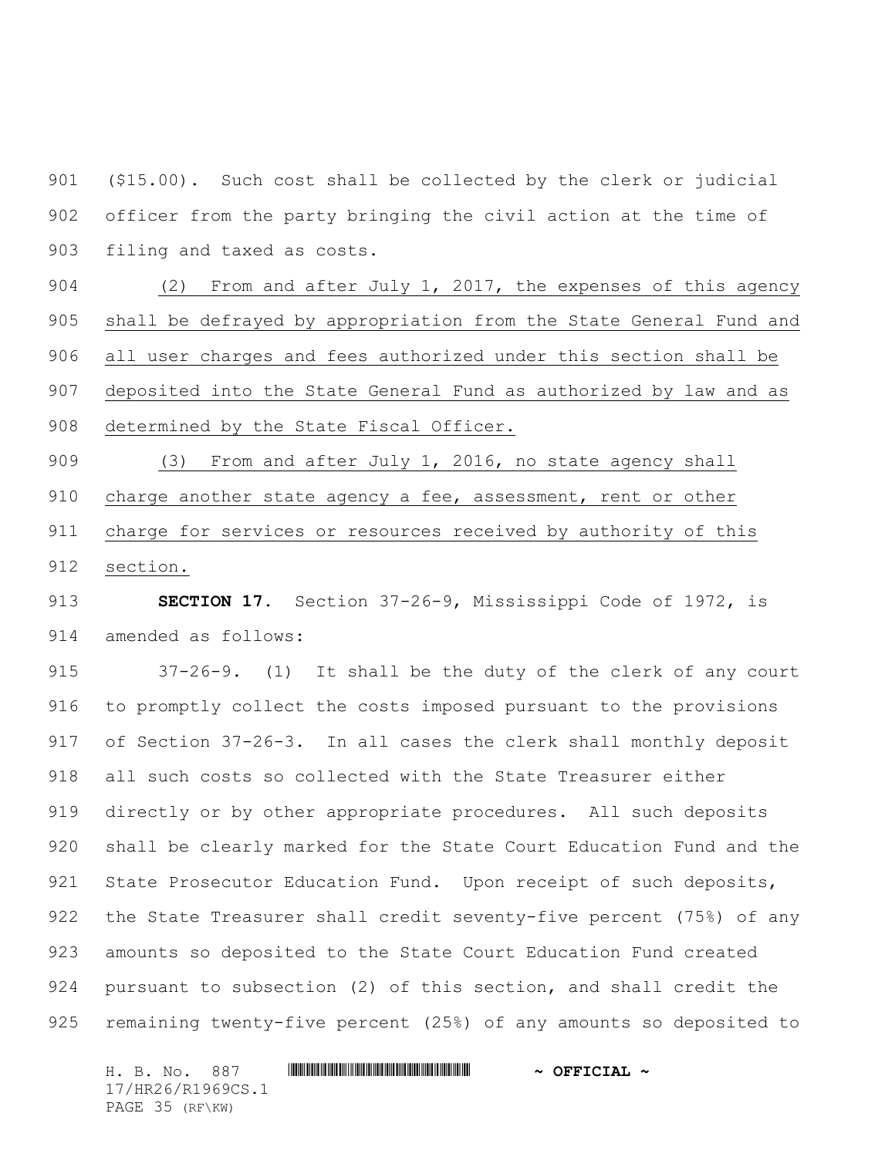(\$15.00). Such cost shall be collected by the clerk or judicial officer from the party bringing the civil action at the time of filing and taxed as costs.

 (2) From and after July 1, 2017, the expenses of this agency shall be defrayed by appropriation from the State General Fund and all user charges and fees authorized under this section shall be deposited into the State General Fund as authorized by law and as determined by the State Fiscal Officer.

 (3) From and after July 1, 2016, no state agency shall charge another state agency a fee, assessment, rent or other charge for services or resources received by authority of this section.

 **SECTION 17.** Section 37-26-9, Mississippi Code of 1972, is amended as follows:

 37-26-9. (1) It shall be the duty of the clerk of any court to promptly collect the costs imposed pursuant to the provisions of Section 37-26-3. In all cases the clerk shall monthly deposit all such costs so collected with the State Treasurer either directly or by other appropriate procedures. All such deposits shall be clearly marked for the State Court Education Fund and the 921 State Prosecutor Education Fund. Upon receipt of such deposits, the State Treasurer shall credit seventy-five percent (75%) of any amounts so deposited to the State Court Education Fund created pursuant to subsection (2) of this section, and shall credit the remaining twenty-five percent (25%) of any amounts so deposited to

H. B. No. 887 \*HR26/R1969CS.1\* **~ OFFICIAL ~** 17/HR26/R1969CS.1 PAGE 35 (RF\KW)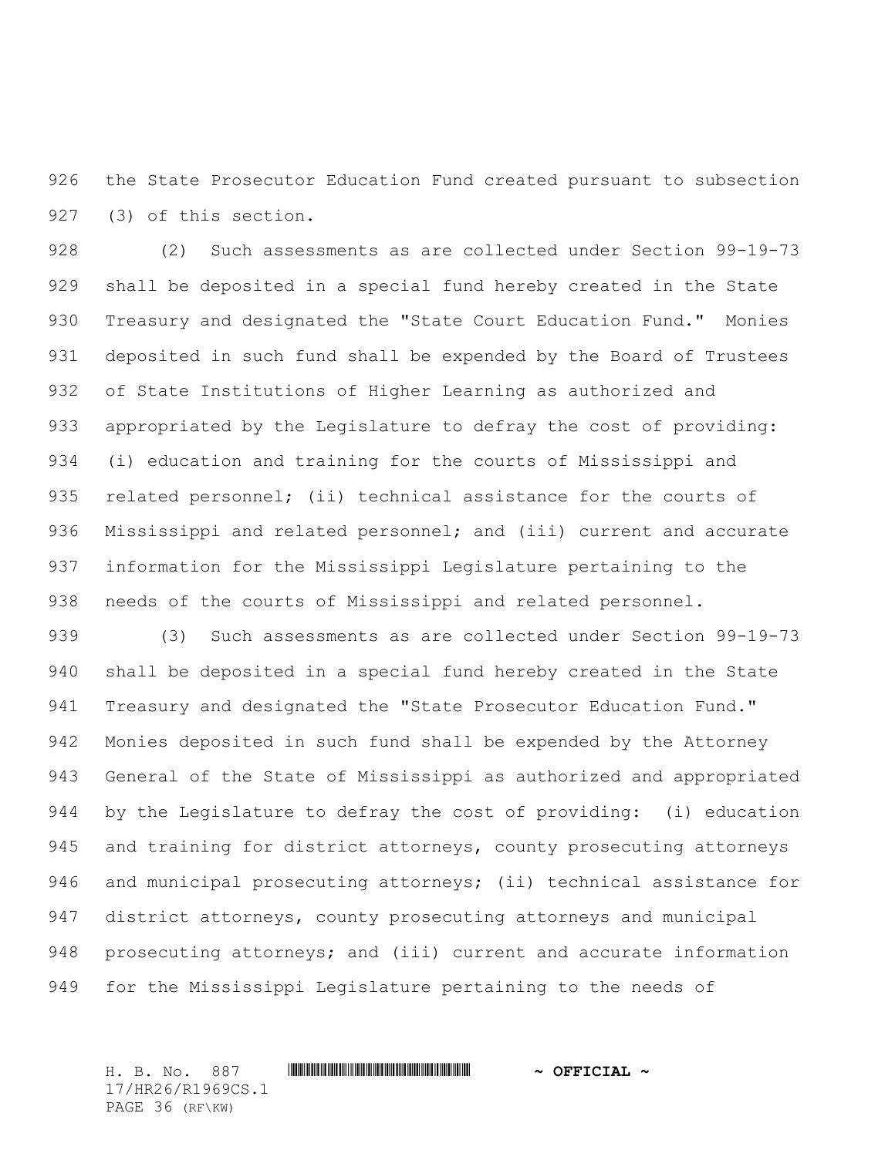the State Prosecutor Education Fund created pursuant to subsection (3) of this section.

 (2) Such assessments as are collected under Section 99-19-73 shall be deposited in a special fund hereby created in the State 930 Treasury and designated the "State Court Education Fund." Monies deposited in such fund shall be expended by the Board of Trustees of State Institutions of Higher Learning as authorized and appropriated by the Legislature to defray the cost of providing: (i) education and training for the courts of Mississippi and related personnel; (ii) technical assistance for the courts of 936 Mississippi and related personnel; and (iii) current and accurate information for the Mississippi Legislature pertaining to the needs of the courts of Mississippi and related personnel.

 (3) Such assessments as are collected under Section 99-19-73 shall be deposited in a special fund hereby created in the State 941 Treasury and designated the "State Prosecutor Education Fund." Monies deposited in such fund shall be expended by the Attorney General of the State of Mississippi as authorized and appropriated by the Legislature to defray the cost of providing: (i) education and training for district attorneys, county prosecuting attorneys and municipal prosecuting attorneys; (ii) technical assistance for district attorneys, county prosecuting attorneys and municipal prosecuting attorneys; and (iii) current and accurate information for the Mississippi Legislature pertaining to the needs of

H. B. No. 887 \*HR26/R1969CS.1\* **~ OFFICIAL ~** 17/HR26/R1969CS.1 PAGE 36 (RF\KW)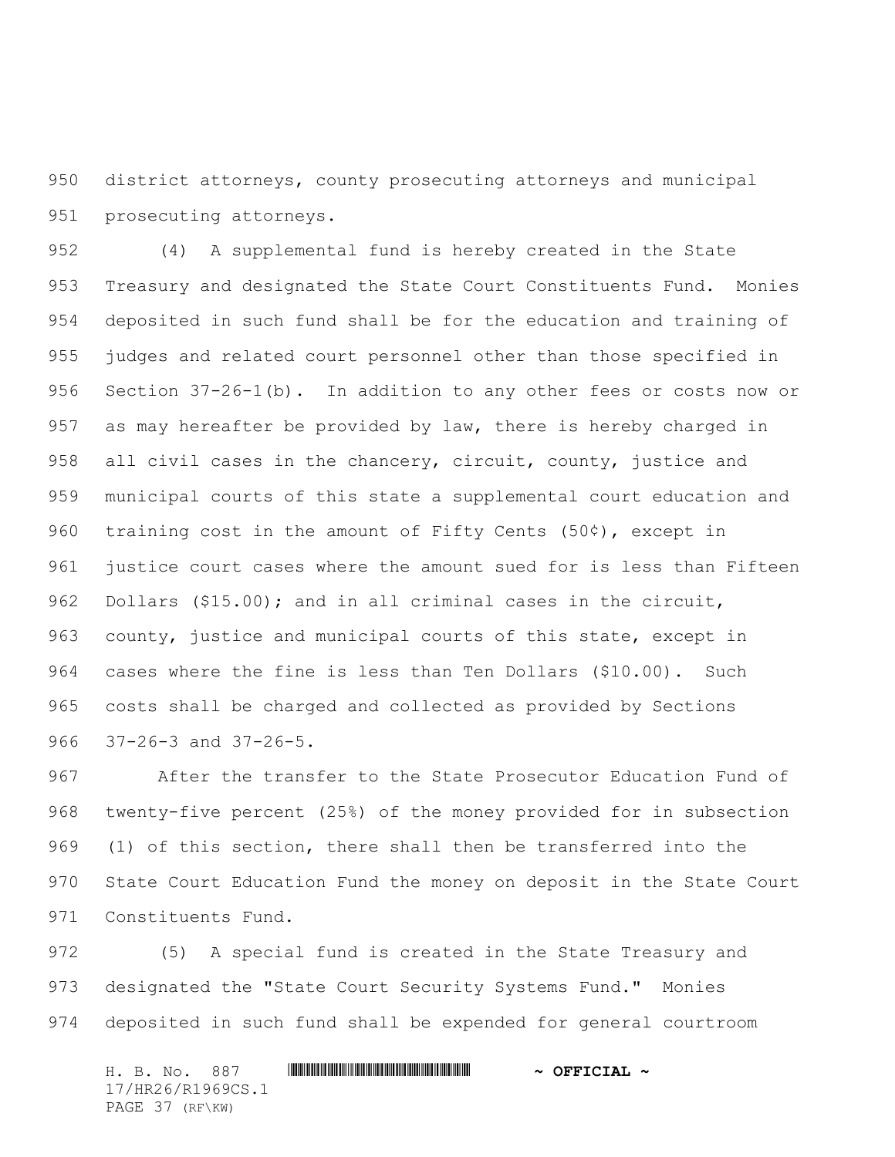district attorneys, county prosecuting attorneys and municipal prosecuting attorneys.

 (4) A supplemental fund is hereby created in the State Treasury and designated the State Court Constituents Fund. Monies deposited in such fund shall be for the education and training of judges and related court personnel other than those specified in Section 37-26-1(b). In addition to any other fees or costs now or 957 as may hereafter be provided by law, there is hereby charged in 958 all civil cases in the chancery, circuit, county, justice and municipal courts of this state a supplemental court education and 960 training cost in the amount of Fifty Cents  $(50¢)$ , except in justice court cases where the amount sued for is less than Fifteen Dollars (\$15.00); and in all criminal cases in the circuit, county, justice and municipal courts of this state, except in cases where the fine is less than Ten Dollars (\$10.00). Such costs shall be charged and collected as provided by Sections 37-26-3 and 37-26-5.

 After the transfer to the State Prosecutor Education Fund of twenty-five percent (25%) of the money provided for in subsection (1) of this section, there shall then be transferred into the State Court Education Fund the money on deposit in the State Court Constituents Fund.

 (5) A special fund is created in the State Treasury and 973 designated the "State Court Security Systems Fund." Monies deposited in such fund shall be expended for general courtroom

H. B. No. 887 \*HR26/R1969CS.1\* **~ OFFICIAL ~** 17/HR26/R1969CS.1 PAGE 37 (RF\KW)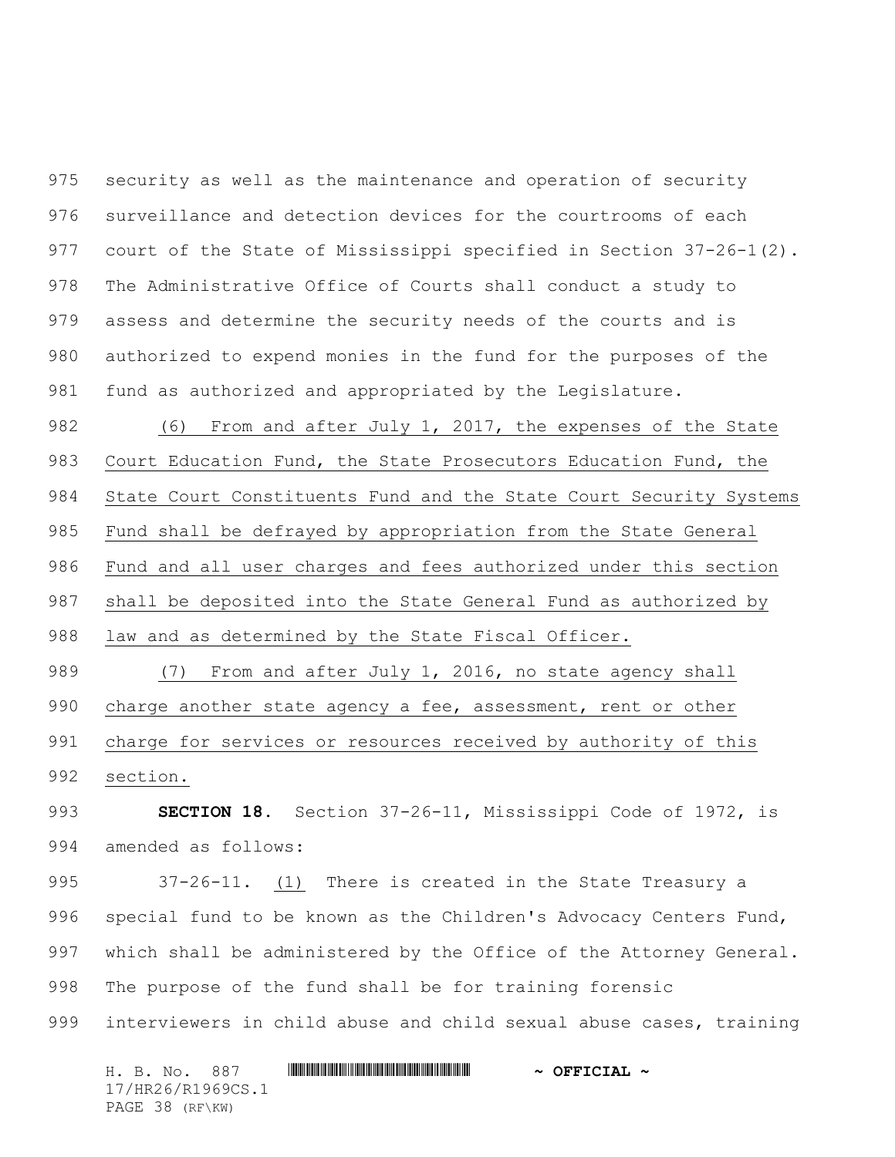security as well as the maintenance and operation of security surveillance and detection devices for the courtrooms of each court of the State of Mississippi specified in Section 37-26-1(2). The Administrative Office of Courts shall conduct a study to assess and determine the security needs of the courts and is authorized to expend monies in the fund for the purposes of the fund as authorized and appropriated by the Legislature.

982 (6) From and after July 1, 2017, the expenses of the State Court Education Fund, the State Prosecutors Education Fund, the State Court Constituents Fund and the State Court Security Systems Fund shall be defrayed by appropriation from the State General Fund and all user charges and fees authorized under this section shall be deposited into the State General Fund as authorized by law and as determined by the State Fiscal Officer.

 (7) From and after July 1, 2016, no state agency shall 990 charge another state agency a fee, assessment, rent or other charge for services or resources received by authority of this section.

 **SECTION 18.** Section 37-26-11, Mississippi Code of 1972, is amended as follows:

 37-26-11. (1) There is created in the State Treasury a special fund to be known as the Children's Advocacy Centers Fund, which shall be administered by the Office of the Attorney General. The purpose of the fund shall be for training forensic interviewers in child abuse and child sexual abuse cases, training

H. B. No. 887 \*HR26/R1969CS.1\* **~ OFFICIAL ~** 17/HR26/R1969CS.1 PAGE 38 (RF\KW)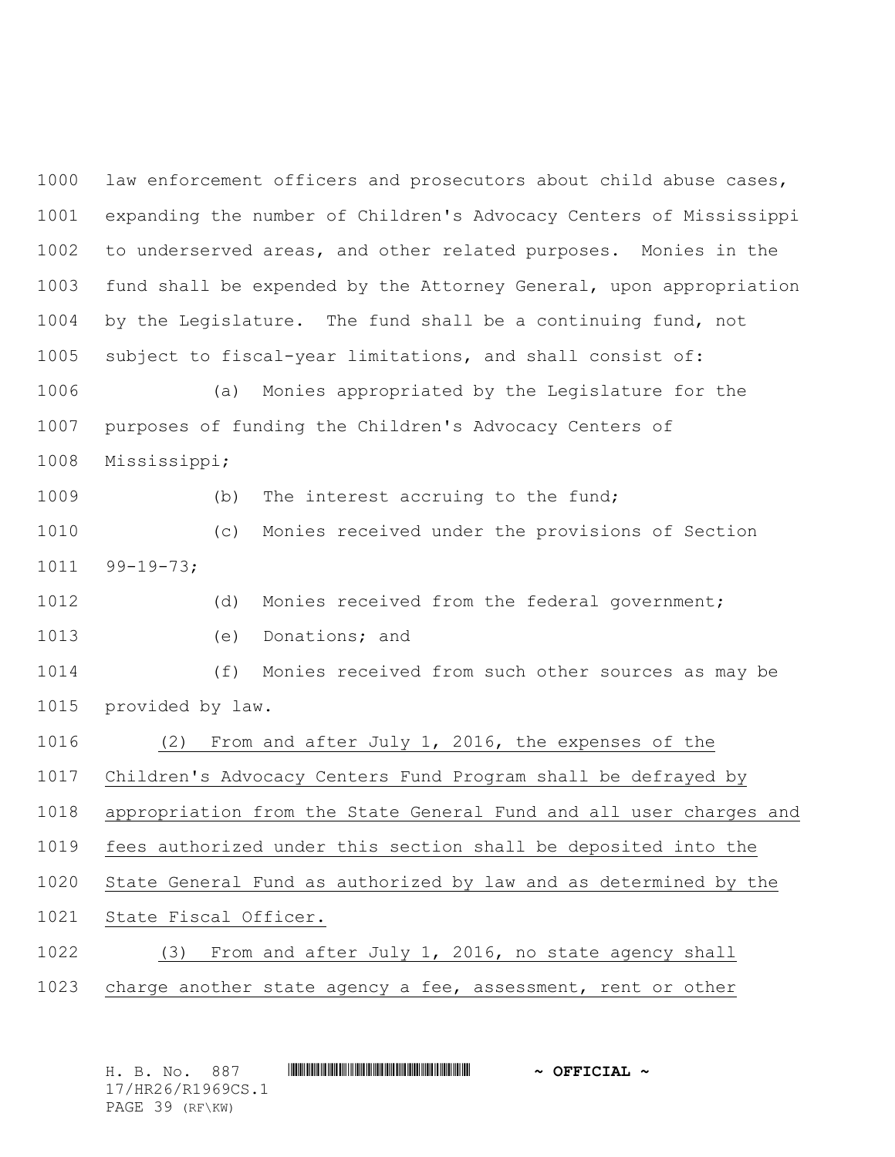law enforcement officers and prosecutors about child abuse cases, expanding the number of Children's Advocacy Centers of Mississippi to underserved areas, and other related purposes. Monies in the fund shall be expended by the Attorney General, upon appropriation by the Legislature. The fund shall be a continuing fund, not subject to fiscal-year limitations, and shall consist of: (a) Monies appropriated by the Legislature for the

 purposes of funding the Children's Advocacy Centers of Mississippi;

1009 (b) The interest accruing to the fund;

 (c) Monies received under the provisions of Section 99-19-73;

(d) Monies received from the federal government;

(e) Donations; and

 (f) Monies received from such other sources as may be provided by law.

(2) From and after July 1, 2016, the expenses of the

Children's Advocacy Centers Fund Program shall be defrayed by

appropriation from the State General Fund and all user charges and

fees authorized under this section shall be deposited into the

State General Fund as authorized by law and as determined by the

State Fiscal Officer.

 (3) From and after July 1, 2016, no state agency shall charge another state agency a fee, assessment, rent or other

H. B. No. 887 \*HR26/R1969CS.1\* **~ OFFICIAL ~** 17/HR26/R1969CS.1 PAGE 39 (RF\KW)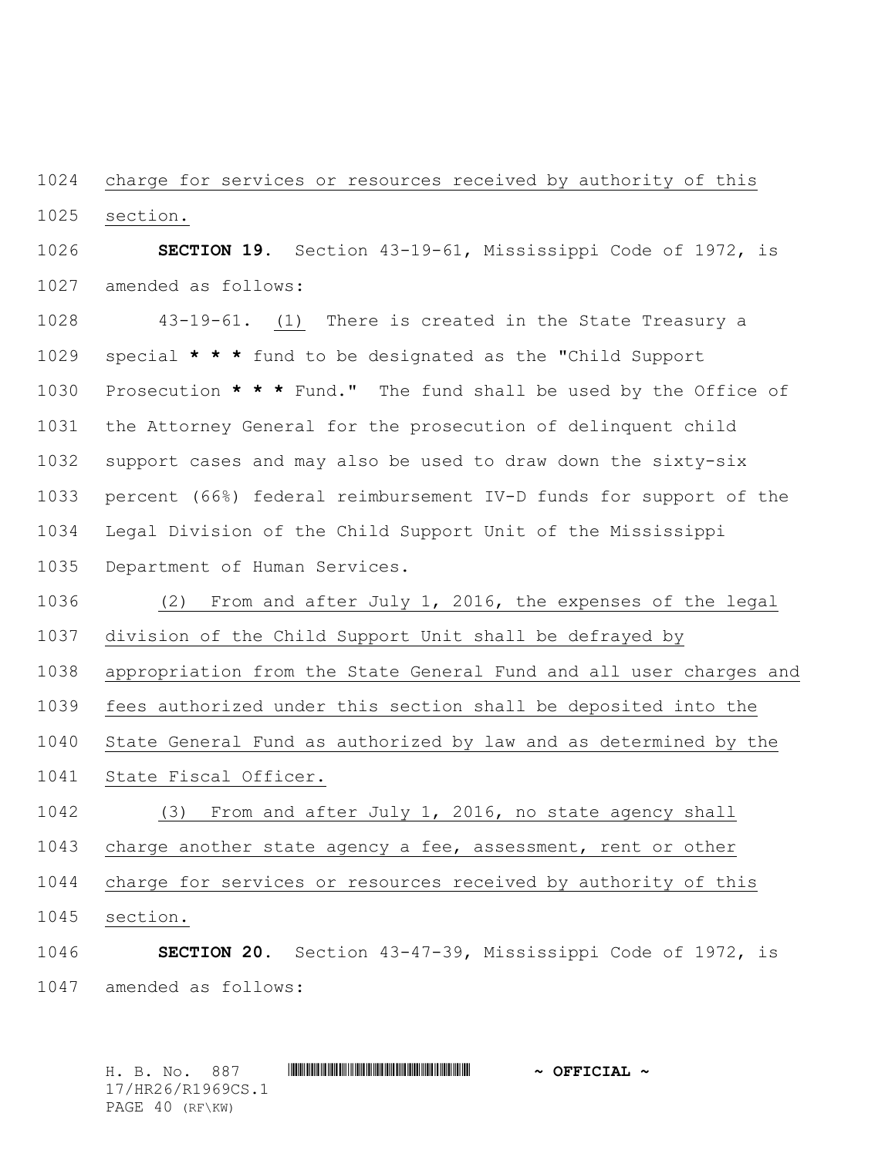charge for services or resources received by authority of this section.

 **SECTION 19.** Section 43-19-61, Mississippi Code of 1972, is amended as follows:

 43-19-61. (1) There is created in the State Treasury a special **\* \* \*** fund to be designated as the "Child Support Prosecution **\* \* \*** Fund." The fund shall be used by the Office of the Attorney General for the prosecution of delinquent child support cases and may also be used to draw down the sixty-six percent (66%) federal reimbursement IV-D funds for support of the Legal Division of the Child Support Unit of the Mississippi Department of Human Services.

 (2) From and after July 1, 2016, the expenses of the legal division of the Child Support Unit shall be defrayed by

appropriation from the State General Fund and all user charges and

fees authorized under this section shall be deposited into the

State General Fund as authorized by law and as determined by the

State Fiscal Officer.

 (3) From and after July 1, 2016, no state agency shall charge another state agency a fee, assessment, rent or other charge for services or resources received by authority of this section.

 **SECTION 20.** Section 43-47-39, Mississippi Code of 1972, is amended as follows:

H. B. No. 887 \*HR26/R1969CS.1\* **~ OFFICIAL ~** 17/HR26/R1969CS.1 PAGE 40 (RF\KW)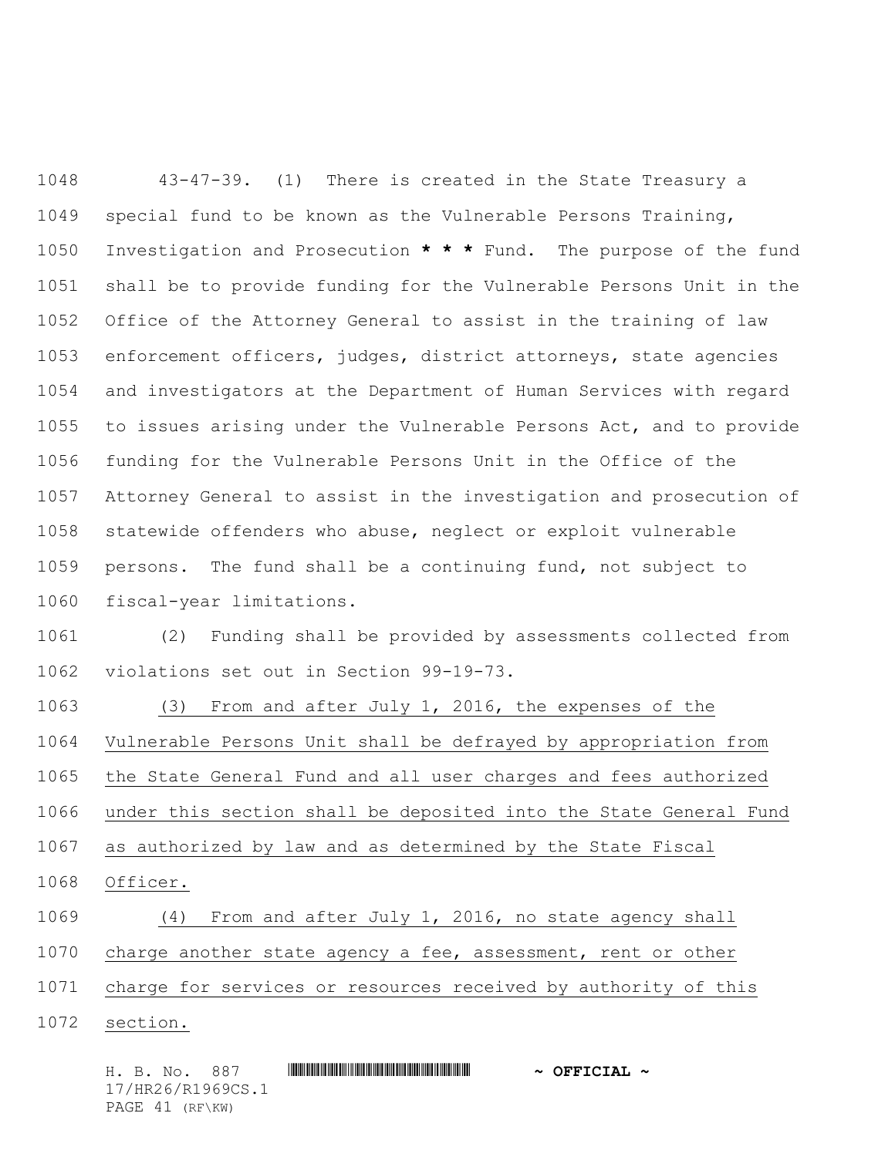43-47-39. (1) There is created in the State Treasury a special fund to be known as the Vulnerable Persons Training, Investigation and Prosecution **\* \* \*** Fund. The purpose of the fund shall be to provide funding for the Vulnerable Persons Unit in the Office of the Attorney General to assist in the training of law enforcement officers, judges, district attorneys, state agencies and investigators at the Department of Human Services with regard to issues arising under the Vulnerable Persons Act, and to provide funding for the Vulnerable Persons Unit in the Office of the Attorney General to assist in the investigation and prosecution of statewide offenders who abuse, neglect or exploit vulnerable persons. The fund shall be a continuing fund, not subject to fiscal-year limitations.

 (2) Funding shall be provided by assessments collected from violations set out in Section 99-19-73.

 (3) From and after July 1, 2016, the expenses of the Vulnerable Persons Unit shall be defrayed by appropriation from the State General Fund and all user charges and fees authorized under this section shall be deposited into the State General Fund as authorized by law and as determined by the State Fiscal Officer. (4) From and after July 1, 2016, no state agency shall charge another state agency a fee, assessment, rent or other

charge for services or resources received by authority of this

section.

H. B. No. 887 \*HR26/R1969CS.1\* **~ OFFICIAL ~** 17/HR26/R1969CS.1 PAGE 41 (RF\KW)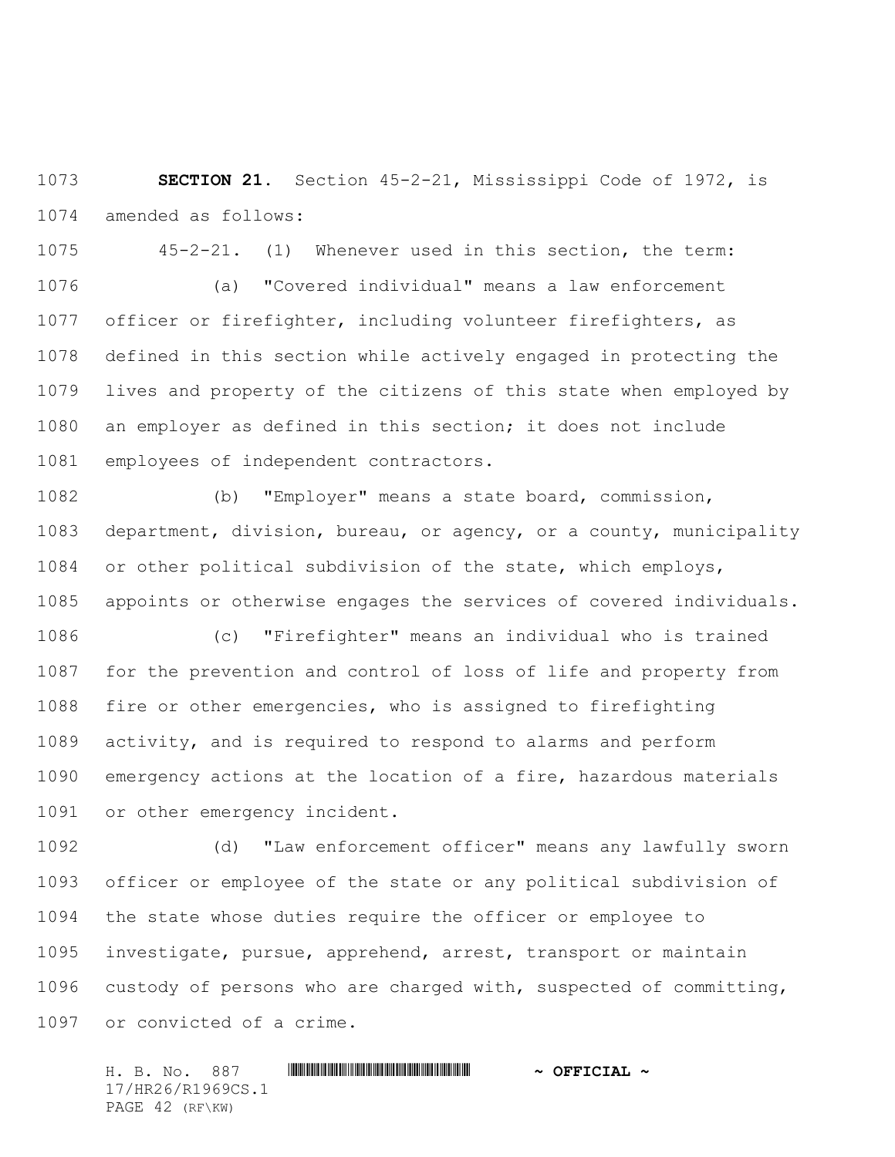**SECTION 21.** Section 45-2-21, Mississippi Code of 1972, is amended as follows:

 45-2-21. (1) Whenever used in this section, the term: (a) "Covered individual" means a law enforcement officer or firefighter, including volunteer firefighters, as defined in this section while actively engaged in protecting the lives and property of the citizens of this state when employed by an employer as defined in this section; it does not include employees of independent contractors.

 (b) "Employer" means a state board, commission, department, division, bureau, or agency, or a county, municipality or other political subdivision of the state, which employs, appoints or otherwise engages the services of covered individuals.

 (c) "Firefighter" means an individual who is trained for the prevention and control of loss of life and property from fire or other emergencies, who is assigned to firefighting activity, and is required to respond to alarms and perform emergency actions at the location of a fire, hazardous materials or other emergency incident.

 (d) "Law enforcement officer" means any lawfully sworn officer or employee of the state or any political subdivision of the state whose duties require the officer or employee to investigate, pursue, apprehend, arrest, transport or maintain custody of persons who are charged with, suspected of committing, or convicted of a crime.

H. B. No. 887 \*HR26/R1969CS.1\* **~ OFFICIAL ~** 17/HR26/R1969CS.1 PAGE 42 (RF\KW)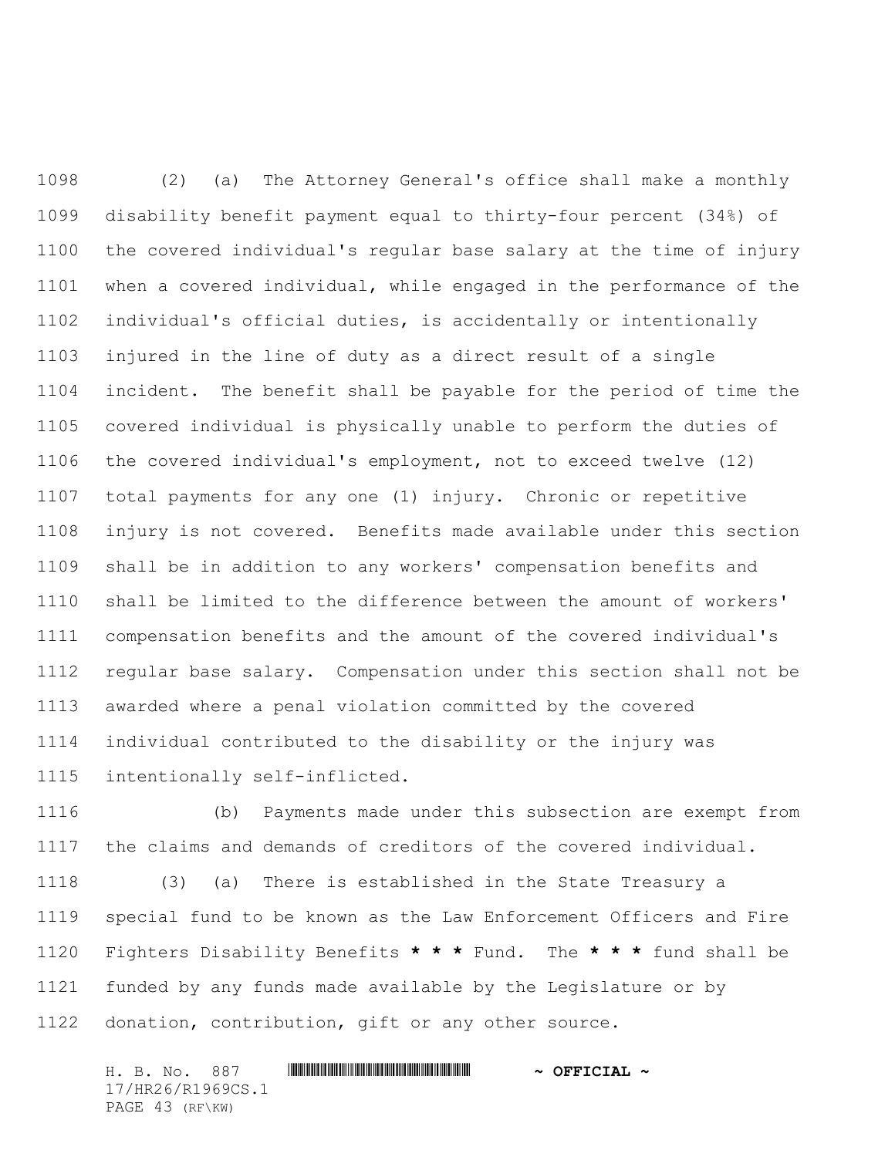(2) (a) The Attorney General's office shall make a monthly disability benefit payment equal to thirty-four percent (34%) of the covered individual's regular base salary at the time of injury when a covered individual, while engaged in the performance of the individual's official duties, is accidentally or intentionally injured in the line of duty as a direct result of a single incident. The benefit shall be payable for the period of time the covered individual is physically unable to perform the duties of the covered individual's employment, not to exceed twelve (12) total payments for any one (1) injury. Chronic or repetitive injury is not covered. Benefits made available under this section shall be in addition to any workers' compensation benefits and shall be limited to the difference between the amount of workers' compensation benefits and the amount of the covered individual's regular base salary. Compensation under this section shall not be awarded where a penal violation committed by the covered individual contributed to the disability or the injury was intentionally self-inflicted.

 (b) Payments made under this subsection are exempt from the claims and demands of creditors of the covered individual.

 (3) (a) There is established in the State Treasury a special fund to be known as the Law Enforcement Officers and Fire Fighters Disability Benefits **\* \* \*** Fund. The **\* \* \*** fund shall be funded by any funds made available by the Legislature or by donation, contribution, gift or any other source.

H. B. No. 887 \*HR26/R1969CS.1\* **~ OFFICIAL ~** 17/HR26/R1969CS.1 PAGE 43 (RF\KW)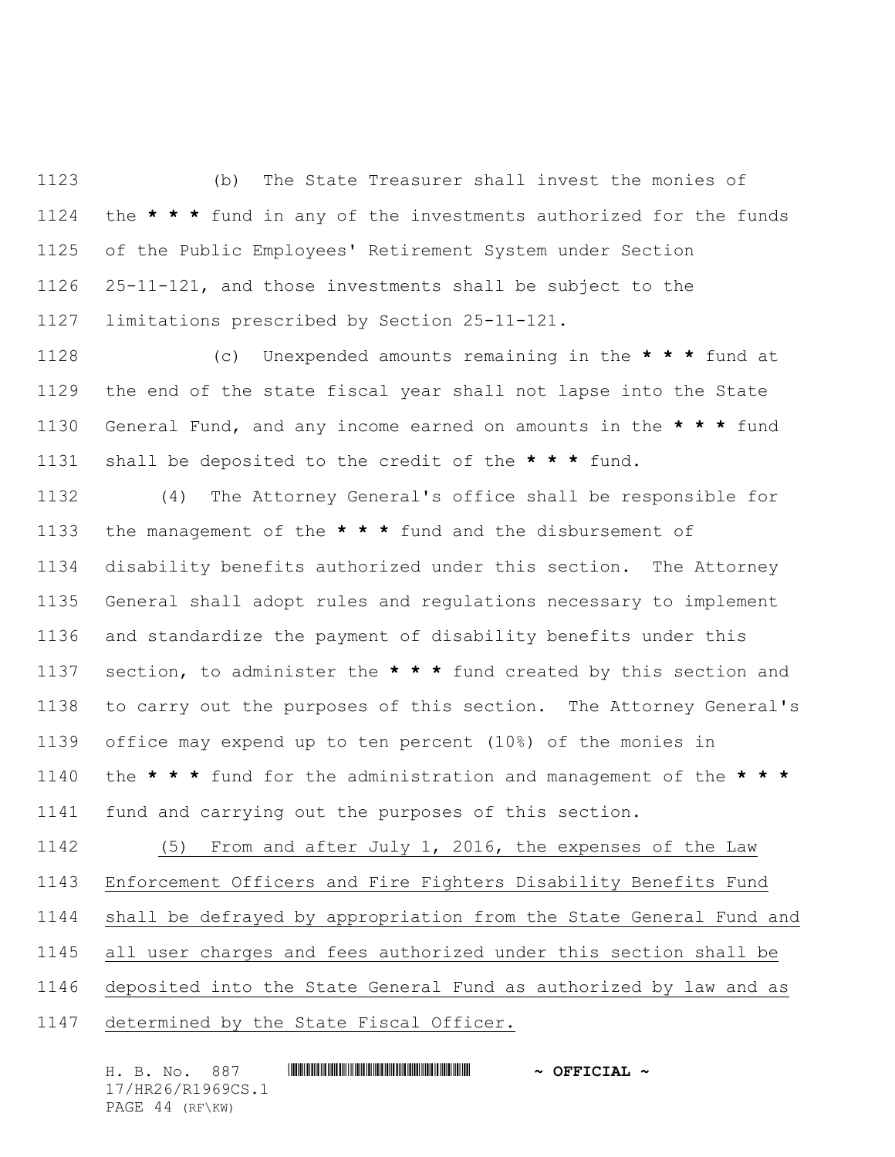(b) The State Treasurer shall invest the monies of the **\* \* \*** fund in any of the investments authorized for the funds of the Public Employees' Retirement System under Section 25-11-121, and those investments shall be subject to the limitations prescribed by Section 25-11-121.

 (c) Unexpended amounts remaining in the **\* \* \*** fund at the end of the state fiscal year shall not lapse into the State General Fund, and any income earned on amounts in the **\* \* \*** fund shall be deposited to the credit of the **\* \* \*** fund.

 (4) The Attorney General's office shall be responsible for the management of the **\* \* \*** fund and the disbursement of disability benefits authorized under this section. The Attorney General shall adopt rules and regulations necessary to implement and standardize the payment of disability benefits under this section, to administer the **\* \* \*** fund created by this section and to carry out the purposes of this section. The Attorney General's office may expend up to ten percent (10%) of the monies in the **\* \* \*** fund for the administration and management of the **\* \* \*** fund and carrying out the purposes of this section.

 (5) From and after July 1, 2016, the expenses of the Law Enforcement Officers and Fire Fighters Disability Benefits Fund shall be defrayed by appropriation from the State General Fund and all user charges and fees authorized under this section shall be deposited into the State General Fund as authorized by law and as determined by the State Fiscal Officer.

H. B. No. 887 \*HR26/R1969CS.1\* **~ OFFICIAL ~** 17/HR26/R1969CS.1 PAGE 44 (RF\KW)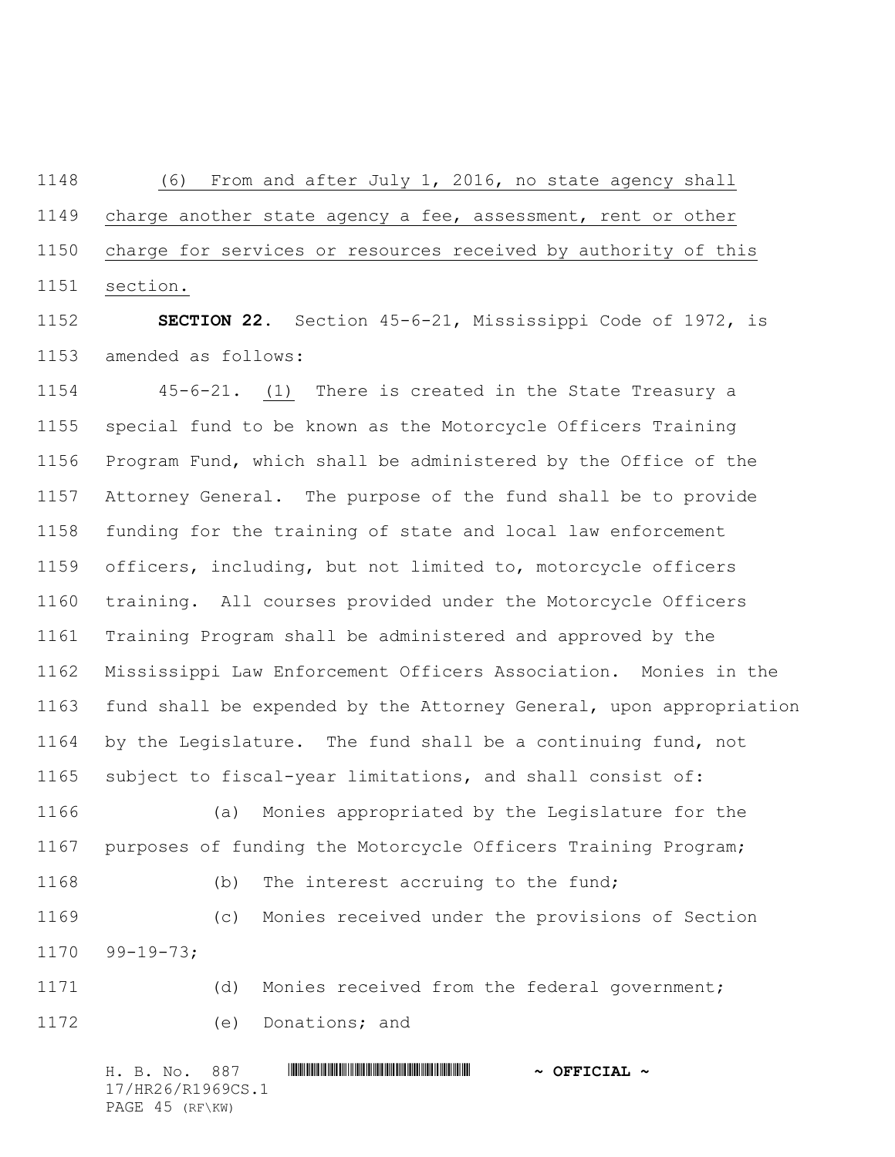(6) From and after July 1, 2016, no state agency shall charge another state agency a fee, assessment, rent or other charge for services or resources received by authority of this section.

 **SECTION 22.** Section 45-6-21, Mississippi Code of 1972, is amended as follows:

 45-6-21. (1) There is created in the State Treasury a special fund to be known as the Motorcycle Officers Training Program Fund, which shall be administered by the Office of the Attorney General. The purpose of the fund shall be to provide funding for the training of state and local law enforcement officers, including, but not limited to, motorcycle officers training. All courses provided under the Motorcycle Officers Training Program shall be administered and approved by the Mississippi Law Enforcement Officers Association. Monies in the fund shall be expended by the Attorney General, upon appropriation by the Legislature. The fund shall be a continuing fund, not subject to fiscal-year limitations, and shall consist of:

 (a) Monies appropriated by the Legislature for the purposes of funding the Motorcycle Officers Training Program; (b) The interest accruing to the fund;

 (c) Monies received under the provisions of Section 99-19-73;

 (d) Monies received from the federal government; (e) Donations; and

H. B. No. 887 \*HR26/R1969CS.1\* **~ OFFICIAL ~** 17/HR26/R1969CS.1 PAGE 45 (RF\KW)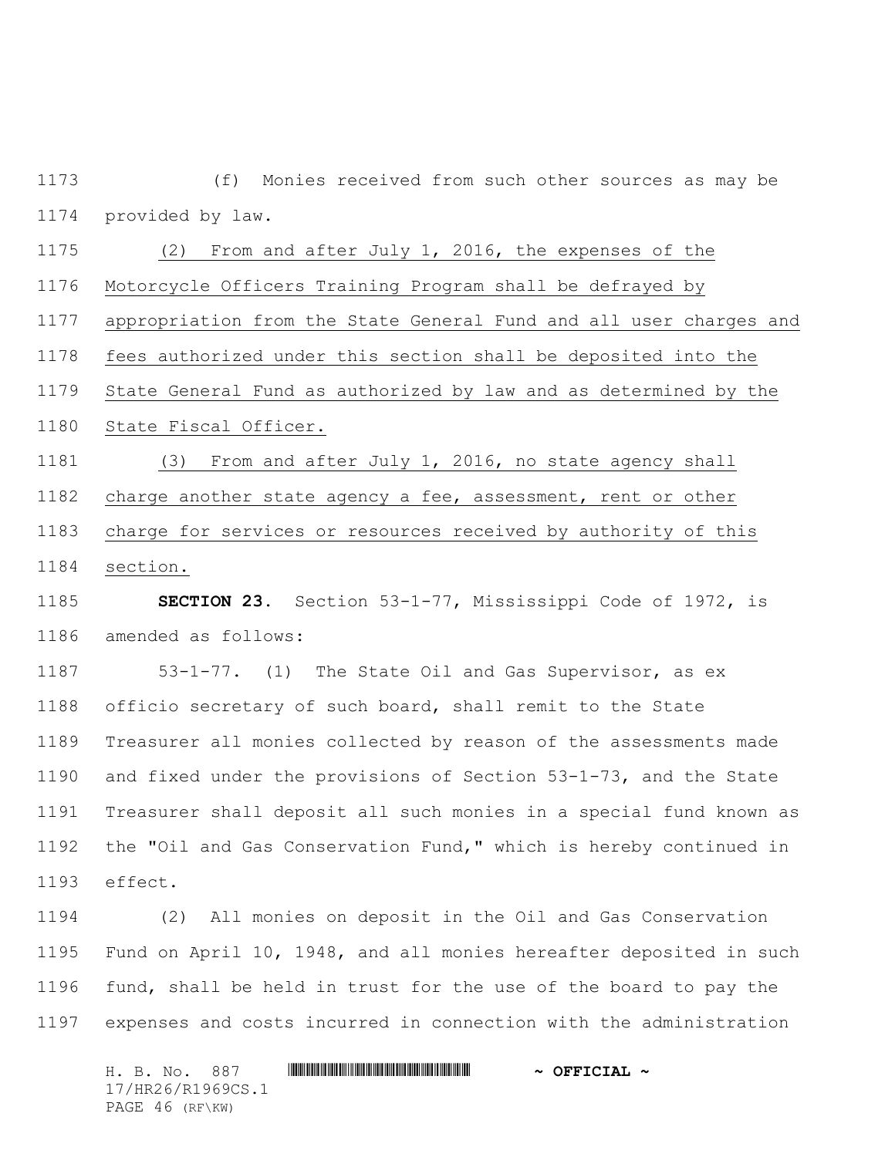(f) Monies received from such other sources as may be provided by law.

 (2) From and after July 1, 2016, the expenses of the Motorcycle Officers Training Program shall be defrayed by

appropriation from the State General Fund and all user charges and

fees authorized under this section shall be deposited into the

State General Fund as authorized by law and as determined by the

State Fiscal Officer.

 (3) From and after July 1, 2016, no state agency shall charge another state agency a fee, assessment, rent or other charge for services or resources received by authority of this

section.

 **SECTION 23.** Section 53-1-77, Mississippi Code of 1972, is amended as follows:

 53-1-77. (1) The State Oil and Gas Supervisor, as ex officio secretary of such board, shall remit to the State Treasurer all monies collected by reason of the assessments made and fixed under the provisions of Section 53-1-73, and the State Treasurer shall deposit all such monies in a special fund known as the "Oil and Gas Conservation Fund," which is hereby continued in effect.

 (2) All monies on deposit in the Oil and Gas Conservation Fund on April 10, 1948, and all monies hereafter deposited in such fund, shall be held in trust for the use of the board to pay the expenses and costs incurred in connection with the administration

H. B. No. 887 \*HR26/R1969CS.1\* **~ OFFICIAL ~** 17/HR26/R1969CS.1 PAGE 46 (RF\KW)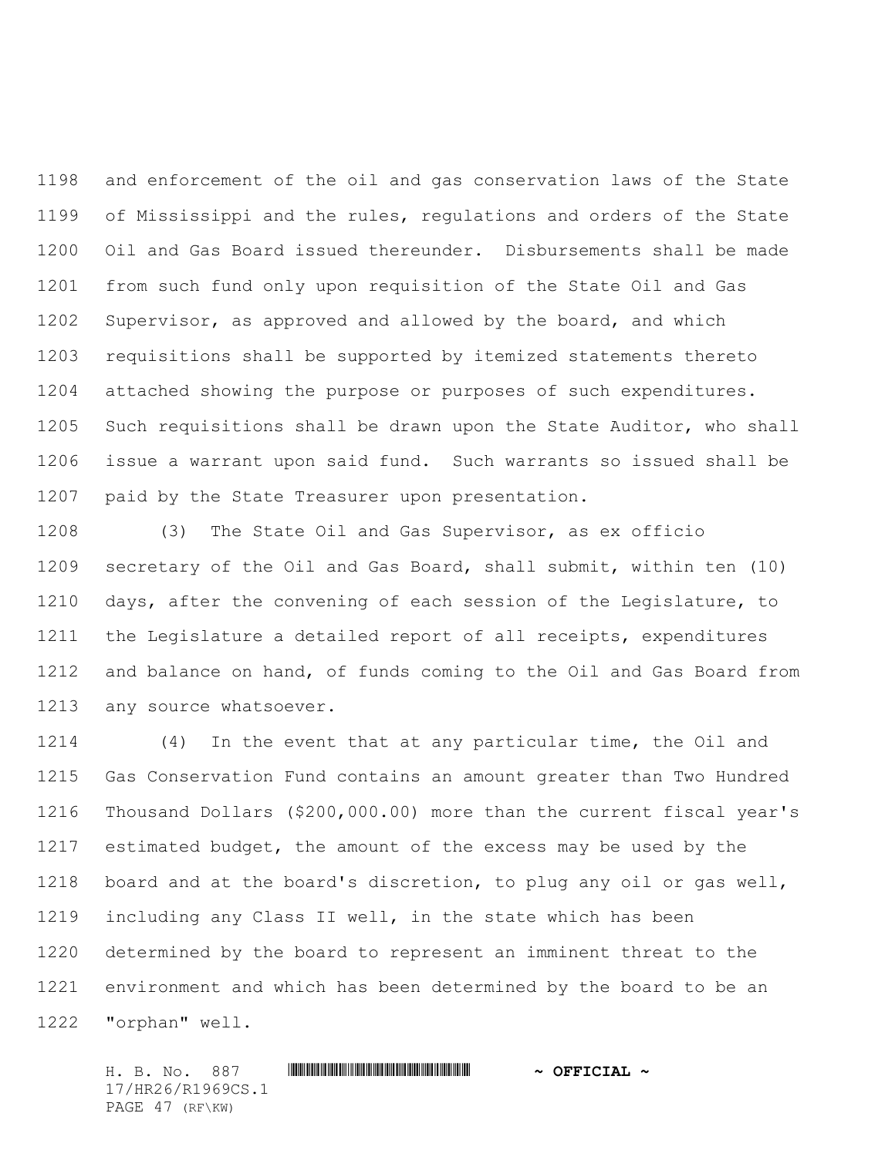and enforcement of the oil and gas conservation laws of the State of Mississippi and the rules, regulations and orders of the State Oil and Gas Board issued thereunder. Disbursements shall be made from such fund only upon requisition of the State Oil and Gas Supervisor, as approved and allowed by the board, and which requisitions shall be supported by itemized statements thereto attached showing the purpose or purposes of such expenditures. Such requisitions shall be drawn upon the State Auditor, who shall issue a warrant upon said fund. Such warrants so issued shall be paid by the State Treasurer upon presentation.

 (3) The State Oil and Gas Supervisor, as ex officio secretary of the Oil and Gas Board, shall submit, within ten (10) days, after the convening of each session of the Legislature, to the Legislature a detailed report of all receipts, expenditures and balance on hand, of funds coming to the Oil and Gas Board from any source whatsoever.

 (4) In the event that at any particular time, the Oil and Gas Conservation Fund contains an amount greater than Two Hundred Thousand Dollars (\$200,000.00) more than the current fiscal year's estimated budget, the amount of the excess may be used by the board and at the board's discretion, to plug any oil or gas well, including any Class II well, in the state which has been determined by the board to represent an imminent threat to the environment and which has been determined by the board to be an "orphan" well.

H. B. No. 887 \*HR26/R1969CS.1\* **~ OFFICIAL ~** 17/HR26/R1969CS.1 PAGE 47 (RF\KW)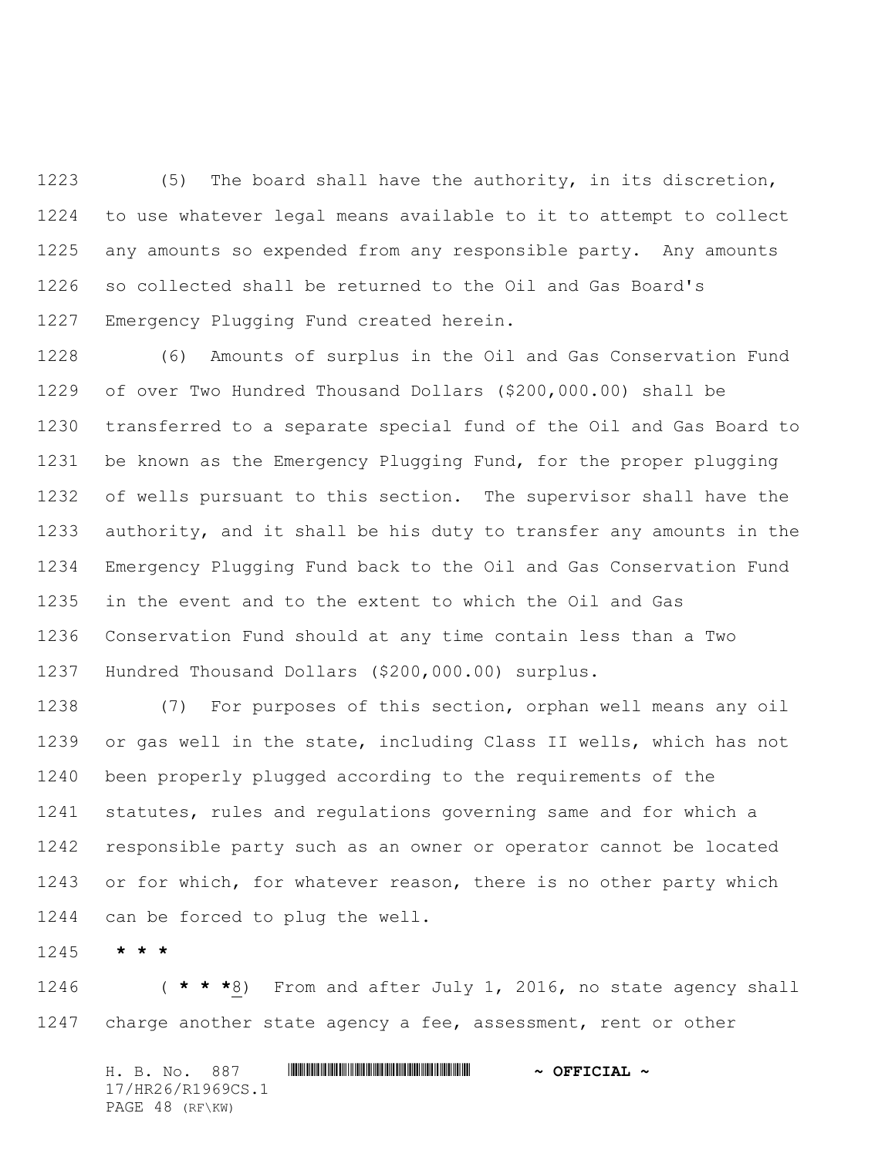(5) The board shall have the authority, in its discretion, to use whatever legal means available to it to attempt to collect any amounts so expended from any responsible party. Any amounts so collected shall be returned to the Oil and Gas Board's Emergency Plugging Fund created herein.

 (6) Amounts of surplus in the Oil and Gas Conservation Fund of over Two Hundred Thousand Dollars (\$200,000.00) shall be transferred to a separate special fund of the Oil and Gas Board to be known as the Emergency Plugging Fund, for the proper plugging of wells pursuant to this section. The supervisor shall have the authority, and it shall be his duty to transfer any amounts in the Emergency Plugging Fund back to the Oil and Gas Conservation Fund in the event and to the extent to which the Oil and Gas Conservation Fund should at any time contain less than a Two Hundred Thousand Dollars (\$200,000.00) surplus.

 (7) For purposes of this section, orphan well means any oil or gas well in the state, including Class II wells, which has not been properly plugged according to the requirements of the statutes, rules and regulations governing same and for which a responsible party such as an owner or operator cannot be located 1243 or for which, for whatever reason, there is no other party which can be forced to plug the well.

**\* \* \***

 ( **\* \* \***8) From and after July 1, 2016, no state agency shall charge another state agency a fee, assessment, rent or other

H. B. No. 887 \*HR26/R1969CS.1\* **~ OFFICIAL ~** 17/HR26/R1969CS.1 PAGE 48 (RF\KW)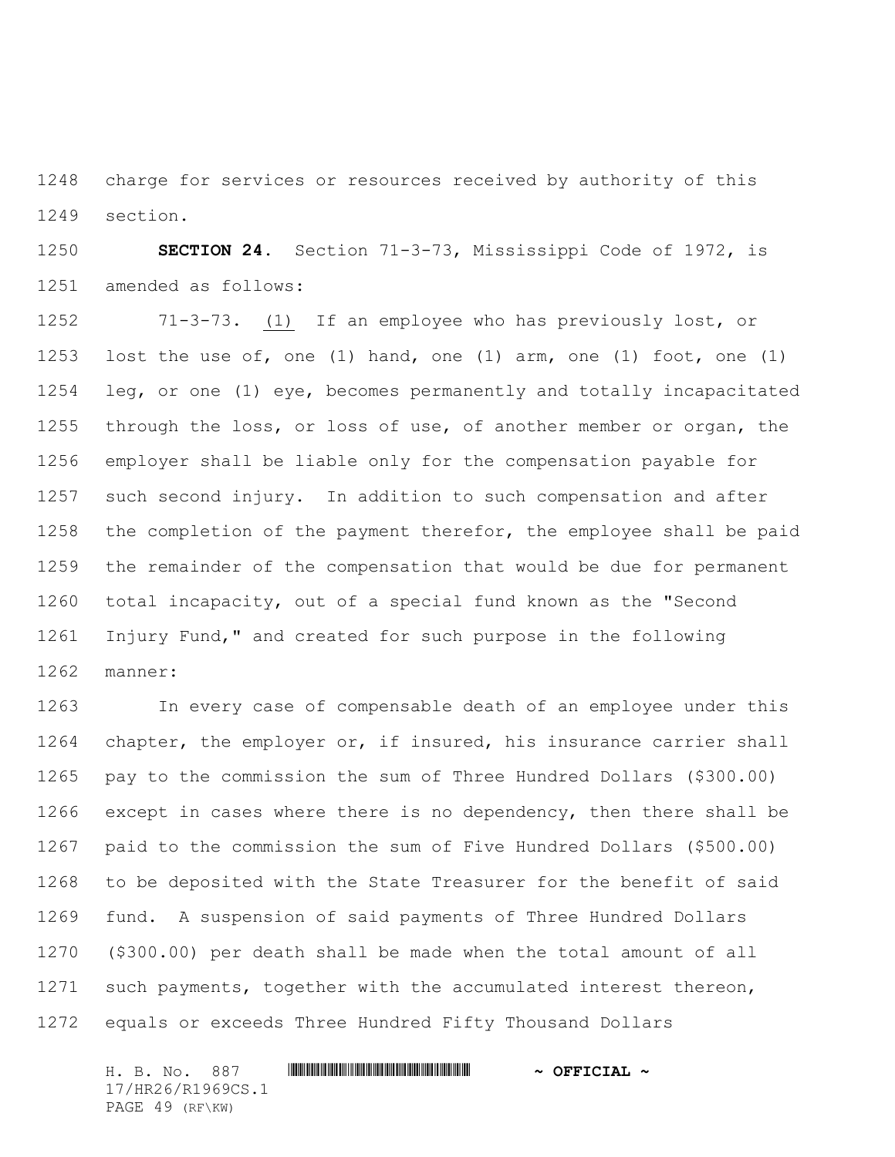charge for services or resources received by authority of this section.

 **SECTION 24.** Section 71-3-73, Mississippi Code of 1972, is amended as follows:

 71-3-73. (1) If an employee who has previously lost, or lost the use of, one (1) hand, one (1) arm, one (1) foot, one (1) leg, or one (1) eye, becomes permanently and totally incapacitated through the loss, or loss of use, of another member or organ, the employer shall be liable only for the compensation payable for such second injury. In addition to such compensation and after the completion of the payment therefor, the employee shall be paid the remainder of the compensation that would be due for permanent total incapacity, out of a special fund known as the "Second Injury Fund," and created for such purpose in the following manner:

 In every case of compensable death of an employee under this 1264 chapter, the employer or, if insured, his insurance carrier shall pay to the commission the sum of Three Hundred Dollars (\$300.00) except in cases where there is no dependency, then there shall be paid to the commission the sum of Five Hundred Dollars (\$500.00) to be deposited with the State Treasurer for the benefit of said fund. A suspension of said payments of Three Hundred Dollars (\$300.00) per death shall be made when the total amount of all such payments, together with the accumulated interest thereon, equals or exceeds Three Hundred Fifty Thousand Dollars

H. B. No. 887 \*HR26/R1969CS.1\* **~ OFFICIAL ~** 17/HR26/R1969CS.1 PAGE 49 (RF\KW)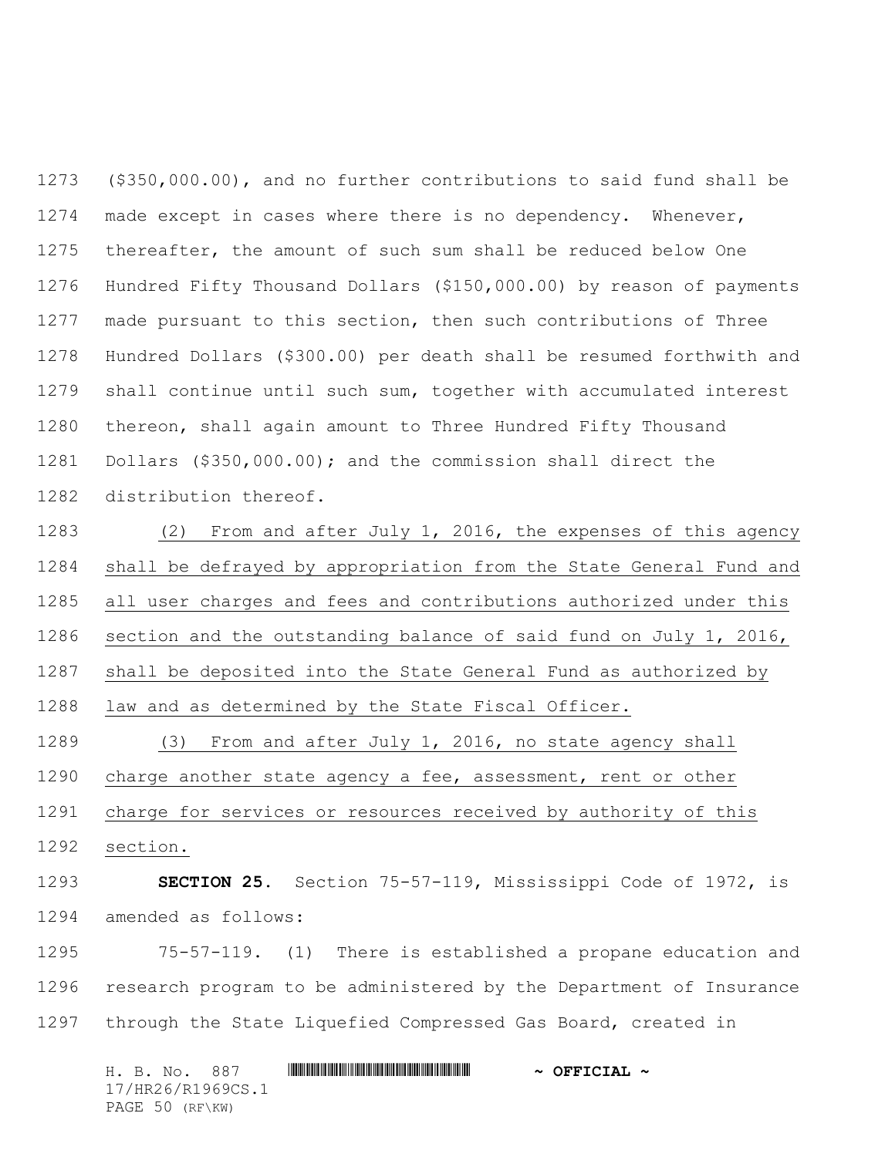(\$350,000.00), and no further contributions to said fund shall be made except in cases where there is no dependency. Whenever, thereafter, the amount of such sum shall be reduced below One Hundred Fifty Thousand Dollars (\$150,000.00) by reason of payments made pursuant to this section, then such contributions of Three Hundred Dollars (\$300.00) per death shall be resumed forthwith and shall continue until such sum, together with accumulated interest thereon, shall again amount to Three Hundred Fifty Thousand Dollars (\$350,000.00); and the commission shall direct the distribution thereof.

 (2) From and after July 1, 2016, the expenses of this agency shall be defrayed by appropriation from the State General Fund and all user charges and fees and contributions authorized under this section and the outstanding balance of said fund on July 1, 2016, shall be deposited into the State General Fund as authorized by law and as determined by the State Fiscal Officer.

 (3) From and after July 1, 2016, no state agency shall charge another state agency a fee, assessment, rent or other charge for services or resources received by authority of this

section.

 **SECTION 25.** Section 75-57-119, Mississippi Code of 1972, is amended as follows:

 75-57-119. (1) There is established a propane education and research program to be administered by the Department of Insurance through the State Liquefied Compressed Gas Board, created in

H. B. No. 887 \*HR26/R1969CS.1\* **~ OFFICIAL ~** 17/HR26/R1969CS.1 PAGE 50 (RF\KW)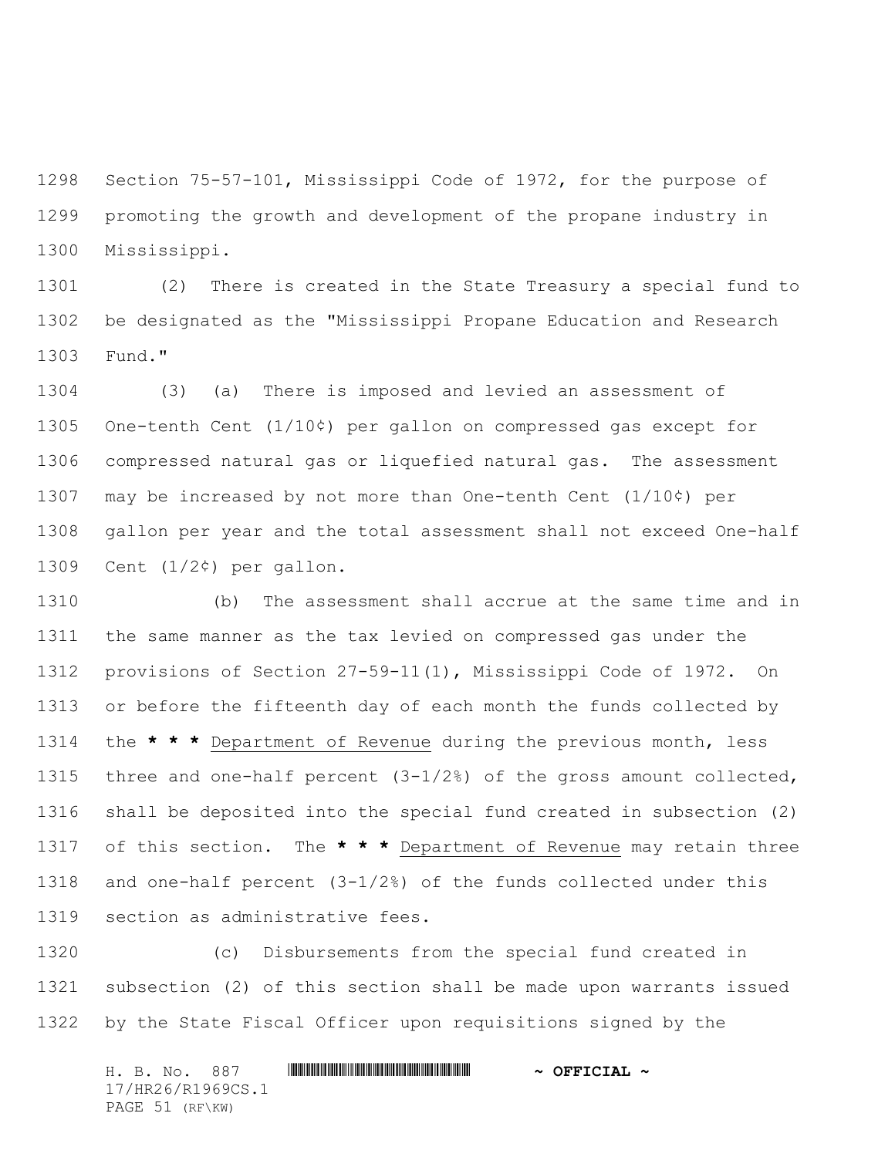Section 75-57-101, Mississippi Code of 1972, for the purpose of promoting the growth and development of the propane industry in Mississippi.

 (2) There is created in the State Treasury a special fund to be designated as the "Mississippi Propane Education and Research Fund."

 (3) (a) There is imposed and levied an assessment of One-tenth Cent (1/10¢) per gallon on compressed gas except for compressed natural gas or liquefied natural gas. The assessment may be increased by not more than One-tenth Cent (1/10¢) per gallon per year and the total assessment shall not exceed One-half 1309 Cent  $(1/2\zeta)$  per gallon.

 (b) The assessment shall accrue at the same time and in the same manner as the tax levied on compressed gas under the provisions of Section 27-59-11(1), Mississippi Code of 1972. On or before the fifteenth day of each month the funds collected by the **\* \* \*** Department of Revenue during the previous month, less three and one-half percent (3-1/2%) of the gross amount collected, shall be deposited into the special fund created in subsection (2) of this section. The **\* \* \*** Department of Revenue may retain three and one-half percent (3-1/2%) of the funds collected under this section as administrative fees.

 (c) Disbursements from the special fund created in subsection (2) of this section shall be made upon warrants issued by the State Fiscal Officer upon requisitions signed by the

H. B. No. 887 \*HR26/R1969CS.1\* **~ OFFICIAL ~** 17/HR26/R1969CS.1 PAGE 51 (RF\KW)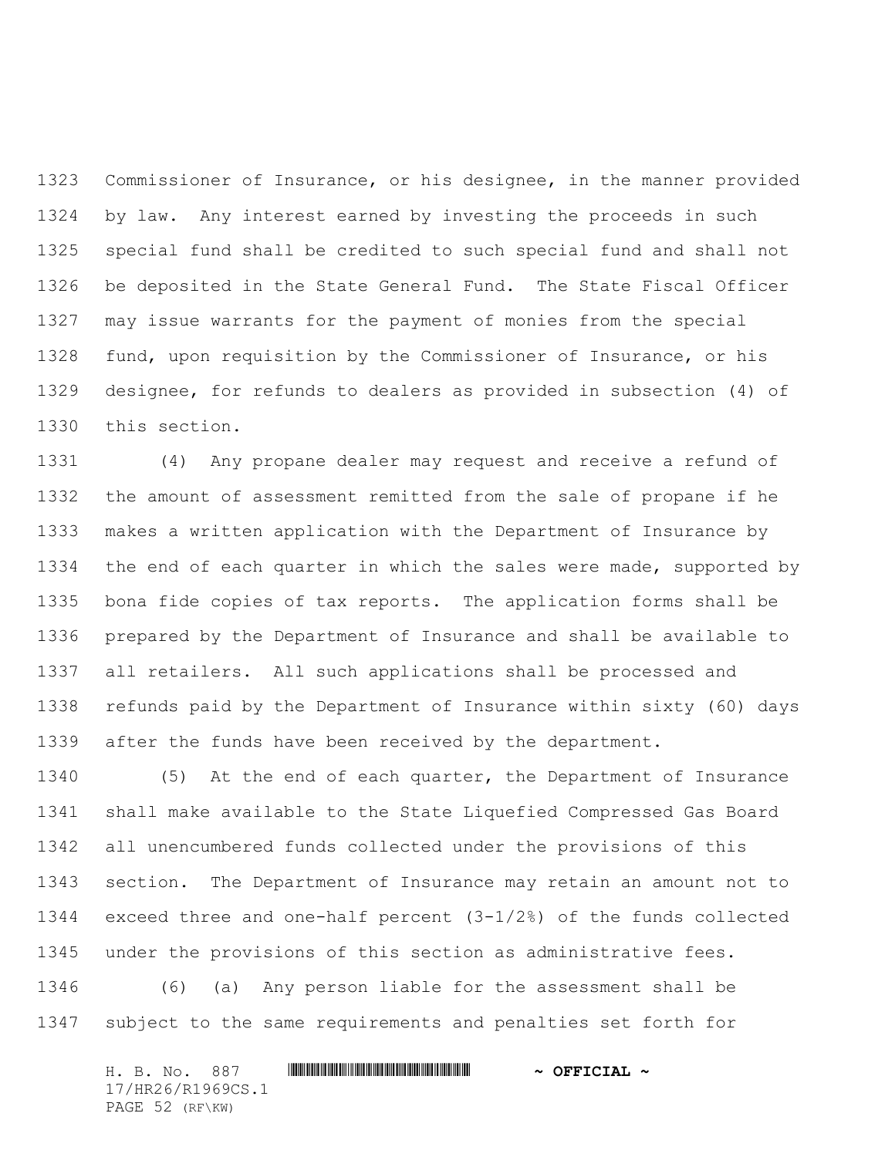Commissioner of Insurance, or his designee, in the manner provided by law. Any interest earned by investing the proceeds in such special fund shall be credited to such special fund and shall not be deposited in the State General Fund. The State Fiscal Officer may issue warrants for the payment of monies from the special fund, upon requisition by the Commissioner of Insurance, or his designee, for refunds to dealers as provided in subsection (4) of this section.

 (4) Any propane dealer may request and receive a refund of the amount of assessment remitted from the sale of propane if he makes a written application with the Department of Insurance by the end of each quarter in which the sales were made, supported by bona fide copies of tax reports. The application forms shall be prepared by the Department of Insurance and shall be available to all retailers. All such applications shall be processed and refunds paid by the Department of Insurance within sixty (60) days after the funds have been received by the department.

 (5) At the end of each quarter, the Department of Insurance shall make available to the State Liquefied Compressed Gas Board all unencumbered funds collected under the provisions of this section. The Department of Insurance may retain an amount not to exceed three and one-half percent (3-1/2%) of the funds collected under the provisions of this section as administrative fees.

 (6) (a) Any person liable for the assessment shall be subject to the same requirements and penalties set forth for

H. B. No. 887 \*HR26/R1969CS.1\* **~ OFFICIAL ~** 17/HR26/R1969CS.1 PAGE 52 (RF\KW)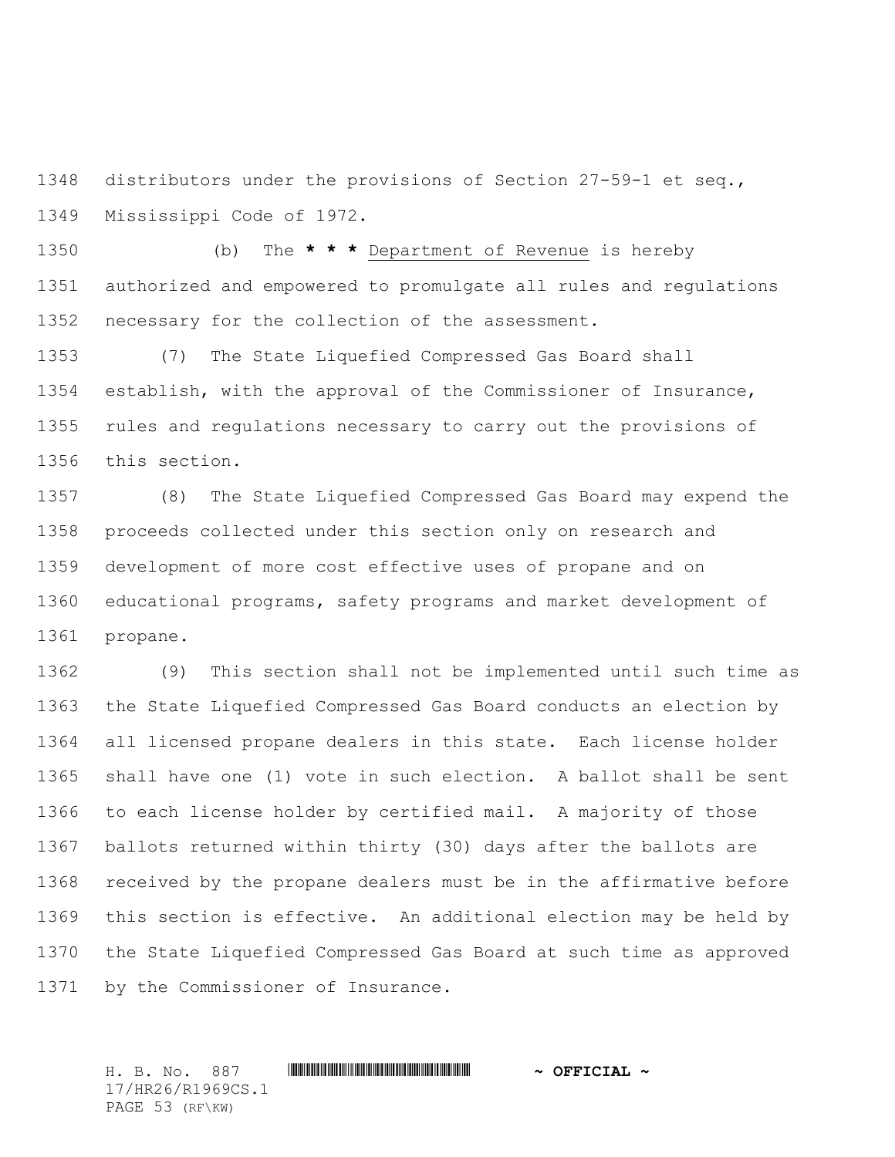distributors under the provisions of Section 27-59-1 et seq., Mississippi Code of 1972.

 (b) The **\* \* \*** Department of Revenue is hereby authorized and empowered to promulgate all rules and regulations necessary for the collection of the assessment.

 (7) The State Liquefied Compressed Gas Board shall establish, with the approval of the Commissioner of Insurance, rules and regulations necessary to carry out the provisions of this section.

 (8) The State Liquefied Compressed Gas Board may expend the proceeds collected under this section only on research and development of more cost effective uses of propane and on educational programs, safety programs and market development of propane.

 (9) This section shall not be implemented until such time as the State Liquefied Compressed Gas Board conducts an election by all licensed propane dealers in this state. Each license holder shall have one (1) vote in such election. A ballot shall be sent to each license holder by certified mail. A majority of those ballots returned within thirty (30) days after the ballots are received by the propane dealers must be in the affirmative before this section is effective. An additional election may be held by the State Liquefied Compressed Gas Board at such time as approved by the Commissioner of Insurance.

H. B. No. 887 \*HR26/R1969CS.1\* **~ OFFICIAL ~** 17/HR26/R1969CS.1 PAGE 53 (RF\KW)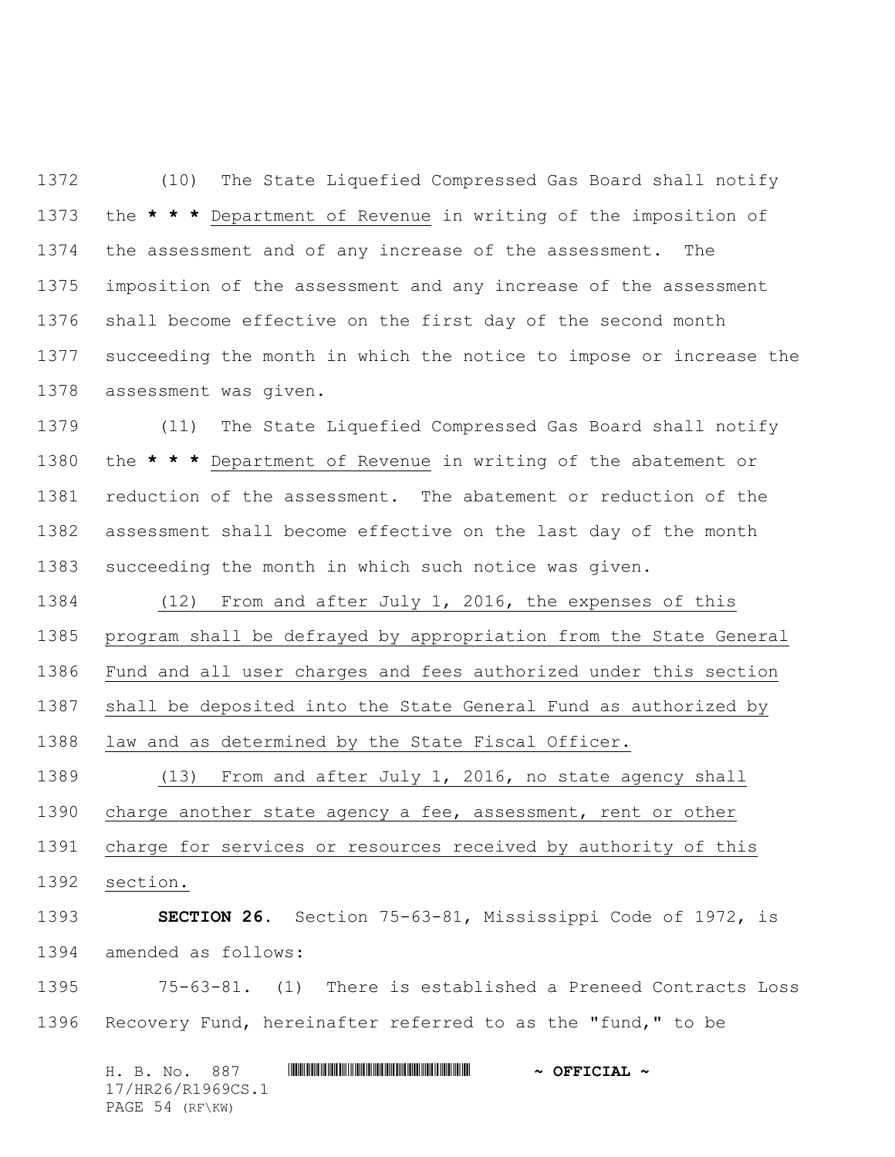(10) The State Liquefied Compressed Gas Board shall notify the **\* \* \*** Department of Revenue in writing of the imposition of the assessment and of any increase of the assessment. The imposition of the assessment and any increase of the assessment shall become effective on the first day of the second month succeeding the month in which the notice to impose or increase the assessment was given.

 (11) The State Liquefied Compressed Gas Board shall notify the **\* \* \*** Department of Revenue in writing of the abatement or reduction of the assessment. The abatement or reduction of the assessment shall become effective on the last day of the month succeeding the month in which such notice was given.

 (12) From and after July 1, 2016, the expenses of this program shall be defrayed by appropriation from the State General Fund and all user charges and fees authorized under this section shall be deposited into the State General Fund as authorized by law and as determined by the State Fiscal Officer.

 (13) From and after July 1, 2016, no state agency shall charge another state agency a fee, assessment, rent or other charge for services or resources received by authority of this section.

 **SECTION 26.** Section 75-63-81, Mississippi Code of 1972, is amended as follows:

 75-63-81. (1) There is established a Preneed Contracts Loss Recovery Fund, hereinafter referred to as the "fund," to be

H. B. No. 887 \*HR26/R1969CS.1\* **~ OFFICIAL ~** 17/HR26/R1969CS.1 PAGE 54 (RF\KW)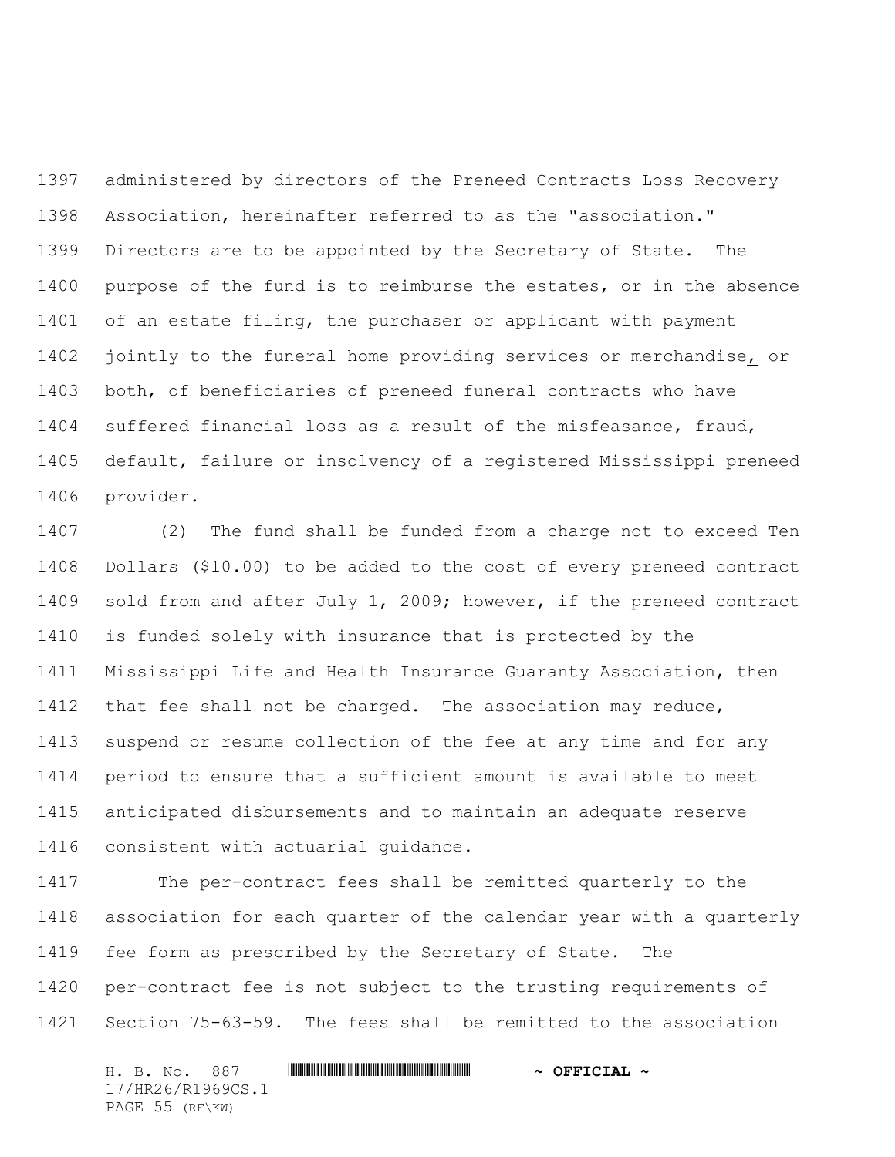administered by directors of the Preneed Contracts Loss Recovery Association, hereinafter referred to as the "association." Directors are to be appointed by the Secretary of State. The purpose of the fund is to reimburse the estates, or in the absence of an estate filing, the purchaser or applicant with payment jointly to the funeral home providing services or merchandise, or both, of beneficiaries of preneed funeral contracts who have suffered financial loss as a result of the misfeasance, fraud, default, failure or insolvency of a registered Mississippi preneed provider.

 (2) The fund shall be funded from a charge not to exceed Ten Dollars (\$10.00) to be added to the cost of every preneed contract sold from and after July 1, 2009; however, if the preneed contract is funded solely with insurance that is protected by the Mississippi Life and Health Insurance Guaranty Association, then that fee shall not be charged. The association may reduce, suspend or resume collection of the fee at any time and for any period to ensure that a sufficient amount is available to meet anticipated disbursements and to maintain an adequate reserve consistent with actuarial guidance.

 The per-contract fees shall be remitted quarterly to the association for each quarter of the calendar year with a quarterly fee form as prescribed by the Secretary of State. The per-contract fee is not subject to the trusting requirements of Section 75-63-59. The fees shall be remitted to the association

H. B. No. 887 \*HR26/R1969CS.1\* **~ OFFICIAL ~** 17/HR26/R1969CS.1 PAGE 55 (RF\KW)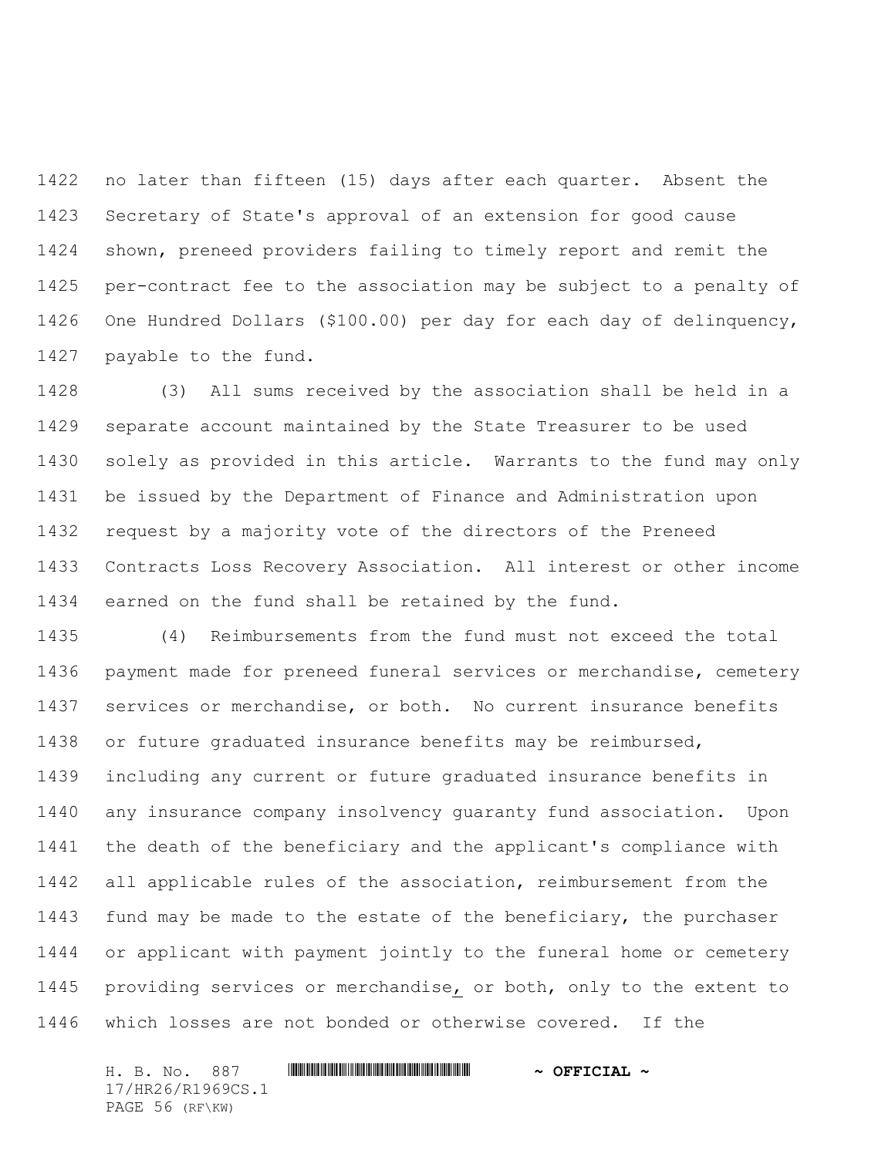no later than fifteen (15) days after each quarter. Absent the Secretary of State's approval of an extension for good cause shown, preneed providers failing to timely report and remit the per-contract fee to the association may be subject to a penalty of One Hundred Dollars (\$100.00) per day for each day of delinquency, payable to the fund.

 (3) All sums received by the association shall be held in a separate account maintained by the State Treasurer to be used solely as provided in this article. Warrants to the fund may only be issued by the Department of Finance and Administration upon request by a majority vote of the directors of the Preneed Contracts Loss Recovery Association. All interest or other income earned on the fund shall be retained by the fund.

 (4) Reimbursements from the fund must not exceed the total payment made for preneed funeral services or merchandise, cemetery services or merchandise, or both. No current insurance benefits or future graduated insurance benefits may be reimbursed, including any current or future graduated insurance benefits in any insurance company insolvency guaranty fund association. Upon the death of the beneficiary and the applicant's compliance with all applicable rules of the association, reimbursement from the 1443 fund may be made to the estate of the beneficiary, the purchaser or applicant with payment jointly to the funeral home or cemetery providing services or merchandise, or both, only to the extent to which losses are not bonded or otherwise covered. If the

H. B. No. 887 \*HR26/R1969CS.1\* **~ OFFICIAL ~** 17/HR26/R1969CS.1 PAGE 56 (RF\KW)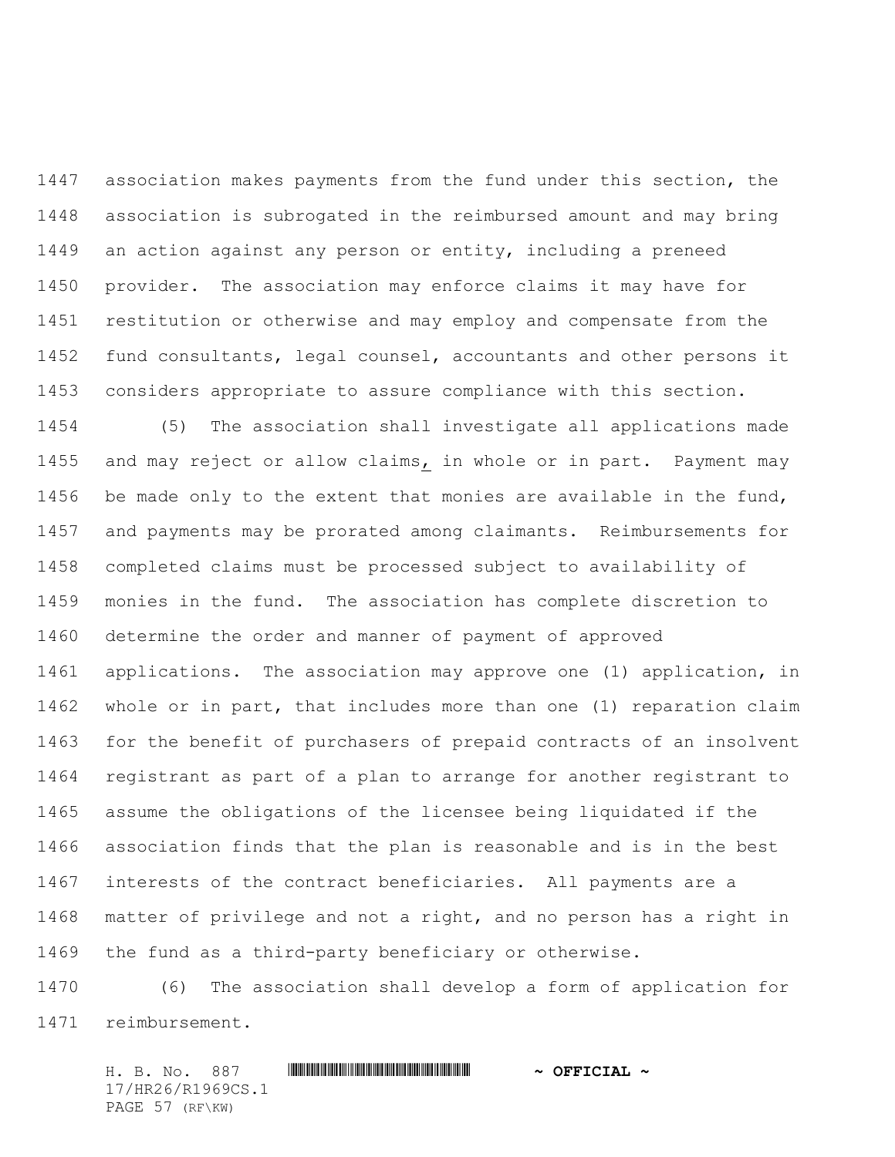association makes payments from the fund under this section, the association is subrogated in the reimbursed amount and may bring an action against any person or entity, including a preneed provider. The association may enforce claims it may have for restitution or otherwise and may employ and compensate from the fund consultants, legal counsel, accountants and other persons it considers appropriate to assure compliance with this section.

 (5) The association shall investigate all applications made and may reject or allow claims, in whole or in part. Payment may be made only to the extent that monies are available in the fund, and payments may be prorated among claimants. Reimbursements for completed claims must be processed subject to availability of monies in the fund. The association has complete discretion to determine the order and manner of payment of approved applications. The association may approve one (1) application, in whole or in part, that includes more than one (1) reparation claim for the benefit of purchasers of prepaid contracts of an insolvent registrant as part of a plan to arrange for another registrant to assume the obligations of the licensee being liquidated if the association finds that the plan is reasonable and is in the best interests of the contract beneficiaries. All payments are a matter of privilege and not a right, and no person has a right in the fund as a third-party beneficiary or otherwise.

 (6) The association shall develop a form of application for reimbursement.

H. B. No. 887 \*HR26/R1969CS.1\* **~ OFFICIAL ~** 17/HR26/R1969CS.1 PAGE 57 (RF\KW)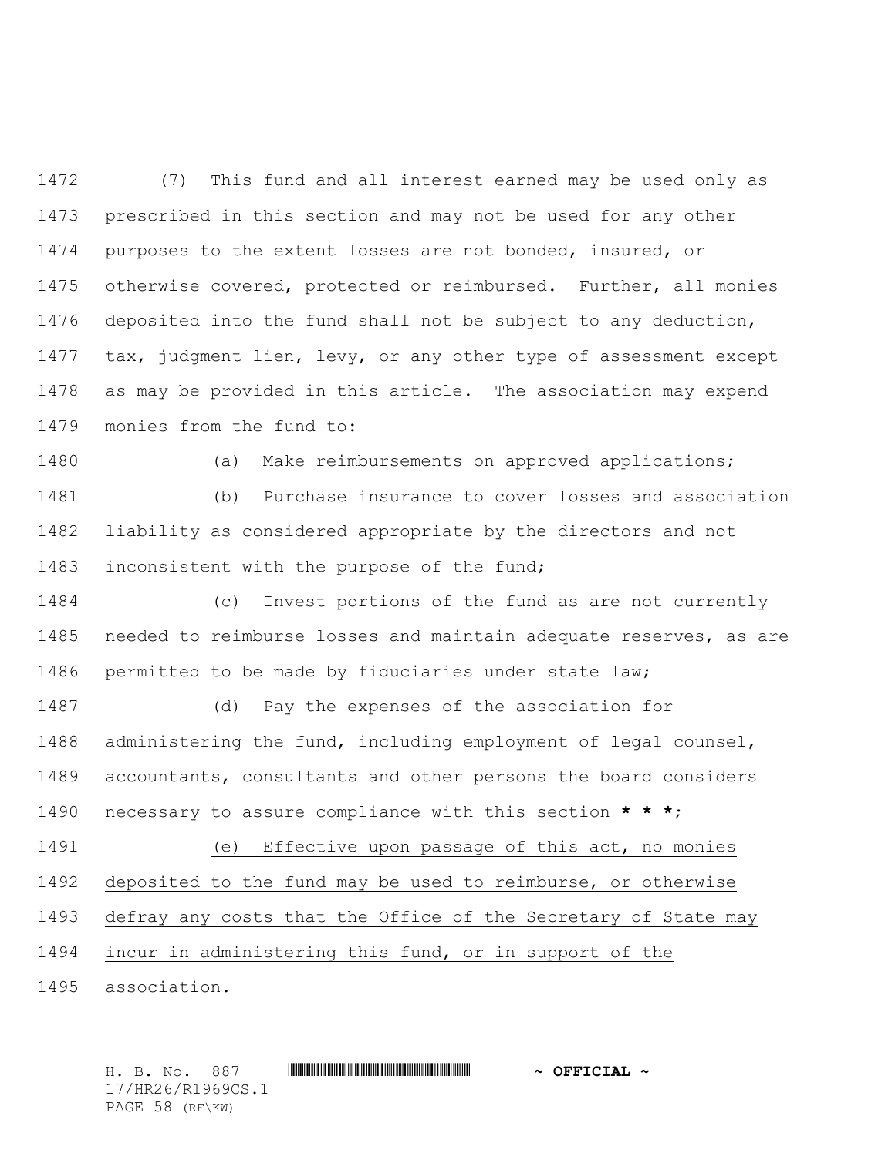(7) This fund and all interest earned may be used only as prescribed in this section and may not be used for any other purposes to the extent losses are not bonded, insured, or otherwise covered, protected or reimbursed. Further, all monies deposited into the fund shall not be subject to any deduction, tax, judgment lien, levy, or any other type of assessment except as may be provided in this article. The association may expend monies from the fund to:

 (a) Make reimbursements on approved applications; (b) Purchase insurance to cover losses and association liability as considered appropriate by the directors and not 1483 inconsistent with the purpose of the fund;

 (c) Invest portions of the fund as are not currently needed to reimburse losses and maintain adequate reserves, as are permitted to be made by fiduciaries under state law;

 (d) Pay the expenses of the association for administering the fund, including employment of legal counsel, accountants, consultants and other persons the board considers necessary to assure compliance with this section **\* \* \***;

 (e) Effective upon passage of this act, no monies deposited to the fund may be used to reimburse, or otherwise defray any costs that the Office of the Secretary of State may incur in administering this fund, or in support of the

association.

H. B. No. 887 \*HR26/R1969CS.1\* **~ OFFICIAL ~** 17/HR26/R1969CS.1 PAGE 58 (RF\KW)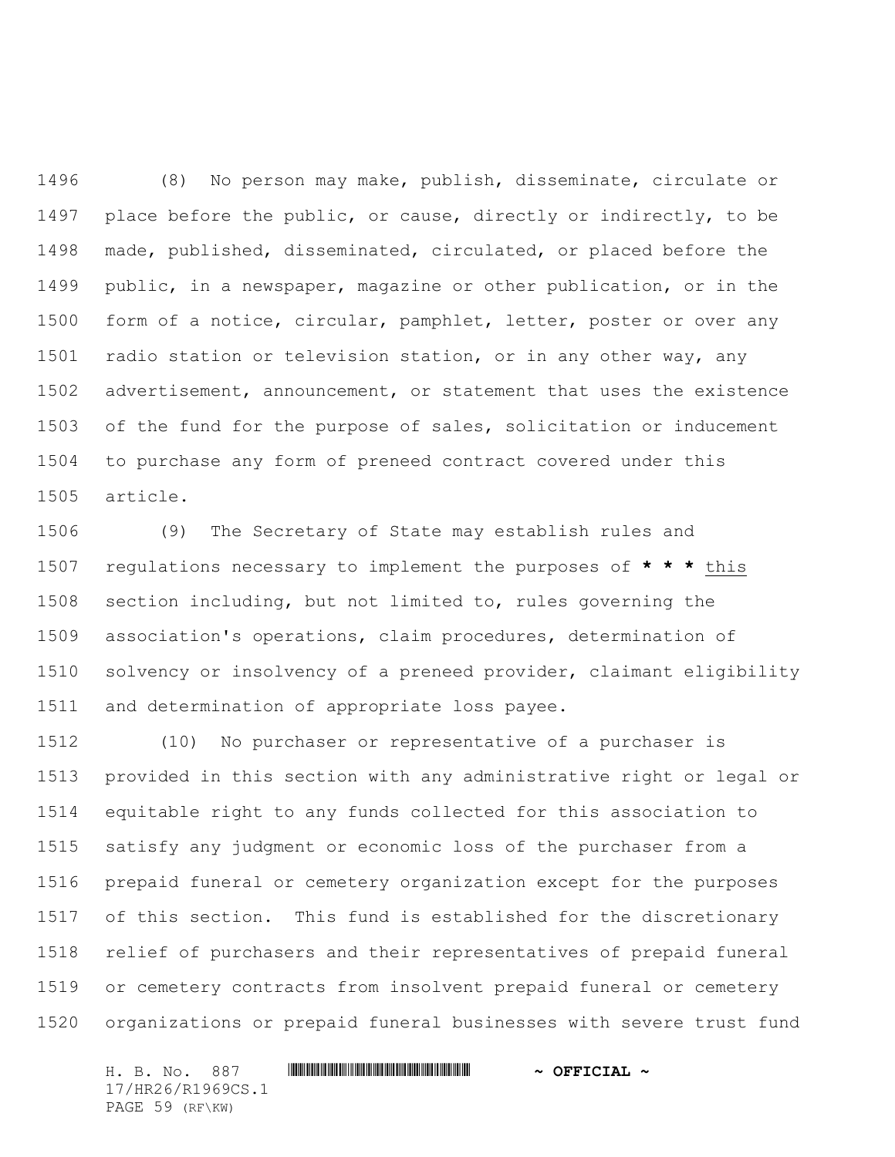(8) No person may make, publish, disseminate, circulate or place before the public, or cause, directly or indirectly, to be made, published, disseminated, circulated, or placed before the public, in a newspaper, magazine or other publication, or in the form of a notice, circular, pamphlet, letter, poster or over any radio station or television station, or in any other way, any advertisement, announcement, or statement that uses the existence of the fund for the purpose of sales, solicitation or inducement to purchase any form of preneed contract covered under this article.

 (9) The Secretary of State may establish rules and regulations necessary to implement the purposes of **\* \* \*** this section including, but not limited to, rules governing the association's operations, claim procedures, determination of solvency or insolvency of a preneed provider, claimant eligibility and determination of appropriate loss payee.

 (10) No purchaser or representative of a purchaser is provided in this section with any administrative right or legal or equitable right to any funds collected for this association to satisfy any judgment or economic loss of the purchaser from a prepaid funeral or cemetery organization except for the purposes of this section. This fund is established for the discretionary relief of purchasers and their representatives of prepaid funeral or cemetery contracts from insolvent prepaid funeral or cemetery organizations or prepaid funeral businesses with severe trust fund

H. B. No. 887 \*HR26/R1969CS.1\* **~ OFFICIAL ~** 17/HR26/R1969CS.1 PAGE 59 (RF\KW)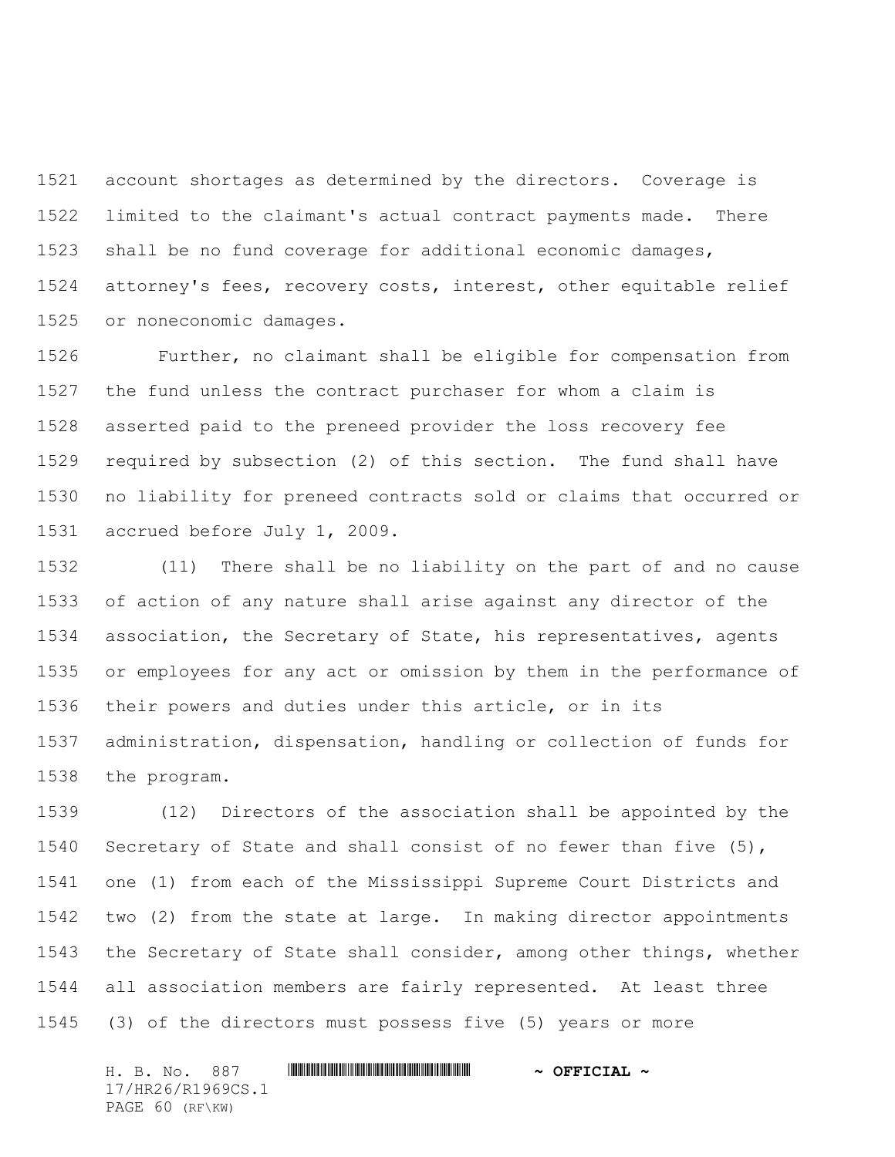account shortages as determined by the directors. Coverage is limited to the claimant's actual contract payments made. There shall be no fund coverage for additional economic damages, attorney's fees, recovery costs, interest, other equitable relief or noneconomic damages.

 Further, no claimant shall be eligible for compensation from the fund unless the contract purchaser for whom a claim is asserted paid to the preneed provider the loss recovery fee required by subsection (2) of this section. The fund shall have no liability for preneed contracts sold or claims that occurred or accrued before July 1, 2009.

 (11) There shall be no liability on the part of and no cause of action of any nature shall arise against any director of the association, the Secretary of State, his representatives, agents or employees for any act or omission by them in the performance of their powers and duties under this article, or in its administration, dispensation, handling or collection of funds for the program.

 (12) Directors of the association shall be appointed by the Secretary of State and shall consist of no fewer than five (5), one (1) from each of the Mississippi Supreme Court Districts and two (2) from the state at large. In making director appointments the Secretary of State shall consider, among other things, whether all association members are fairly represented. At least three (3) of the directors must possess five (5) years or more

H. B. No. 887 \*HR26/R1969CS.1\* **~ OFFICIAL ~** 17/HR26/R1969CS.1 PAGE 60 (RF\KW)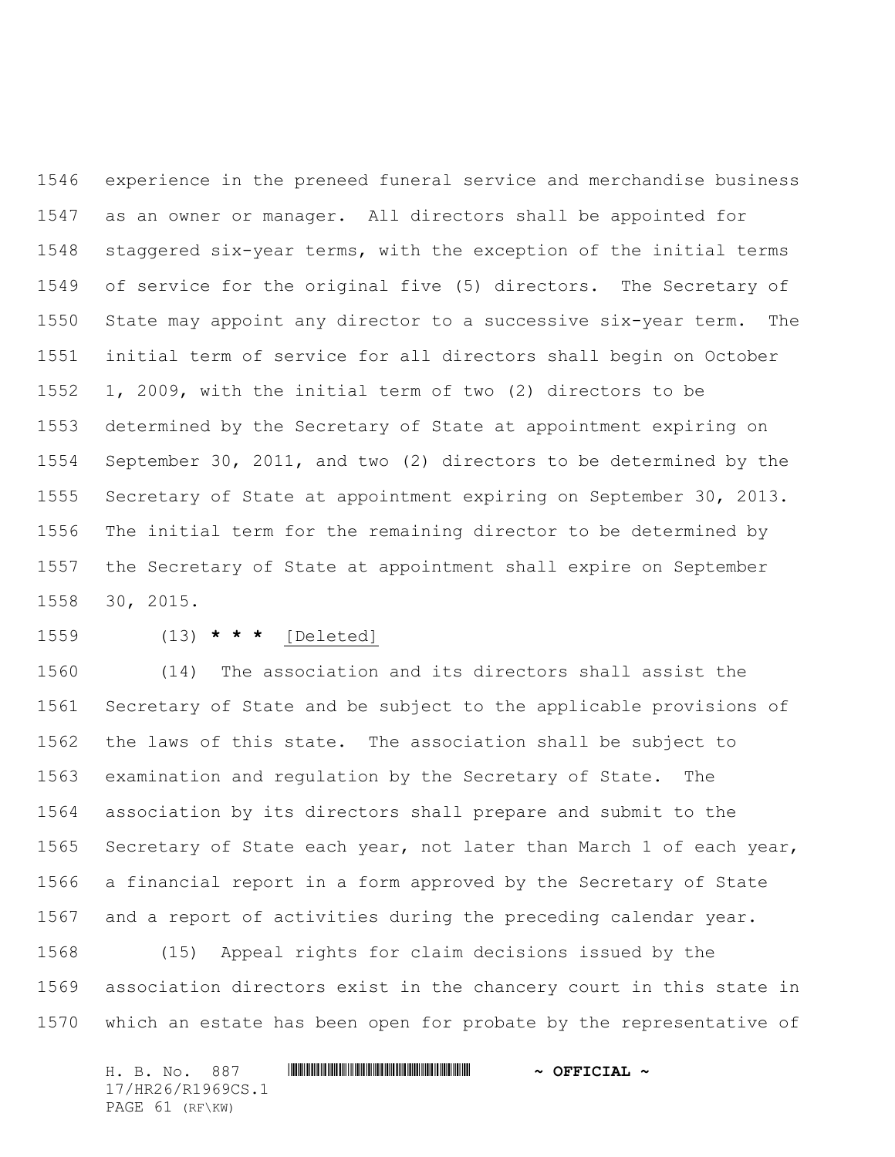experience in the preneed funeral service and merchandise business as an owner or manager. All directors shall be appointed for staggered six-year terms, with the exception of the initial terms of service for the original five (5) directors. The Secretary of State may appoint any director to a successive six-year term. The initial term of service for all directors shall begin on October 1, 2009, with the initial term of two (2) directors to be determined by the Secretary of State at appointment expiring on September 30, 2011, and two (2) directors to be determined by the Secretary of State at appointment expiring on September 30, 2013. The initial term for the remaining director to be determined by the Secretary of State at appointment shall expire on September 30, 2015.

## (13) **\* \* \*** [Deleted]

 (14) The association and its directors shall assist the Secretary of State and be subject to the applicable provisions of the laws of this state. The association shall be subject to examination and regulation by the Secretary of State. The association by its directors shall prepare and submit to the Secretary of State each year, not later than March 1 of each year, a financial report in a form approved by the Secretary of State and a report of activities during the preceding calendar year.

 (15) Appeal rights for claim decisions issued by the association directors exist in the chancery court in this state in which an estate has been open for probate by the representative of

|  | H. B. No. 887   |                   |  | $\sim$ OFFICIAL $\sim$ |  |
|--|-----------------|-------------------|--|------------------------|--|
|  |                 | 17/HR26/R1969CS.1 |  |                        |  |
|  | PAGE 61 (RF\KW) |                   |  |                        |  |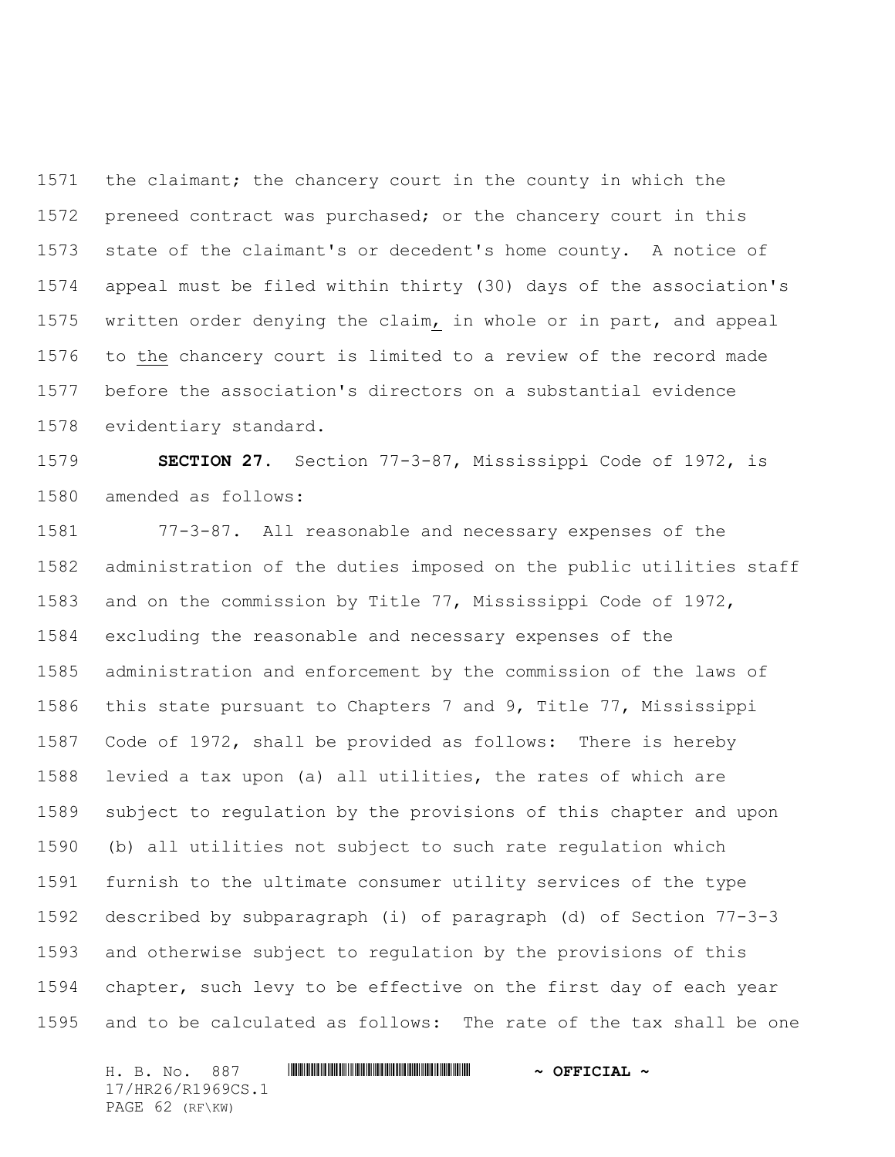the claimant; the chancery court in the county in which the preneed contract was purchased; or the chancery court in this state of the claimant's or decedent's home county. A notice of appeal must be filed within thirty (30) days of the association's written order denying the claim, in whole or in part, and appeal to the chancery court is limited to a review of the record made before the association's directors on a substantial evidence evidentiary standard.

 **SECTION 27.** Section 77-3-87, Mississippi Code of 1972, is amended as follows:

 77-3-87. All reasonable and necessary expenses of the administration of the duties imposed on the public utilities staff and on the commission by Title 77, Mississippi Code of 1972, excluding the reasonable and necessary expenses of the administration and enforcement by the commission of the laws of this state pursuant to Chapters 7 and 9, Title 77, Mississippi Code of 1972, shall be provided as follows: There is hereby levied a tax upon (a) all utilities, the rates of which are subject to regulation by the provisions of this chapter and upon (b) all utilities not subject to such rate regulation which furnish to the ultimate consumer utility services of the type described by subparagraph (i) of paragraph (d) of Section 77-3-3 and otherwise subject to regulation by the provisions of this chapter, such levy to be effective on the first day of each year and to be calculated as follows: The rate of the tax shall be one

H. B. No. 887 \*HR26/R1969CS.1\* **~ OFFICIAL ~** 17/HR26/R1969CS.1 PAGE 62 (RF\KW)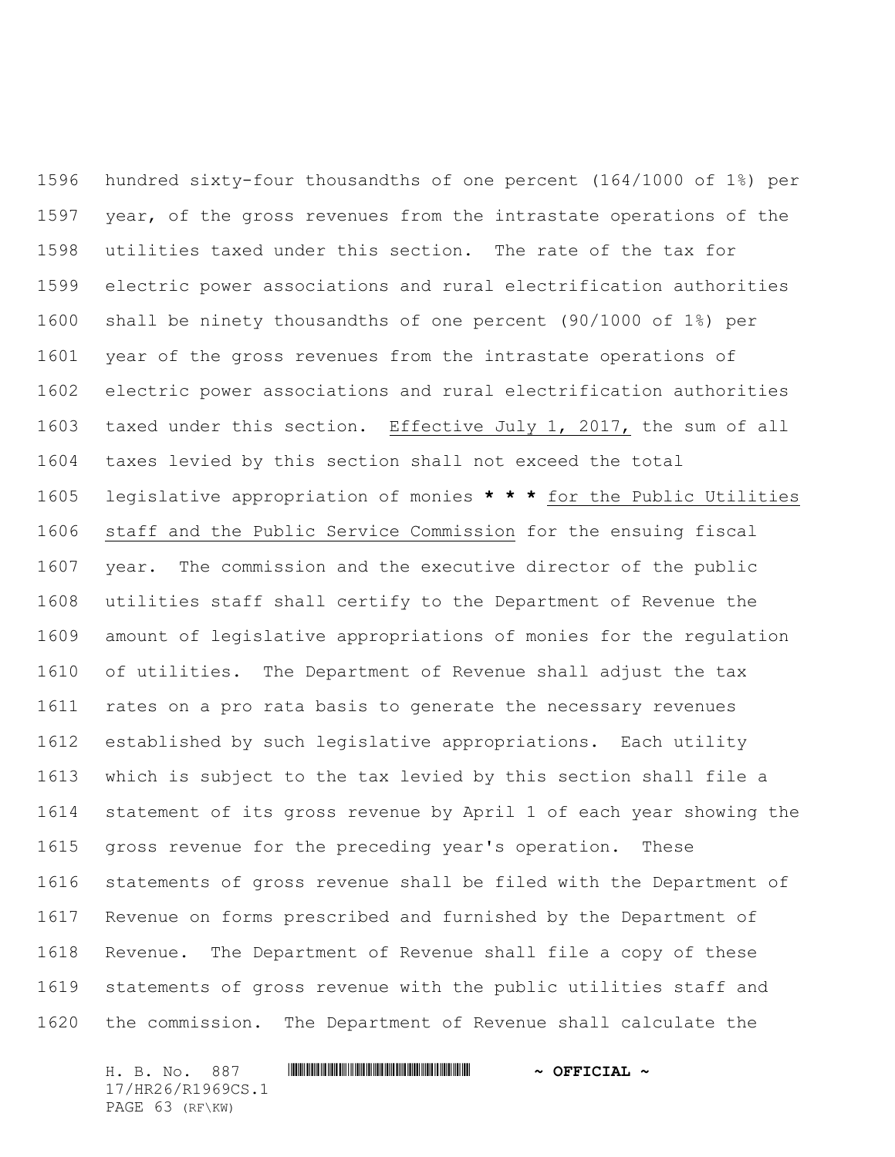hundred sixty-four thousandths of one percent (164/1000 of 1%) per year, of the gross revenues from the intrastate operations of the utilities taxed under this section. The rate of the tax for electric power associations and rural electrification authorities shall be ninety thousandths of one percent (90/1000 of 1%) per year of the gross revenues from the intrastate operations of electric power associations and rural electrification authorities taxed under this section. Effective July 1, 2017, the sum of all taxes levied by this section shall not exceed the total legislative appropriation of monies **\* \* \*** for the Public Utilities staff and the Public Service Commission for the ensuing fiscal year. The commission and the executive director of the public utilities staff shall certify to the Department of Revenue the amount of legislative appropriations of monies for the regulation of utilities. The Department of Revenue shall adjust the tax rates on a pro rata basis to generate the necessary revenues established by such legislative appropriations. Each utility which is subject to the tax levied by this section shall file a statement of its gross revenue by April 1 of each year showing the gross revenue for the preceding year's operation. These statements of gross revenue shall be filed with the Department of Revenue on forms prescribed and furnished by the Department of Revenue. The Department of Revenue shall file a copy of these statements of gross revenue with the public utilities staff and the commission. The Department of Revenue shall calculate the

H. B. No. 887 \*HR26/R1969CS.1\* **~ OFFICIAL ~** 17/HR26/R1969CS.1 PAGE 63 (RF\KW)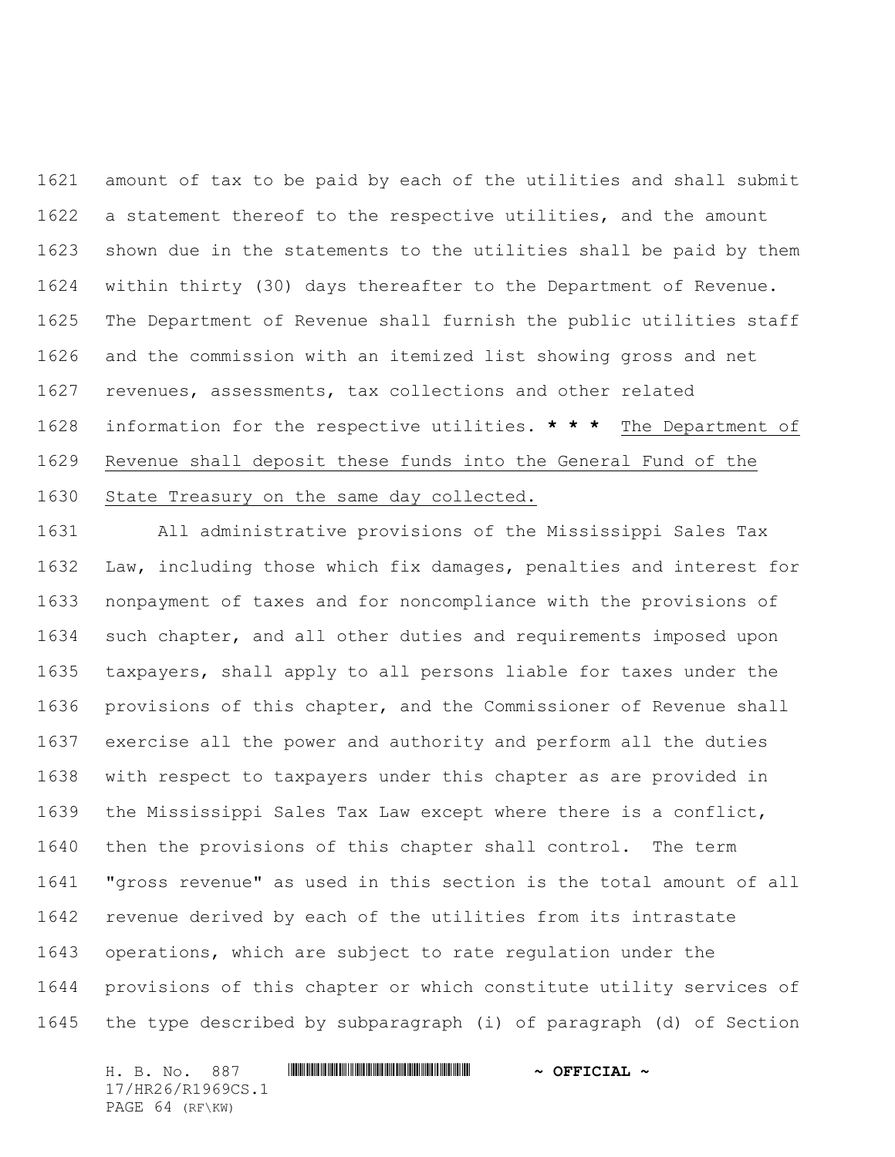amount of tax to be paid by each of the utilities and shall submit a statement thereof to the respective utilities, and the amount shown due in the statements to the utilities shall be paid by them within thirty (30) days thereafter to the Department of Revenue. The Department of Revenue shall furnish the public utilities staff and the commission with an itemized list showing gross and net revenues, assessments, tax collections and other related information for the respective utilities. **\* \* \*** The Department of Revenue shall deposit these funds into the General Fund of the State Treasury on the same day collected.

 All administrative provisions of the Mississippi Sales Tax Law, including those which fix damages, penalties and interest for nonpayment of taxes and for noncompliance with the provisions of such chapter, and all other duties and requirements imposed upon taxpayers, shall apply to all persons liable for taxes under the provisions of this chapter, and the Commissioner of Revenue shall exercise all the power and authority and perform all the duties with respect to taxpayers under this chapter as are provided in the Mississippi Sales Tax Law except where there is a conflict, then the provisions of this chapter shall control. The term "gross revenue" as used in this section is the total amount of all revenue derived by each of the utilities from its intrastate operations, which are subject to rate regulation under the provisions of this chapter or which constitute utility services of the type described by subparagraph (i) of paragraph (d) of Section

H. B. No. 887 \*HR26/R1969CS.1\* **~ OFFICIAL ~** 17/HR26/R1969CS.1 PAGE 64 (RF\KW)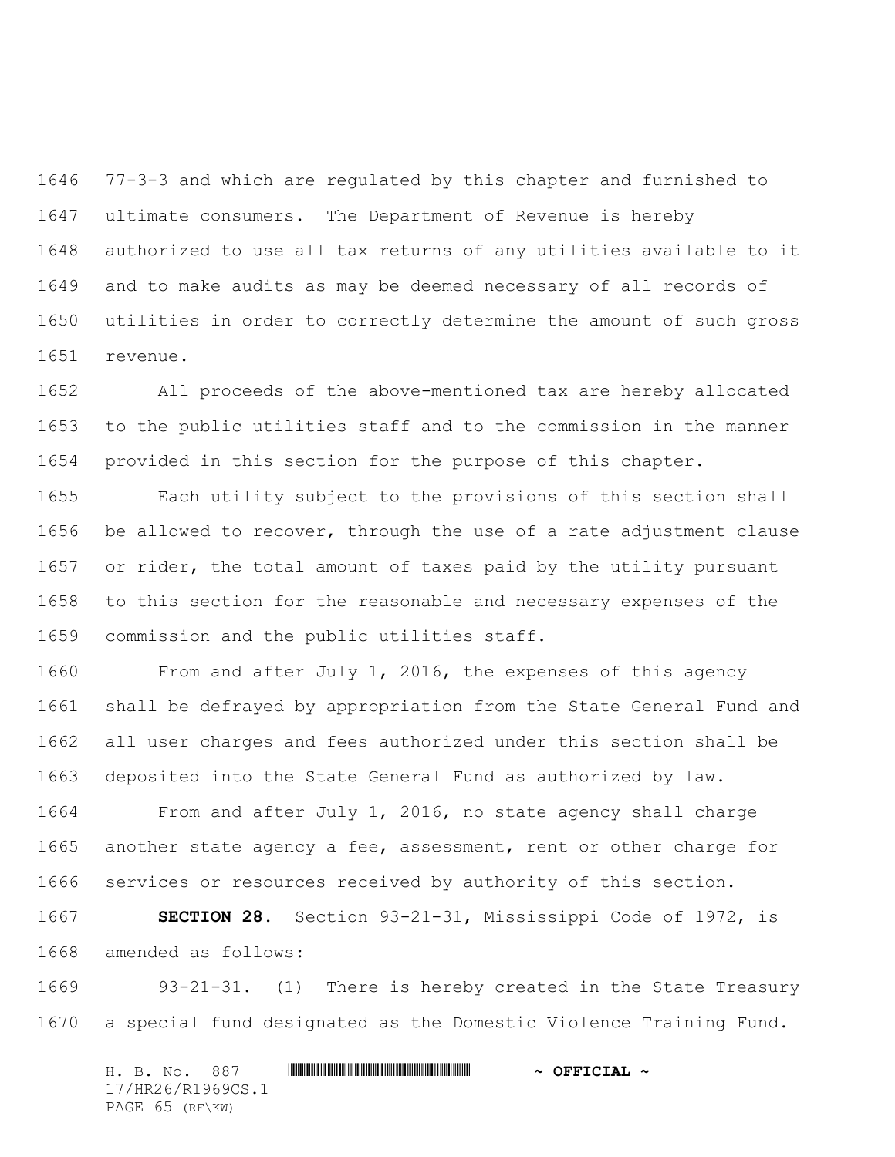77-3-3 and which are regulated by this chapter and furnished to ultimate consumers. The Department of Revenue is hereby authorized to use all tax returns of any utilities available to it and to make audits as may be deemed necessary of all records of utilities in order to correctly determine the amount of such gross revenue.

 All proceeds of the above-mentioned tax are hereby allocated to the public utilities staff and to the commission in the manner provided in this section for the purpose of this chapter.

 Each utility subject to the provisions of this section shall be allowed to recover, through the use of a rate adjustment clause 1657 or rider, the total amount of taxes paid by the utility pursuant to this section for the reasonable and necessary expenses of the commission and the public utilities staff.

 From and after July 1, 2016, the expenses of this agency shall be defrayed by appropriation from the State General Fund and all user charges and fees authorized under this section shall be deposited into the State General Fund as authorized by law.

 From and after July 1, 2016, no state agency shall charge another state agency a fee, assessment, rent or other charge for services or resources received by authority of this section.

 **SECTION 28.** Section 93-21-31, Mississippi Code of 1972, is amended as follows:

 93-21-31. (1) There is hereby created in the State Treasury a special fund designated as the Domestic Violence Training Fund.

H. B. No. 887 \*HR26/R1969CS.1\* **~ OFFICIAL ~** 17/HR26/R1969CS.1 PAGE 65 (RF\KW)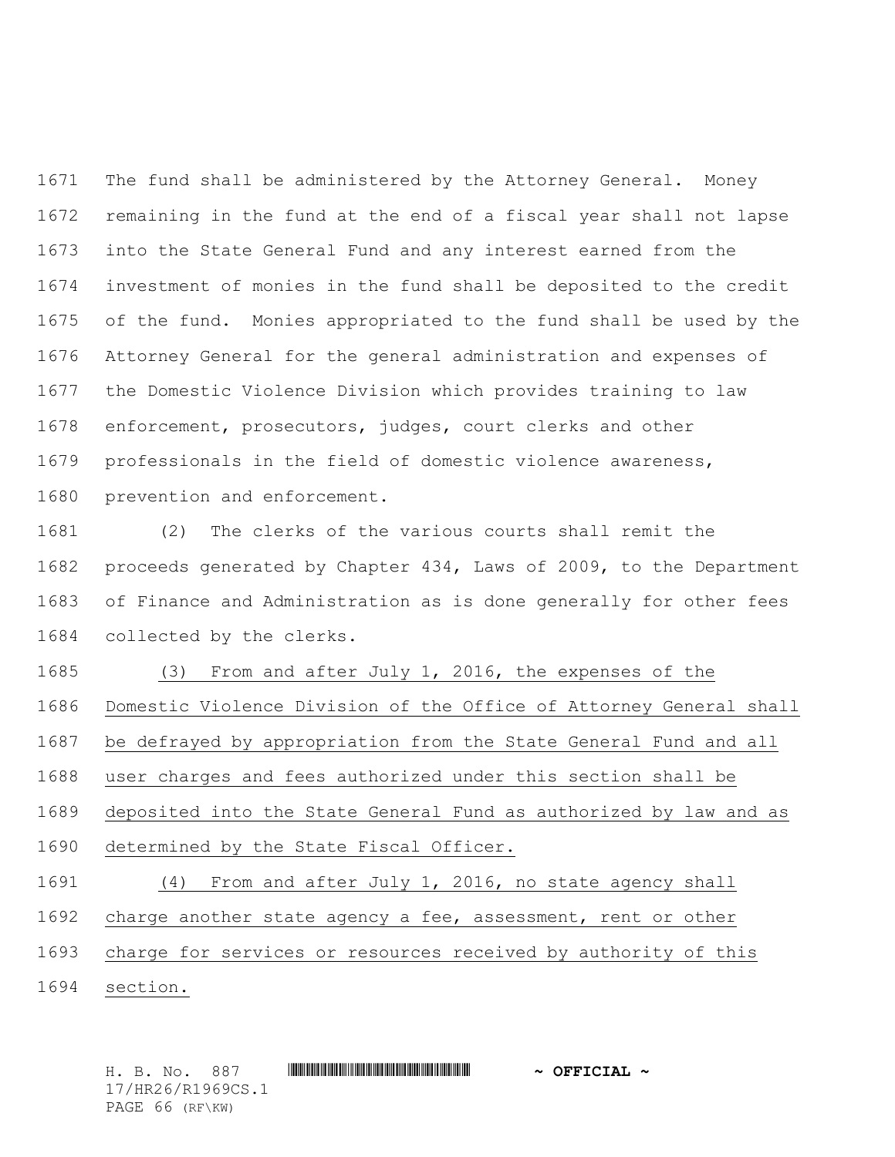The fund shall be administered by the Attorney General. Money remaining in the fund at the end of a fiscal year shall not lapse into the State General Fund and any interest earned from the investment of monies in the fund shall be deposited to the credit of the fund. Monies appropriated to the fund shall be used by the Attorney General for the general administration and expenses of the Domestic Violence Division which provides training to law enforcement, prosecutors, judges, court clerks and other professionals in the field of domestic violence awareness, prevention and enforcement.

 (2) The clerks of the various courts shall remit the proceeds generated by Chapter 434, Laws of 2009, to the Department of Finance and Administration as is done generally for other fees collected by the clerks.

- (3) From and after July 1, 2016, the expenses of the Domestic Violence Division of the Office of Attorney General shall be defrayed by appropriation from the State General Fund and all user charges and fees authorized under this section shall be deposited into the State General Fund as authorized by law and as determined by the State Fiscal Officer. (4) From and after July 1, 2016, no state agency shall charge another state agency a fee, assessment, rent or other
- charge for services or resources received by authority of this
- section.

H. B. No. 887 \*HR26/R1969CS.1\* **~ OFFICIAL ~** 17/HR26/R1969CS.1 PAGE 66 (RF\KW)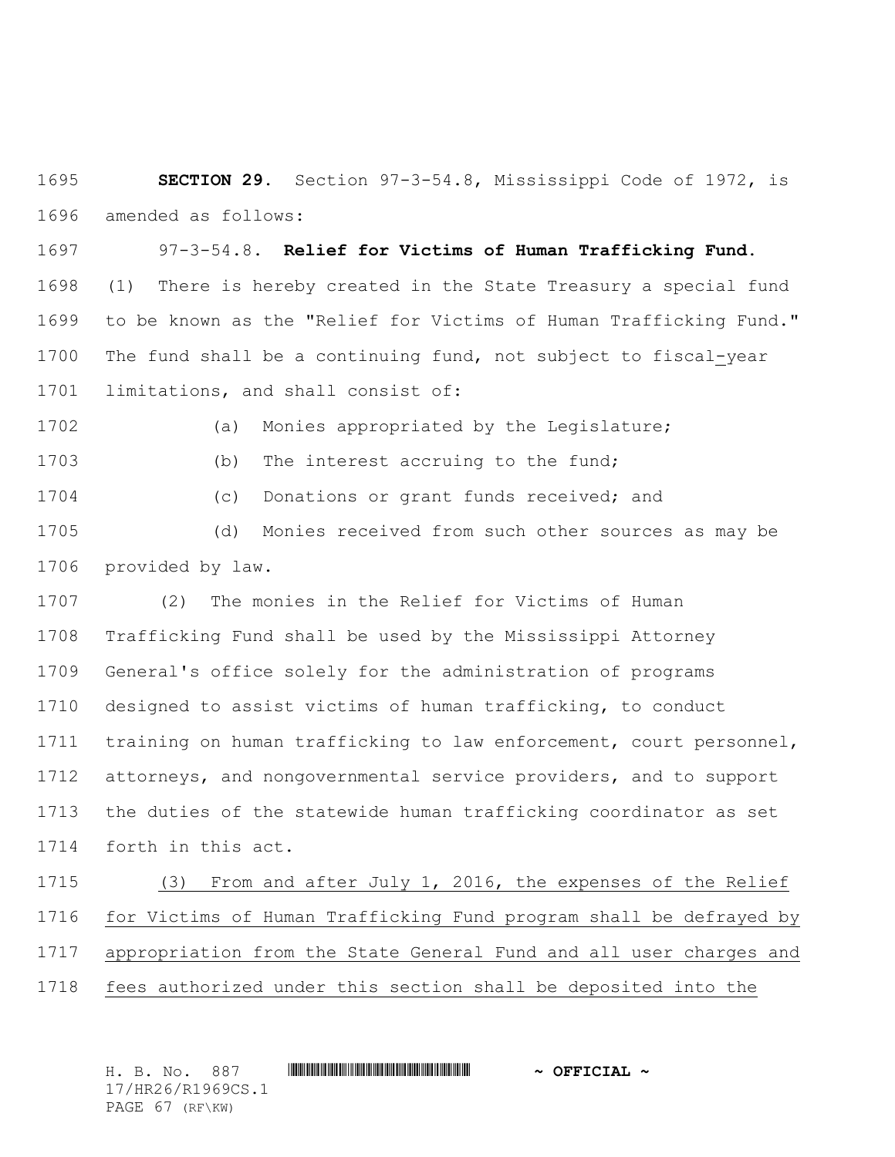**SECTION 29.** Section 97-3-54.8, Mississippi Code of 1972, is amended as follows:

 97-3-54.8. **Relief for Victims of Human Trafficking Fund.**  (1) There is hereby created in the State Treasury a special fund to be known as the "Relief for Victims of Human Trafficking Fund." The fund shall be a continuing fund, not subject to fiscal-year limitations, and shall consist of:

(a) Monies appropriated by the Legislature;

(b) The interest accruing to the fund;

(c) Donations or grant funds received; and

 (d) Monies received from such other sources as may be provided by law.

 (2) The monies in the Relief for Victims of Human Trafficking Fund shall be used by the Mississippi Attorney General's office solely for the administration of programs designed to assist victims of human trafficking, to conduct training on human trafficking to law enforcement, court personnel, attorneys, and nongovernmental service providers, and to support the duties of the statewide human trafficking coordinator as set forth in this act.

 (3) From and after July 1, 2016, the expenses of the Relief for Victims of Human Trafficking Fund program shall be defrayed by appropriation from the State General Fund and all user charges and fees authorized under this section shall be deposited into the

H. B. No. 887 \*HR26/R1969CS.1\* **~ OFFICIAL ~** 17/HR26/R1969CS.1 PAGE 67 (RF\KW)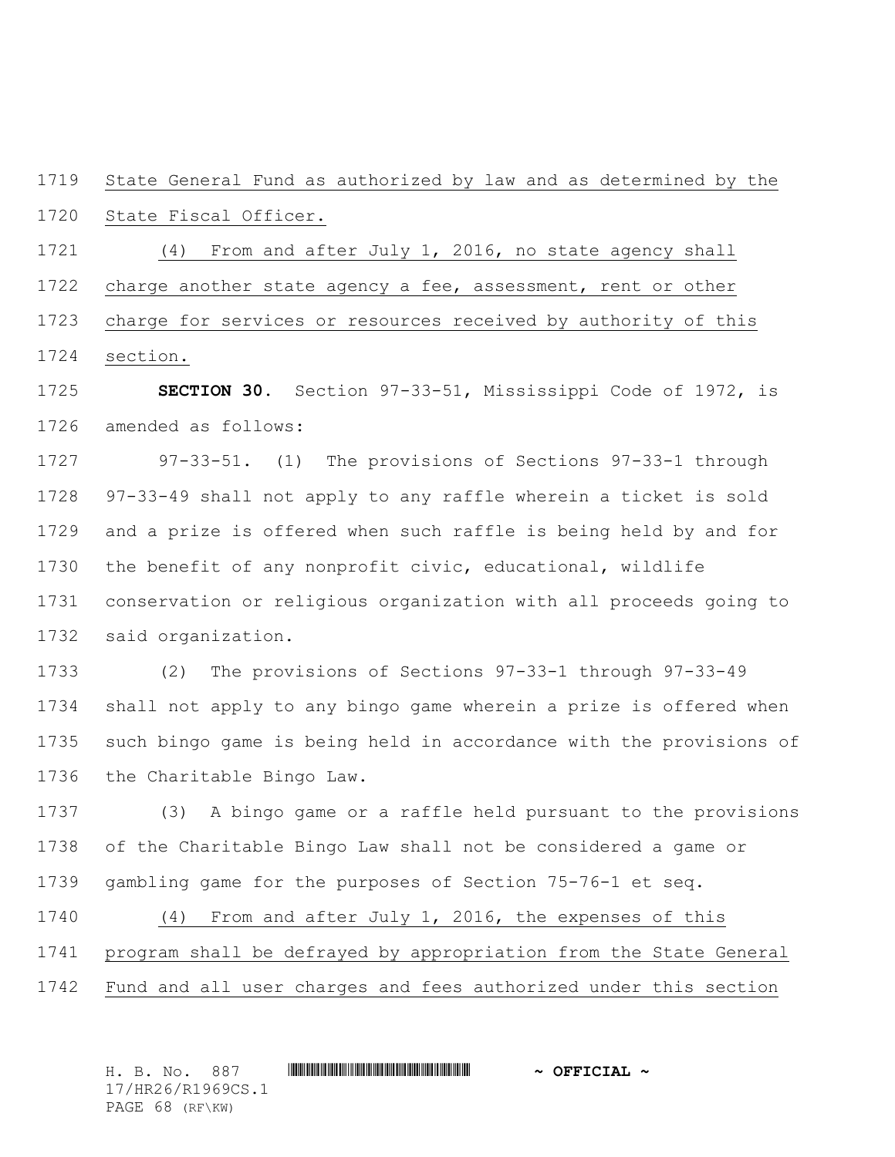State General Fund as authorized by law and as determined by the State Fiscal Officer.

 (4) From and after July 1, 2016, no state agency shall charge another state agency a fee, assessment, rent or other

 charge for services or resources received by authority of this section.

 **SECTION 30.** Section 97-33-51, Mississippi Code of 1972, is amended as follows:

 97-33-51. (1) The provisions of Sections 97-33-1 through 97-33-49 shall not apply to any raffle wherein a ticket is sold and a prize is offered when such raffle is being held by and for the benefit of any nonprofit civic, educational, wildlife conservation or religious organization with all proceeds going to said organization.

 (2) The provisions of Sections 97-33-1 through 97-33-49 shall not apply to any bingo game wherein a prize is offered when such bingo game is being held in accordance with the provisions of the Charitable Bingo Law.

 (3) A bingo game or a raffle held pursuant to the provisions of the Charitable Bingo Law shall not be considered a game or gambling game for the purposes of Section 75-76-1 et seq.

 (4) From and after July 1, 2016, the expenses of this program shall be defrayed by appropriation from the State General Fund and all user charges and fees authorized under this section

H. B. No. 887 \*HR26/R1969CS.1\* **~ OFFICIAL ~** 17/HR26/R1969CS.1 PAGE 68 (RF\KW)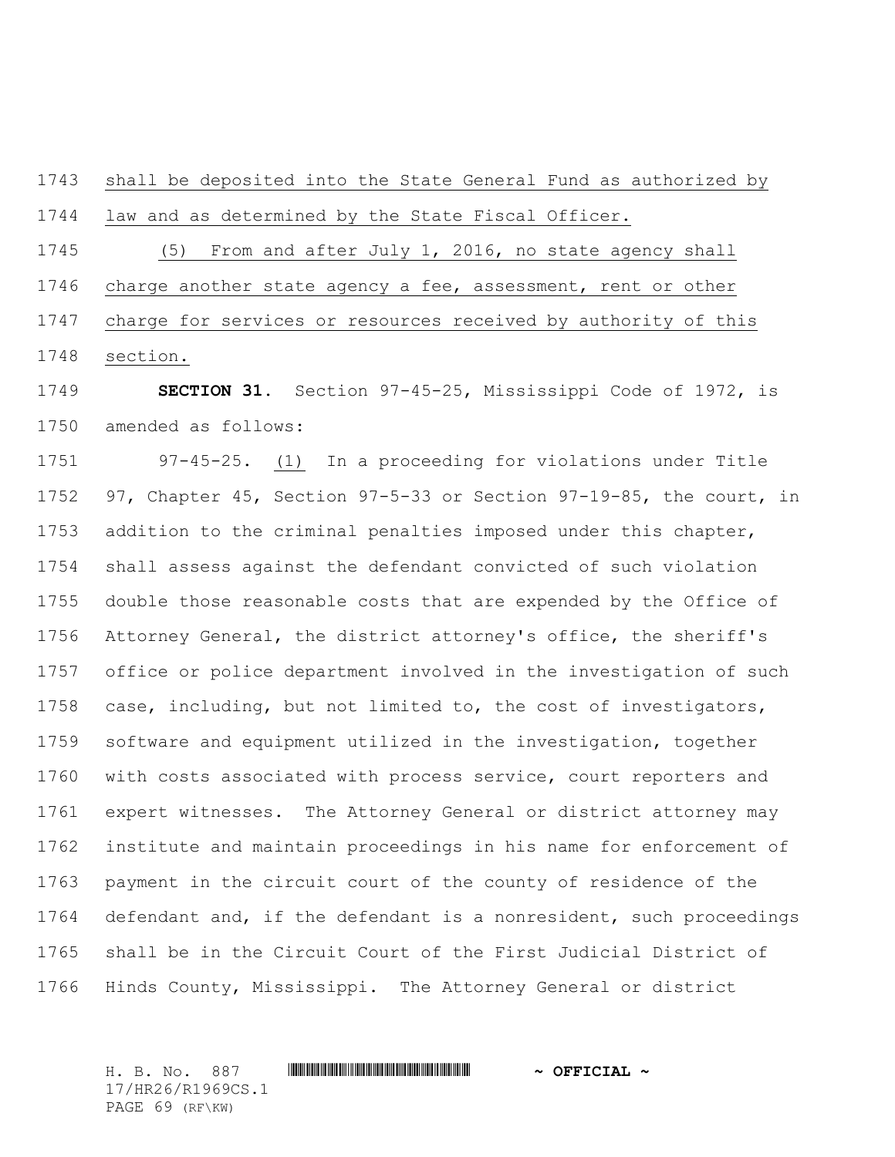shall be deposited into the State General Fund as authorized by law and as determined by the State Fiscal Officer.

 (5) From and after July 1, 2016, no state agency shall charge another state agency a fee, assessment, rent or other charge for services or resources received by authority of this section.

 **SECTION 31.** Section 97-45-25, Mississippi Code of 1972, is amended as follows:

 97-45-25. (1) In a proceeding for violations under Title 97, Chapter 45, Section 97-5-33 or Section 97-19-85, the court, in addition to the criminal penalties imposed under this chapter, shall assess against the defendant convicted of such violation double those reasonable costs that are expended by the Office of Attorney General, the district attorney's office, the sheriff's office or police department involved in the investigation of such case, including, but not limited to, the cost of investigators, software and equipment utilized in the investigation, together with costs associated with process service, court reporters and expert witnesses. The Attorney General or district attorney may institute and maintain proceedings in his name for enforcement of payment in the circuit court of the county of residence of the defendant and, if the defendant is a nonresident, such proceedings shall be in the Circuit Court of the First Judicial District of Hinds County, Mississippi. The Attorney General or district

H. B. No. 887 \*HR26/R1969CS.1\* **~ OFFICIAL ~** 17/HR26/R1969CS.1 PAGE 69 (RF\KW)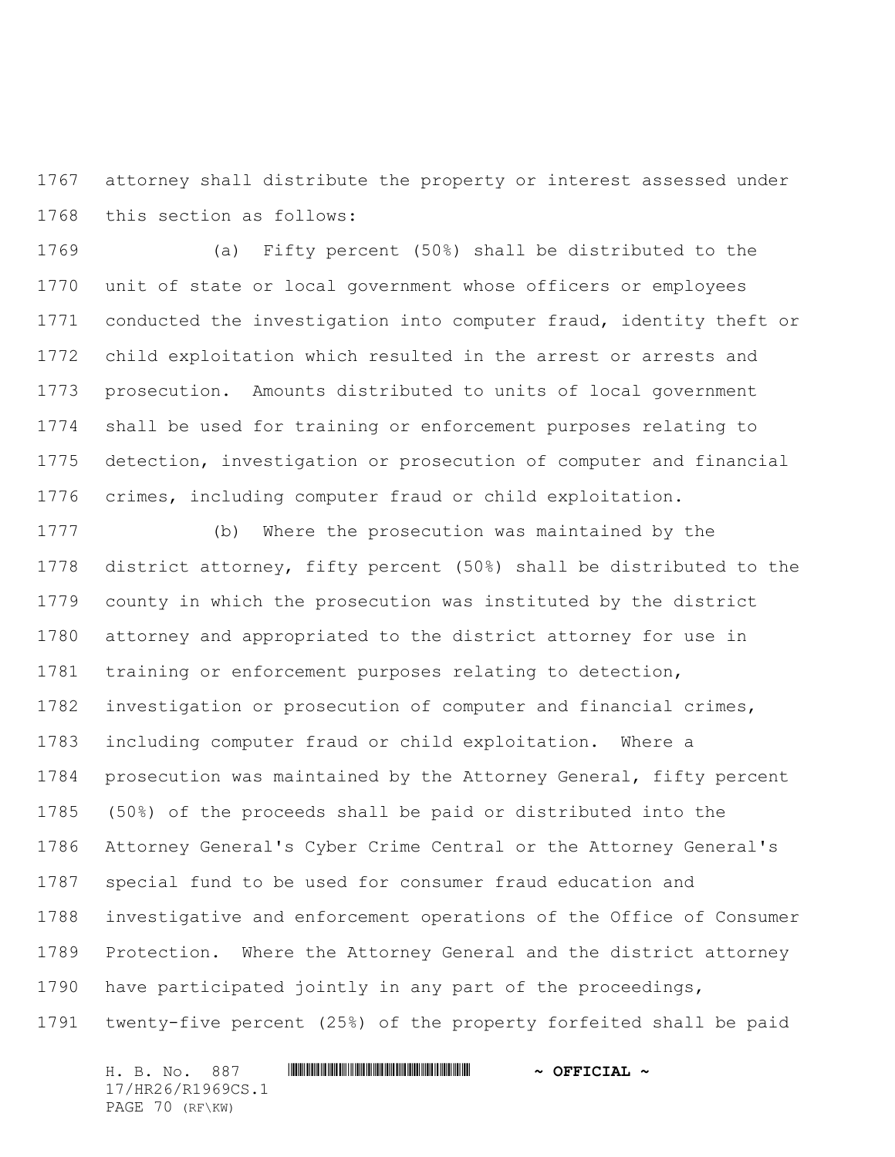attorney shall distribute the property or interest assessed under this section as follows:

 (a) Fifty percent (50%) shall be distributed to the unit of state or local government whose officers or employees conducted the investigation into computer fraud, identity theft or child exploitation which resulted in the arrest or arrests and prosecution. Amounts distributed to units of local government shall be used for training or enforcement purposes relating to detection, investigation or prosecution of computer and financial crimes, including computer fraud or child exploitation.

 (b) Where the prosecution was maintained by the district attorney, fifty percent (50%) shall be distributed to the county in which the prosecution was instituted by the district attorney and appropriated to the district attorney for use in training or enforcement purposes relating to detection, investigation or prosecution of computer and financial crimes, including computer fraud or child exploitation. Where a prosecution was maintained by the Attorney General, fifty percent (50%) of the proceeds shall be paid or distributed into the Attorney General's Cyber Crime Central or the Attorney General's special fund to be used for consumer fraud education and investigative and enforcement operations of the Office of Consumer Protection. Where the Attorney General and the district attorney have participated jointly in any part of the proceedings, twenty-five percent (25%) of the property forfeited shall be paid

H. B. No. 887 \*HR26/R1969CS.1\* **~ OFFICIAL ~** 17/HR26/R1969CS.1 PAGE 70 (RF\KW)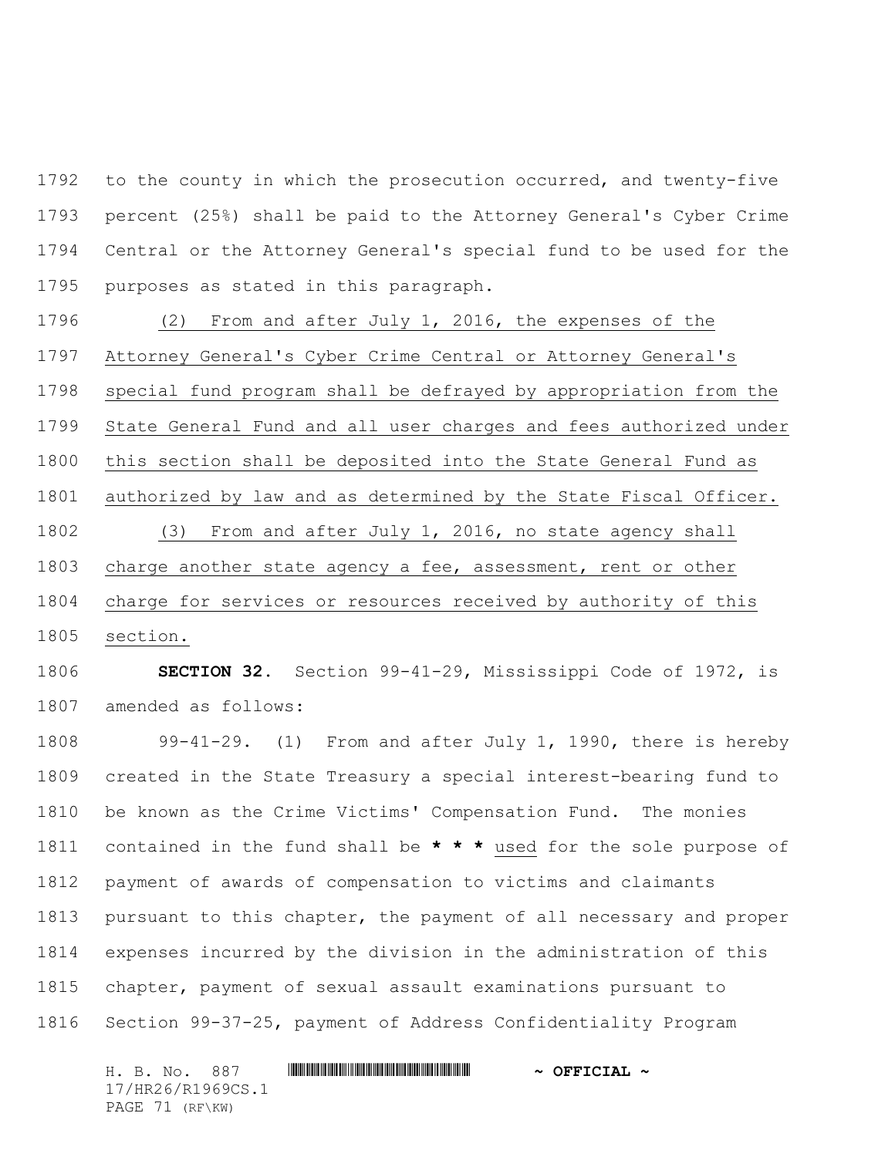to the county in which the prosecution occurred, and twenty-five percent (25%) shall be paid to the Attorney General's Cyber Crime Central or the Attorney General's special fund to be used for the purposes as stated in this paragraph.

 (2) From and after July 1, 2016, the expenses of the Attorney General's Cyber Crime Central or Attorney General's special fund program shall be defrayed by appropriation from the State General Fund and all user charges and fees authorized under this section shall be deposited into the State General Fund as authorized by law and as determined by the State Fiscal Officer. (3) From and after July 1, 2016, no state agency shall charge another state agency a fee, assessment, rent or other charge for services or resources received by authority of this section.

 **SECTION 32.** Section 99-41-29, Mississippi Code of 1972, is amended as follows:

 99-41-29. (1) From and after July 1, 1990, there is hereby created in the State Treasury a special interest-bearing fund to be known as the Crime Victims' Compensation Fund. The monies contained in the fund shall be **\* \* \*** used for the sole purpose of payment of awards of compensation to victims and claimants pursuant to this chapter, the payment of all necessary and proper expenses incurred by the division in the administration of this chapter, payment of sexual assault examinations pursuant to Section 99-37-25, payment of Address Confidentiality Program

H. B. No. 887 \*HR26/R1969CS.1\* **~ OFFICIAL ~** 17/HR26/R1969CS.1 PAGE 71 (RF\KW)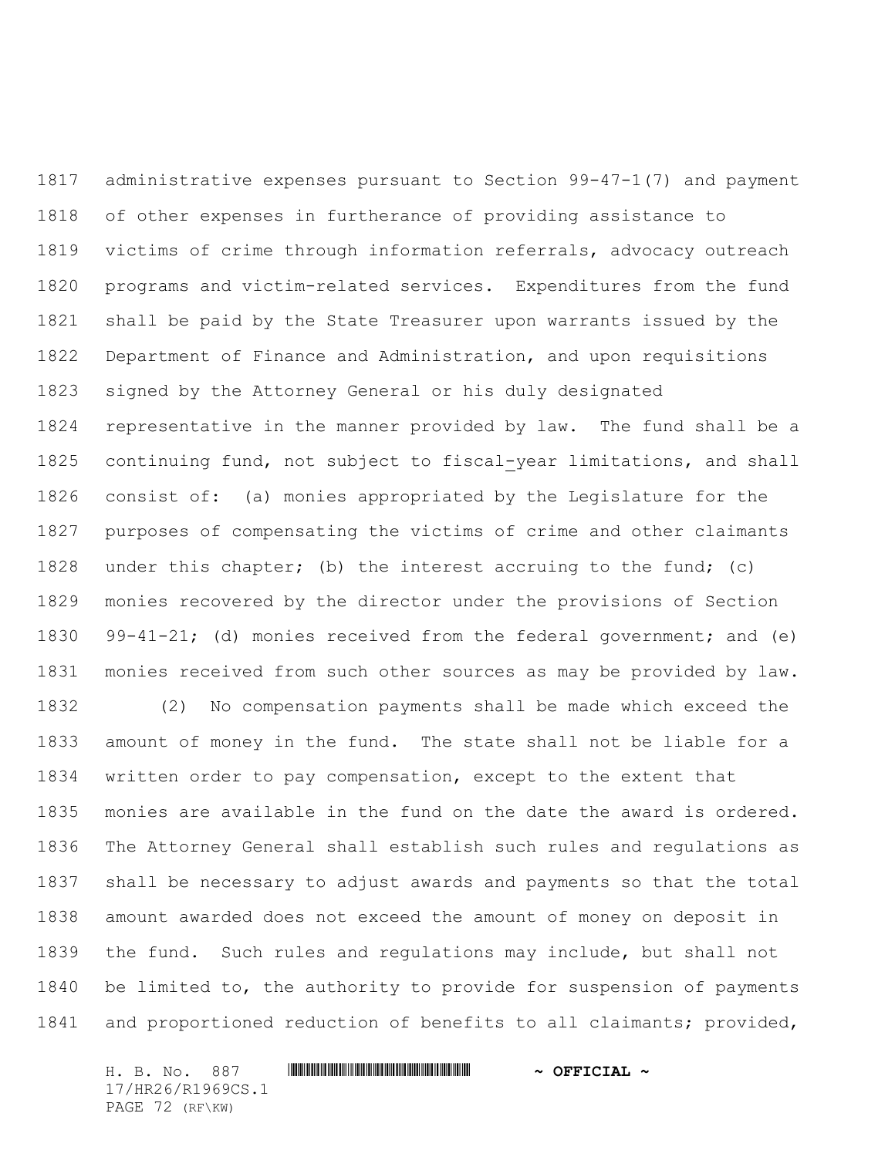administrative expenses pursuant to Section 99-47-1(7) and payment of other expenses in furtherance of providing assistance to victims of crime through information referrals, advocacy outreach programs and victim-related services. Expenditures from the fund shall be paid by the State Treasurer upon warrants issued by the Department of Finance and Administration, and upon requisitions signed by the Attorney General or his duly designated representative in the manner provided by law. The fund shall be a continuing fund, not subject to fiscal-year limitations, and shall consist of: (a) monies appropriated by the Legislature for the purposes of compensating the victims of crime and other claimants under this chapter; (b) the interest accruing to the fund; (c) monies recovered by the director under the provisions of Section 99-41-21; (d) monies received from the federal government; and (e) monies received from such other sources as may be provided by law.

 (2) No compensation payments shall be made which exceed the amount of money in the fund. The state shall not be liable for a written order to pay compensation, except to the extent that monies are available in the fund on the date the award is ordered. The Attorney General shall establish such rules and regulations as shall be necessary to adjust awards and payments so that the total amount awarded does not exceed the amount of money on deposit in the fund. Such rules and regulations may include, but shall not be limited to, the authority to provide for suspension of payments and proportioned reduction of benefits to all claimants; provided,

H. B. No. 887 \*HR26/R1969CS.1\* **~ OFFICIAL ~** 17/HR26/R1969CS.1 PAGE 72 (RF\KW)